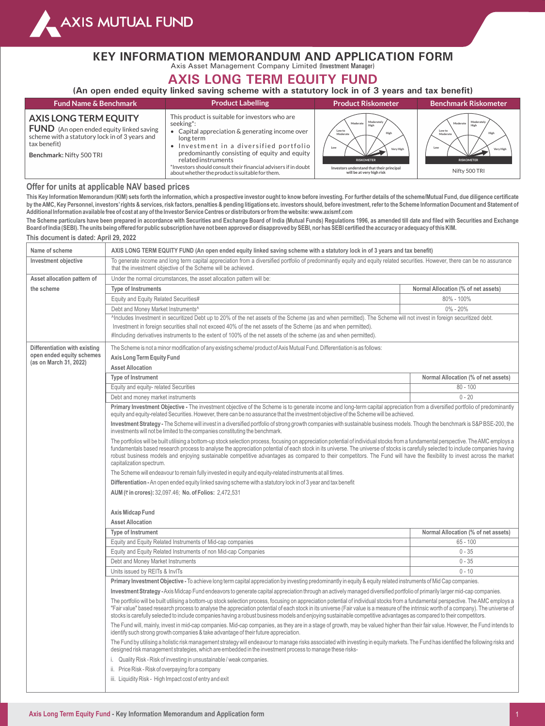

## **KEY INFORMATION MEMORANDUM AND APPLICATION FORM**

Axis Asset Management Company Limited (Investment Manager)

# **AXIS LONG TERM EQUITY FUND**

**(An open ended equity linked saving scheme with a statutory lock in of 3 years and tax benefit)** 

| <b>Fund Name &amp; Benchmark</b>                                                                                                                                              | <b>Product Labelling</b>                                                                                                                                                                                                                                                                                                                                            | <b>Product Riskometer</b>                                                                                                                                                       | <b>Benchmark Riskometer</b>                                                                                            |
|-------------------------------------------------------------------------------------------------------------------------------------------------------------------------------|---------------------------------------------------------------------------------------------------------------------------------------------------------------------------------------------------------------------------------------------------------------------------------------------------------------------------------------------------------------------|---------------------------------------------------------------------------------------------------------------------------------------------------------------------------------|------------------------------------------------------------------------------------------------------------------------|
| <b>AXIS LONG TERM EQUITY</b><br><b>FUND</b> (An open ended equity linked saving<br>scheme with a statutory lock in of 3 years and<br>tax benefit)<br>Benchmark: Nifty 500 TRI | This product is suitable for investors who are<br>seeking*:<br>• Capital appreciation & generating income over<br>long term<br>• Investment in a diversified portfolio<br>predominantly consisting of equity and equity<br>related instruments<br>*Investors should consult their financial advisers if in doubt<br>about whether the product is suitable for them. | Moderately<br>Moderate<br>High<br>Low to<br>High<br>Moderate<br>Low<br>Very High<br><b>RISKOMETER</b><br>Investors understand that their principal<br>will be at very high risk | Moderately<br>Moderate<br>High<br>Low to<br>High<br>Moderate<br>Low<br>Very High<br><b>RISKOMETER</b><br>Nifty 500 TRI |

#### **Offer for units at applicable NAV based prices**

**This Key Information Memorandum (KIM) sets forth the information, which a prospective investor ought to know before investing. For further details of the scheme/Mutual Fund, due diligence certificate by the AMC, Key Personnel, investors'rights & services, risk factors, penalties & pending litigations etc. investors should, before investment, refer to the Scheme Information Document and Statement of Additional Information available free of cost at any of the Investor Service Centres or distributors or from the website: www.axismf.com**

The Scheme particulars have been prepared in accordance with Securities and Exchange Board of India (Mutual Funds) Regulations 1996, as amended till date and filed with Securities and Exchange Board of India (SEBI). The units being offered for public subscription have not been approved or disapproved by SEBI, nor has SEBI certified the accuracy or adequacy of this KIM. **This document is dated: April 29, 2022**

#### **Name of scheme AXIS LONG TERM EQUITY FUND (An open ended equity linked saving scheme with a statutory lock in of 3 years and tax benefit)**  Investment objective To generate income and long term capital appreciation from a diversified portfolio of predominantly equity and equity related securities. However, there can be no assurance that the investment objective of the Scheme will be achieved. Asset allocation pattern of **Under the normal circumstances**, the asset allocation pattern will be: the scheme **Type of Instruments** Type of Instruments **Normal Allocation (% of net assets)** Equity and Equity Related Securities# 80% - 100% Debt and Money Market Instruments<sup>^</sup> 0% - 20% ^Includes Investment in securitized Debt up to 20% of the net assets of the Scheme (as and when permitted). The Scheme will not invest in foreign securitized debt. Investment in foreign securities shall not exceed 40% of the net assets of the Scheme (as and when permitted). #Including derivatives instruments to the extent of 100% of the net assets of the scheme (as and when permitted). **Differentiation with existing open ended equity schemes (as on March 31, 2022)** The Scheme is not a minor modification of any existing scheme/ product of Axis Mutual Fund. Differentiation is as follows: **Axis Long Term Equity Fund Asset Allocation** Type of Instrument **Normal Allocation (% of net assets)** Equity and equity- related Securities 80 - 100 Debt and money market instruments 0 - 20 **Primary Investment Objective -** The investment objective of the Scheme is to generate income and long-term capital appreciation from a diversified portfolio of predominantly equity and equity-related Securities. However, there can be no assurance that the investment objective of the Scheme will be achieved. Investment Strategy - The Scheme will invest in a diversified portfolio of strong growth companies with sustainable business models. Though the benchmark is S&P BSE-200, the investments will not be limited to the companies constituting the benchmark. The portfolios will be built utilising a bottom-up stock selection process, focusing on appreciation potential of individual stocks from a fundamental perspective. The AMC employs a fundamentals based research process to analyse the appreciation potential of each stock in its universe. The universe of stocks is carefully selected to include companies having robust business models and enjoying sustainable competitive advantages as compared to their competitors. The Fund will have the flexibility to invest across the market capitalization spectrum. The Scheme will endeavour to remain fully invested in equity and equity-related instruments at all times. **Differentiation -** An open ended equity linked saving scheme with a statutory lock in of 3 year and tax benefit **AUM (**` **in crores):** 32,097.46; **No. of Folios:** 2,472,531 **Axis Midcap Fund Asset Allocation Type of Instrument Normal Allocation (% of net assets)** Equity and Equity Related Instruments of Mid-cap companies 65 - 100 m  $\sim$  65 - 100 m  $\sim$  65 - 100 m  $\sim$  65 - 100 Equity and Equity Related Instruments of non Mid-cap Companies 0 - 35 Debt and Money Market Instruments 0 - 35 Units issued by REITs & InvITs 0 - 10 **Primary Investment Objective -** To achieve long term capital appreciation by investing predominantly in equity & equity related instruments of Mid Cap companies. **Investment Strategy -**Axis Midcap Fund endeavors to generate capital appreciation through an actively managed diversified portfolio of primarily larger mid-cap companies. The portfolio will be built utilising a bottom-up stock selection process, focusing on appreciation potential of individual stocks from a fundamental perspective. The AMC employs a "Fair value" based research process to analyse the appreciation potential of each stock in its universe (Fair value is a measure of the intrinsic worth of a company). The universe of stocks is carefully selected to include companies having a robust business models and enjoying sustainable competitive advantages as compared to their competitors. The Fund will, mainly, invest in mid-cap companies. Mid-cap companies, as they are in a stage of growth, may be valued higher than their fair value. However, the Fund intends to identify such strong growth companies & take advantage of their future appreciation. The Fund by utilising a holistic risk management strategy will endeavour to manage risks associated with investing in equity markets. The Fund has identified the following risks and designed risk management strategies, which are embedded in the investment process to manage these risksi. Quality Risk - Risk of investing in unsustainable / weak companies. ii. Price Risk - Risk of overpaying for a company iii. Liquidity Risk - High Impact cost of entry and exit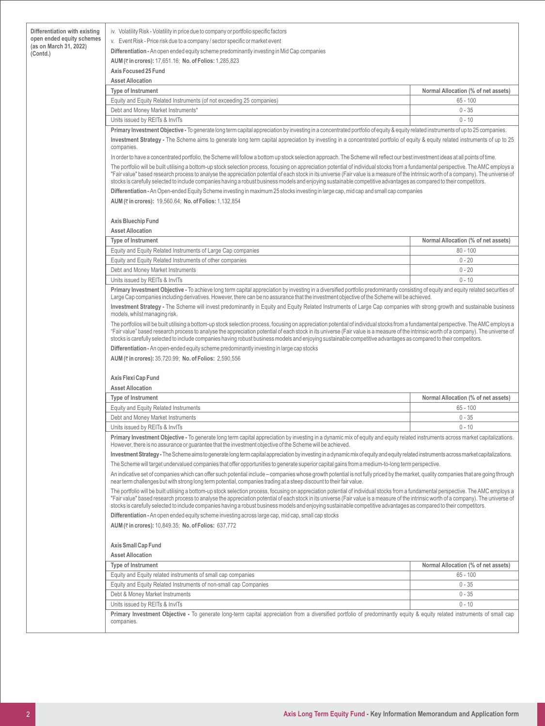| Differentiation with existing<br>open ended equity schemes<br>(as on March 31, 2022)<br>(Contd.) | iv. Volatility Risk - Volatility in price due to company or portfolio specific factors<br>v. Event Risk - Price risk due to a company / sector specific or market event<br>Differentiation - An open ended equity scheme predominantly investing in Mid Cap companies<br>AUM (₹ in crores): 17,651.16; No. of Folios: 1,285,823<br>Axis Focused 25 Fund                                                                                                                                                                                               |                                     |
|--------------------------------------------------------------------------------------------------|-------------------------------------------------------------------------------------------------------------------------------------------------------------------------------------------------------------------------------------------------------------------------------------------------------------------------------------------------------------------------------------------------------------------------------------------------------------------------------------------------------------------------------------------------------|-------------------------------------|
|                                                                                                  | <b>Asset Allocation</b>                                                                                                                                                                                                                                                                                                                                                                                                                                                                                                                               |                                     |
|                                                                                                  | Type of Instrument                                                                                                                                                                                                                                                                                                                                                                                                                                                                                                                                    | Normal Allocation (% of net assets) |
|                                                                                                  | Equity and Equity Related Instruments (of not exceeding 25 companies)                                                                                                                                                                                                                                                                                                                                                                                                                                                                                 | $65 - 100$                          |
|                                                                                                  | Debt and Money Market Instruments*                                                                                                                                                                                                                                                                                                                                                                                                                                                                                                                    | $0 - 35$                            |
|                                                                                                  | Units issued by REITs & InvITs                                                                                                                                                                                                                                                                                                                                                                                                                                                                                                                        | $0 - 10$                            |
|                                                                                                  | Primary Investment Objective - To generate long term capital appreciation by investing in a concentrated portfolio of equity & equity related instruments of up to 25 companies.                                                                                                                                                                                                                                                                                                                                                                      |                                     |
|                                                                                                  | Investment Strategy - The Scheme aims to generate long term capital appreciation by investing in a concentrated portfolio of equity & equity related instruments of up to 25<br>companies.                                                                                                                                                                                                                                                                                                                                                            |                                     |
|                                                                                                  | In order to have a concentrated portfolio, the Scheme will follow a bottom up stock selection approach. The Scheme will reflect our best investment ideas at all points of time.                                                                                                                                                                                                                                                                                                                                                                      |                                     |
|                                                                                                  | The portfolio will be built utilising a bottom-up stock selection process, focusing on appreciation potential of individual stocks from a fundamental perspective. The AMC employs a<br>"Fair value" based research process to analyse the appreciation potential of each stock in its universe (Fair value is a measure of the intrinsic worth of a company). The universe of<br>stocks is carefully selected to include companies having a robust business models and enjoying sustainable competitive advantages as compared to their competitors. |                                     |
|                                                                                                  | Differentiation - An Open-ended Equity Scheme investing in maximum 25 stocks investing in large cap, mid cap and small cap companies                                                                                                                                                                                                                                                                                                                                                                                                                  |                                     |
|                                                                                                  | AUM (₹ in crores): 19,560.64; No. of Folios: 1,132,854                                                                                                                                                                                                                                                                                                                                                                                                                                                                                                |                                     |
|                                                                                                  |                                                                                                                                                                                                                                                                                                                                                                                                                                                                                                                                                       |                                     |
|                                                                                                  | Axis Bluechip Fund                                                                                                                                                                                                                                                                                                                                                                                                                                                                                                                                    |                                     |
|                                                                                                  | <b>Asset Allocation</b>                                                                                                                                                                                                                                                                                                                                                                                                                                                                                                                               |                                     |
|                                                                                                  | Type of Instrument                                                                                                                                                                                                                                                                                                                                                                                                                                                                                                                                    | Normal Allocation (% of net assets) |
|                                                                                                  | Equity and Equity Related Instruments of Large Cap companies                                                                                                                                                                                                                                                                                                                                                                                                                                                                                          | $80 - 100$                          |
|                                                                                                  | Equity and Equity Related Instruments of other companies                                                                                                                                                                                                                                                                                                                                                                                                                                                                                              | $0 - 20$                            |
|                                                                                                  | Debt and Money Market Instruments                                                                                                                                                                                                                                                                                                                                                                                                                                                                                                                     | $0 - 20$                            |
|                                                                                                  | Units issued by REITs & InvITs                                                                                                                                                                                                                                                                                                                                                                                                                                                                                                                        | $0 - 10$                            |
|                                                                                                  | Primary Investment Objective - To achieve long term capital appreciation by investing in a diversified portfolio predominantly consisting of equity and equity related securities of<br>Large Cap companies including derivatives. However, there can be no assurance that the investment objective of the Scheme will be achieved.                                                                                                                                                                                                                   |                                     |
|                                                                                                  | Investment Strategy - The Scheme will invest predominantly in Equity and Equity Related Instruments of Large Cap companies with strong growth and sustainable business<br>models, whilst managing risk.                                                                                                                                                                                                                                                                                                                                               |                                     |
|                                                                                                  | The portfolios will be built utilising a bottom-up stock selection process, focusing on appreciation potential of individual stocks from a fundamental perspective. The AMC employs a<br>"Fair value" based research process to analyse the appreciation potential of each stock in its universe (Fair value is a measure of the intrinsic worth of a company). The universe of<br>stocks is carefully selected to include companies having robust business models and enjoying sustainable competitive advantages as compared to their competitors.  |                                     |
|                                                                                                  | Differentiation - An open-ended equity scheme predominantly investing in large cap stocks                                                                                                                                                                                                                                                                                                                                                                                                                                                             |                                     |
|                                                                                                  | AUM (₹ in crores): 35,720.99; No. of Folios: 2,590,556                                                                                                                                                                                                                                                                                                                                                                                                                                                                                                |                                     |
|                                                                                                  |                                                                                                                                                                                                                                                                                                                                                                                                                                                                                                                                                       |                                     |
|                                                                                                  | Axis Flexi Cap Fund                                                                                                                                                                                                                                                                                                                                                                                                                                                                                                                                   |                                     |
|                                                                                                  | <b>Asset Allocation</b>                                                                                                                                                                                                                                                                                                                                                                                                                                                                                                                               |                                     |
|                                                                                                  | <b>Type of Instrument</b>                                                                                                                                                                                                                                                                                                                                                                                                                                                                                                                             | Normal Allocation (% of net assets) |
|                                                                                                  | Equity and Equity Related Instruments                                                                                                                                                                                                                                                                                                                                                                                                                                                                                                                 | $65 - 100$                          |
|                                                                                                  | Debt and Money Market Instruments                                                                                                                                                                                                                                                                                                                                                                                                                                                                                                                     | $0 - 35$                            |
|                                                                                                  | Units issued by REITs & InvITs                                                                                                                                                                                                                                                                                                                                                                                                                                                                                                                        | $0 - 10$                            |
|                                                                                                  | Primary Investment Objective - To generate long term capital appreciation by investing in a dynamic mix of equity and equity related instruments across market capitalizations.<br>However, there is no assurance or guarantee that the investment objective of the Scheme will be achieved.                                                                                                                                                                                                                                                          |                                     |
|                                                                                                  | Investment Strategy - The Scheme aims to generate long term capital appreciation by investing in a dynamic mix of equity and equity related instruments across market capitalizations.                                                                                                                                                                                                                                                                                                                                                                |                                     |
|                                                                                                  | The Scheme will target undervalued companies that offer opportunities to generate superior capital gains from a medium-to-long term perspective.                                                                                                                                                                                                                                                                                                                                                                                                      |                                     |
|                                                                                                  | An indicative set of companies which can offer such potential include – companies whose growth potential is not fully priced by the market, quality companies that are going through<br>near term challenges but with strong long term potential, companies trading at a steep discount to their fair value.                                                                                                                                                                                                                                          |                                     |
|                                                                                                  | The portfolio will be built utilising a bottom-up stock selection process, focusing on appreciation potential of individual stocks from a fundamental perspective. The AMC employs a<br>"Fair value" based research process to analyse the appreciation potential of each stock in its universe (Fair value is a measure of the intrinsic worth of a company). The universe of<br>stocks is carefully selected to include companies having a robust business models and enjoying sustainable competitive advantages as compared to their competitors. |                                     |
|                                                                                                  | Differentiation - An open ended equity scheme investing across large cap, mid cap, small cap stocks                                                                                                                                                                                                                                                                                                                                                                                                                                                   |                                     |
|                                                                                                  | AUM (₹ in crores): 10,849.35; No. of Folios: 637,772                                                                                                                                                                                                                                                                                                                                                                                                                                                                                                  |                                     |
|                                                                                                  |                                                                                                                                                                                                                                                                                                                                                                                                                                                                                                                                                       |                                     |
|                                                                                                  |                                                                                                                                                                                                                                                                                                                                                                                                                                                                                                                                                       |                                     |
|                                                                                                  | Axis Small Cap Fund                                                                                                                                                                                                                                                                                                                                                                                                                                                                                                                                   |                                     |
|                                                                                                  | <b>Asset Allocation</b>                                                                                                                                                                                                                                                                                                                                                                                                                                                                                                                               |                                     |
|                                                                                                  | <b>Type of Instrument</b>                                                                                                                                                                                                                                                                                                                                                                                                                                                                                                                             | Normal Allocation (% of net assets) |
|                                                                                                  | Equity and Equity related instruments of small cap companies                                                                                                                                                                                                                                                                                                                                                                                                                                                                                          | $65 - 100$                          |
|                                                                                                  | Equity and Equity Related Instruments of non-small cap Companies                                                                                                                                                                                                                                                                                                                                                                                                                                                                                      | $0 - 35$                            |
|                                                                                                  | Debt & Money Market Instruments                                                                                                                                                                                                                                                                                                                                                                                                                                                                                                                       | $0 - 35$                            |
|                                                                                                  | Units issued by REITs & InvITs                                                                                                                                                                                                                                                                                                                                                                                                                                                                                                                        | $0 - 10$                            |
|                                                                                                  | Primary Investment Objective - To generate long-term capital appreciation from a diversified portfolio of predominantly equity & equity related instruments of small cap<br>companies.                                                                                                                                                                                                                                                                                                                                                                |                                     |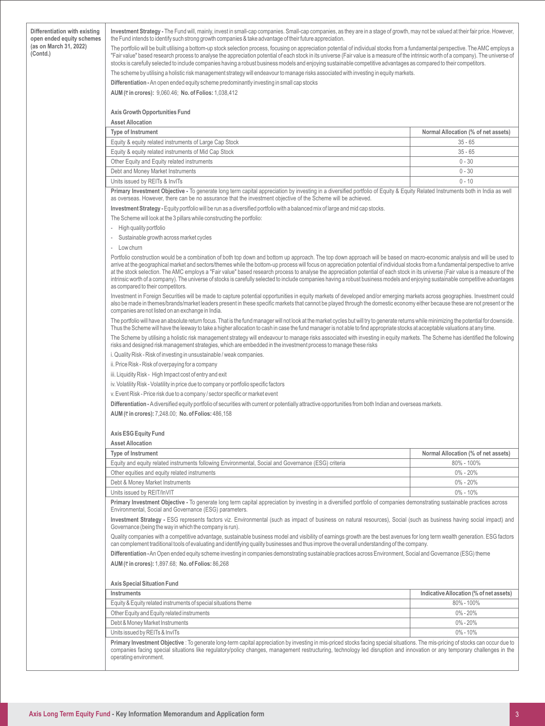| Differentiation with existing<br>open ended equity schemes | Investment Strategy - The Fund will, mainly, invest in small-cap companies. Small-cap companies, as they are in a stage of growth, may not be valued at their fair price. However,<br>the Fund intends to identify such strong growth companies & take advantage of their future appreciation.                                                                                                                                                                                                                                                                                                                                                                                                                                                                                 |                                                       |
|------------------------------------------------------------|--------------------------------------------------------------------------------------------------------------------------------------------------------------------------------------------------------------------------------------------------------------------------------------------------------------------------------------------------------------------------------------------------------------------------------------------------------------------------------------------------------------------------------------------------------------------------------------------------------------------------------------------------------------------------------------------------------------------------------------------------------------------------------|-------------------------------------------------------|
| (as on March 31, 2022)                                     | The portfolio will be built utilising a bottom-up stock selection process, focusing on appreciation potential of individual stocks from a fundamental perspective. The AMC employs a                                                                                                                                                                                                                                                                                                                                                                                                                                                                                                                                                                                           |                                                       |
| (Contd.)                                                   | "Fair value" based research process to analyse the appreciation potential of each stock in its universe (Fair value is a measure of the intrinsic worth of a company). The universe of<br>stocks is carefully selected to include companies having a robust business models and enjoying sustainable competitive advantages as compared to their competitors.                                                                                                                                                                                                                                                                                                                                                                                                                  |                                                       |
|                                                            | The scheme by utilising a holistic risk management strategy will endeavour to manage risks associated with investing in equity markets.                                                                                                                                                                                                                                                                                                                                                                                                                                                                                                                                                                                                                                        |                                                       |
|                                                            | Differentiation - An open ended equity scheme predominantly investing in small cap stocks                                                                                                                                                                                                                                                                                                                                                                                                                                                                                                                                                                                                                                                                                      |                                                       |
|                                                            | AUM (₹ in crores): 9,060.46; No. of Folios: 1,038,412                                                                                                                                                                                                                                                                                                                                                                                                                                                                                                                                                                                                                                                                                                                          |                                                       |
|                                                            |                                                                                                                                                                                                                                                                                                                                                                                                                                                                                                                                                                                                                                                                                                                                                                                |                                                       |
|                                                            | <b>Axis Growth Opportunities Fund</b>                                                                                                                                                                                                                                                                                                                                                                                                                                                                                                                                                                                                                                                                                                                                          |                                                       |
|                                                            | <b>Asset Allocation</b>                                                                                                                                                                                                                                                                                                                                                                                                                                                                                                                                                                                                                                                                                                                                                        |                                                       |
|                                                            | <b>Type of Instrument</b>                                                                                                                                                                                                                                                                                                                                                                                                                                                                                                                                                                                                                                                                                                                                                      | Normal Allocation (% of net assets)                   |
|                                                            | Equity & equity related instruments of Large Cap Stock                                                                                                                                                                                                                                                                                                                                                                                                                                                                                                                                                                                                                                                                                                                         | $35 - 65$                                             |
|                                                            | Equity & equity related instruments of Mid Cap Stock                                                                                                                                                                                                                                                                                                                                                                                                                                                                                                                                                                                                                                                                                                                           | $35 - 65$                                             |
|                                                            | Other Equity and Equity related instruments<br>Debt and Money Market Instruments                                                                                                                                                                                                                                                                                                                                                                                                                                                                                                                                                                                                                                                                                               | $0 - 30$<br>$0 - 30$                                  |
|                                                            | Units issued by REITs & InvITs                                                                                                                                                                                                                                                                                                                                                                                                                                                                                                                                                                                                                                                                                                                                                 | $0 - 10$                                              |
|                                                            | Primary Investment Objective - To generate long term capital appreciation by investing in a diversified portfolio of Equity & Equity Related Instruments both in India as well                                                                                                                                                                                                                                                                                                                                                                                                                                                                                                                                                                                                 |                                                       |
|                                                            | as overseas. However, there can be no assurance that the investment objective of the Scheme will be achieved.<br>Investment Strategy - Equity portfolio will be run as a diversified portfolio with a balanced mix of large and mid cap stocks.                                                                                                                                                                                                                                                                                                                                                                                                                                                                                                                                |                                                       |
|                                                            | The Scheme will look at the 3 pillars while constructing the portfolio:                                                                                                                                                                                                                                                                                                                                                                                                                                                                                                                                                                                                                                                                                                        |                                                       |
|                                                            | - High quality portfolio                                                                                                                                                                                                                                                                                                                                                                                                                                                                                                                                                                                                                                                                                                                                                       |                                                       |
|                                                            | Sustainable growth across market cycles                                                                                                                                                                                                                                                                                                                                                                                                                                                                                                                                                                                                                                                                                                                                        |                                                       |
|                                                            | - Low churn                                                                                                                                                                                                                                                                                                                                                                                                                                                                                                                                                                                                                                                                                                                                                                    |                                                       |
|                                                            | Portfolio construction would be a combination of both top down and bottom up approach. The top down approach will be based on macro-economic analysis and will be used to<br>arrive at the geographical market and sectors/themes while the bottom-up process will focus on appreciation potential of individual stocks from a fundamental perspective to arrive<br>at the stock selection. The AMC employs a "Fair value" based research process to analyse the appreciation potential of each stock in its universe (Fair value is a measure of the<br>intrinsic worth of a company). The universe of stocks is carefully selected to include companies having a robust business models and enjoying sustainable competitive advantages<br>as compared to their competitors. |                                                       |
|                                                            | Investment in Foreign Securities will be made to capture potential opportunities in equity markets of developed and/or emerging markets across geographies. Investment could<br>also be made in themes/brands/market leaders present in these specific markets that cannot be played through the domestic economy either because these are not present or the<br>companies are not listed on an exchange in India.                                                                                                                                                                                                                                                                                                                                                             |                                                       |
|                                                            | The portfolio will have an absolute return focus. That is the fund manager will not look at the market cycles but will try to generate returns while minimizing the potential for downside.<br>Thus the Scheme will have the leeway to take a higher allocation to cash in case the fund manager is not able to find appropriate stocks at acceptable valuations at any time.                                                                                                                                                                                                                                                                                                                                                                                                  |                                                       |
|                                                            | The Scheme by utilising a holistic risk management strategy will endeavour to manage risks associated with investing in equity markets. The Scheme has identified the following<br>risks and designed risk management strategies, which are embedded in the investment process to manage these risks                                                                                                                                                                                                                                                                                                                                                                                                                                                                           |                                                       |
|                                                            | i. Quality Risk - Risk of investing in unsustainable / weak companies.                                                                                                                                                                                                                                                                                                                                                                                                                                                                                                                                                                                                                                                                                                         |                                                       |
|                                                            | ii. Price Risk - Risk of overpaying for a company                                                                                                                                                                                                                                                                                                                                                                                                                                                                                                                                                                                                                                                                                                                              |                                                       |
|                                                            | iii. Liquidity Risk - High Impact cost of entry and exit                                                                                                                                                                                                                                                                                                                                                                                                                                                                                                                                                                                                                                                                                                                       |                                                       |
|                                                            | iv. Volatility Risk - Volatility in price due to company or portfolio specific factors                                                                                                                                                                                                                                                                                                                                                                                                                                                                                                                                                                                                                                                                                         |                                                       |
|                                                            | v. Event Risk - Price risk due to a company / sector specific or market event                                                                                                                                                                                                                                                                                                                                                                                                                                                                                                                                                                                                                                                                                                  |                                                       |
|                                                            | Differentiation - A diversified equity portfolio of securities with current or potentially attractive opportunities from both Indian and overseas markets.                                                                                                                                                                                                                                                                                                                                                                                                                                                                                                                                                                                                                     |                                                       |
|                                                            | AUM (₹ in crores): 7,248.00; No. of Folios: 486,158                                                                                                                                                                                                                                                                                                                                                                                                                                                                                                                                                                                                                                                                                                                            |                                                       |
|                                                            |                                                                                                                                                                                                                                                                                                                                                                                                                                                                                                                                                                                                                                                                                                                                                                                |                                                       |
|                                                            | <b>Axis ESG Equity Fund</b><br><b>Asset Allocation</b>                                                                                                                                                                                                                                                                                                                                                                                                                                                                                                                                                                                                                                                                                                                         |                                                       |
|                                                            | <b>Type of Instrument</b>                                                                                                                                                                                                                                                                                                                                                                                                                                                                                                                                                                                                                                                                                                                                                      | Normal Allocation (% of net assets)                   |
|                                                            | Equity and equity related instruments following Environmental, Social and Governance (ESG) criteria                                                                                                                                                                                                                                                                                                                                                                                                                                                                                                                                                                                                                                                                            | 80% - 100%                                            |
|                                                            | Other equities and equity related instruments                                                                                                                                                                                                                                                                                                                                                                                                                                                                                                                                                                                                                                                                                                                                  | $0\% - 20\%$                                          |
|                                                            | Debt & Money Market Instruments                                                                                                                                                                                                                                                                                                                                                                                                                                                                                                                                                                                                                                                                                                                                                | $0\% - 20\%$                                          |
|                                                            | Units issued by REIT/InVIT                                                                                                                                                                                                                                                                                                                                                                                                                                                                                                                                                                                                                                                                                                                                                     | $0\% - 10\%$                                          |
|                                                            | Primary Investment Objective - To generate long term capital appreciation by investing in a diversified portfolio of companies demonstrating sustainable practices across<br>Environmental, Social and Governance (ESG) parameters.                                                                                                                                                                                                                                                                                                                                                                                                                                                                                                                                            |                                                       |
|                                                            | Investment Strategy - ESG represents factors viz. Environmental (such as impact of business on natural resources), Social (such as business having social impact) and<br>Governance (being the way in which the company is run).                                                                                                                                                                                                                                                                                                                                                                                                                                                                                                                                               |                                                       |
|                                                            | Quality companies with a competitive advantage, sustainable business model and visibility of earnings growth are the best avenues for long term wealth generation. ESG factors<br>can complement traditional tools of evaluating and identifying quality businesses and thus improve the overall understanding of the company.                                                                                                                                                                                                                                                                                                                                                                                                                                                 |                                                       |
|                                                            | Differentiation - An Open ended equity scheme investing in companies demonstrating sustainable practices across Environment, Social and Governance (ESG) theme                                                                                                                                                                                                                                                                                                                                                                                                                                                                                                                                                                                                                 |                                                       |
|                                                            | AUM (₹ in crores): 1,897.68; No. of Folios: 86,268                                                                                                                                                                                                                                                                                                                                                                                                                                                                                                                                                                                                                                                                                                                             |                                                       |
|                                                            | <b>Axis Special Situation Fund</b>                                                                                                                                                                                                                                                                                                                                                                                                                                                                                                                                                                                                                                                                                                                                             |                                                       |
|                                                            | Instruments                                                                                                                                                                                                                                                                                                                                                                                                                                                                                                                                                                                                                                                                                                                                                                    | Indicative Allocation (% of net assets)<br>80% - 100% |
|                                                            | Equity & Equity related instruments of special situations theme<br>Other Equity and Equity related instruments                                                                                                                                                                                                                                                                                                                                                                                                                                                                                                                                                                                                                                                                 | $0\% - 20\%$                                          |
|                                                            | Debt & Money Market Instruments                                                                                                                                                                                                                                                                                                                                                                                                                                                                                                                                                                                                                                                                                                                                                | $0\% - 20\%$                                          |
|                                                            | Units issued by REITs & InvITs                                                                                                                                                                                                                                                                                                                                                                                                                                                                                                                                                                                                                                                                                                                                                 | $0\% - 10\%$                                          |
|                                                            | Primary Investment Objective : To generate long-term capital appreciation by investing in mis-priced stocks facing special situations. The mis-pricing of stocks can occur due to                                                                                                                                                                                                                                                                                                                                                                                                                                                                                                                                                                                              |                                                       |
|                                                            | companies facing special situations like regulatory/policy changes, management restructuring, technology led disruption and innovation or any temporary challenges in the<br>operating environment.                                                                                                                                                                                                                                                                                                                                                                                                                                                                                                                                                                            |                                                       |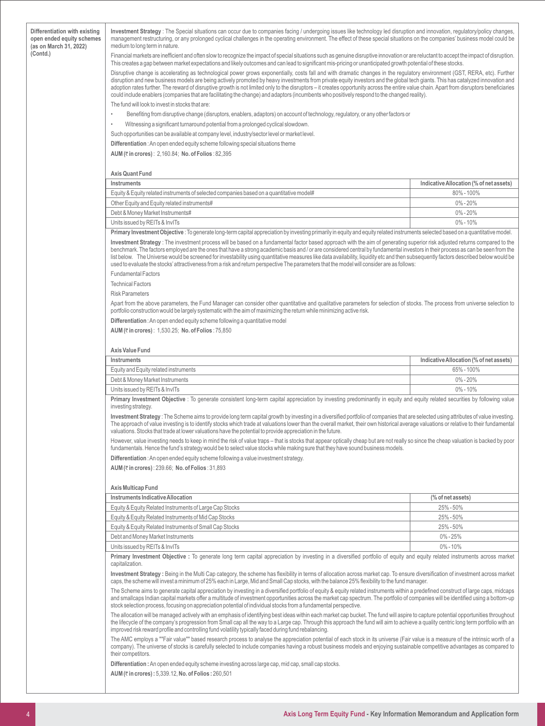| Differentiation with existing<br>open ended equity schemes<br>(as on March 31, 2022) | Investment Strategy: The Special situations can occur due to companies facing / undergoing issues like technology led disruption and innovation, regulatory/policy changes,<br>management restructuring, or any prolonged cyclical challenges in the operating environment. The effect of these special situations on the companies' business model could be<br>medium to long term in nature.                                                                                                                                                                                                                                                                                                                                     |                                         |  |  |  |  |  |  |  |  |  |  |
|--------------------------------------------------------------------------------------|------------------------------------------------------------------------------------------------------------------------------------------------------------------------------------------------------------------------------------------------------------------------------------------------------------------------------------------------------------------------------------------------------------------------------------------------------------------------------------------------------------------------------------------------------------------------------------------------------------------------------------------------------------------------------------------------------------------------------------|-----------------------------------------|--|--|--|--|--|--|--|--|--|--|
| (Contd.)                                                                             | Financial markets are inefficient and often slow to recognize the impact of special situations such as genuine disruptive innovation or are reluctant to accept the impact of disruption                                                                                                                                                                                                                                                                                                                                                                                                                                                                                                                                           |                                         |  |  |  |  |  |  |  |  |  |  |
|                                                                                      | This creates a gap between market expectations and likely outcomes and can lead to significant mis-pricing or unanticipated growth potential of these stocks.                                                                                                                                                                                                                                                                                                                                                                                                                                                                                                                                                                      |                                         |  |  |  |  |  |  |  |  |  |  |
|                                                                                      | Disruptive change is accelerating as technological power grows exponentially, costs fall and with dramatic changes in the regulatory environment (GST, RERA, etc). Further<br>disruption and new business models are being actively promoted by heavy investments from private equity investors and the global tech giants. This has catalyzed innovation and<br>adoption rates further. The reward of disruptive growth is not limited only to the disruptors - it creates opportunity across the entire value chain. Apart from disruptors beneficiaries<br>could include enablers (companies that are facilitating the change) and adaptors (incumbents who positively respond to the changed reality).                         |                                         |  |  |  |  |  |  |  |  |  |  |
|                                                                                      | The fund will look to invest in stocks that are:                                                                                                                                                                                                                                                                                                                                                                                                                                                                                                                                                                                                                                                                                   |                                         |  |  |  |  |  |  |  |  |  |  |
|                                                                                      | Benefiting from disruptive change (disruptors, enablers, adaptors) on account of technology, regulatory, or any other factors or                                                                                                                                                                                                                                                                                                                                                                                                                                                                                                                                                                                                   |                                         |  |  |  |  |  |  |  |  |  |  |
|                                                                                      | Witnessing a significant turnaround potential from a prolonged cyclical slowdown.<br>$\bullet$                                                                                                                                                                                                                                                                                                                                                                                                                                                                                                                                                                                                                                     |                                         |  |  |  |  |  |  |  |  |  |  |
|                                                                                      | Such opportunities can be available at company level, industry/sector level or market level.                                                                                                                                                                                                                                                                                                                                                                                                                                                                                                                                                                                                                                       |                                         |  |  |  |  |  |  |  |  |  |  |
|                                                                                      | Differentiation: An open ended equity scheme following special situations theme                                                                                                                                                                                                                                                                                                                                                                                                                                                                                                                                                                                                                                                    |                                         |  |  |  |  |  |  |  |  |  |  |
|                                                                                      | AUM (₹ in crores): 2,160.84; No. of Folios: 82,395                                                                                                                                                                                                                                                                                                                                                                                                                                                                                                                                                                                                                                                                                 |                                         |  |  |  |  |  |  |  |  |  |  |
|                                                                                      | <b>Axis Quant Fund</b>                                                                                                                                                                                                                                                                                                                                                                                                                                                                                                                                                                                                                                                                                                             |                                         |  |  |  |  |  |  |  |  |  |  |
|                                                                                      | Instruments                                                                                                                                                                                                                                                                                                                                                                                                                                                                                                                                                                                                                                                                                                                        | Indicative Allocation (% of net assets) |  |  |  |  |  |  |  |  |  |  |
|                                                                                      | Equity & Equity related instruments of selected companies based on a quantitative model#                                                                                                                                                                                                                                                                                                                                                                                                                                                                                                                                                                                                                                           | 80% - 100%                              |  |  |  |  |  |  |  |  |  |  |
|                                                                                      | Other Equity and Equity related instruments#                                                                                                                                                                                                                                                                                                                                                                                                                                                                                                                                                                                                                                                                                       | $0\% - 20\%$                            |  |  |  |  |  |  |  |  |  |  |
|                                                                                      | Debt & Money Market Instruments#                                                                                                                                                                                                                                                                                                                                                                                                                                                                                                                                                                                                                                                                                                   | $0\% - 20\%$                            |  |  |  |  |  |  |  |  |  |  |
|                                                                                      | Units issued by REITs & InvITs                                                                                                                                                                                                                                                                                                                                                                                                                                                                                                                                                                                                                                                                                                     | $0\% - 10\%$                            |  |  |  |  |  |  |  |  |  |  |
|                                                                                      | Primary Investment Objective: To generate long-term capital appreciation by investing primarily in equity and equity related instruments selected based on a quantitative model.                                                                                                                                                                                                                                                                                                                                                                                                                                                                                                                                                   |                                         |  |  |  |  |  |  |  |  |  |  |
|                                                                                      | Investment Strategy : The investment process will be based on a fundamental factor based approach with the aim of generating superior risk adjusted returns compared to the<br>benchmark. The factors employed are the ones that have a strong academic basis and/or are considered central by fundamental investors in their process as can be seen from the<br>list below. The Universe would be screened for investability using quantitative measures like data availability, liquidity etc and then subsequently factors described below would be<br>used to evaluate the stocks' attractiveness from a risk and return perspective The parameters that the model will consider are as follows:<br><b>Fundamental Factors</b> |                                         |  |  |  |  |  |  |  |  |  |  |
|                                                                                      | <b>Technical Factors</b>                                                                                                                                                                                                                                                                                                                                                                                                                                                                                                                                                                                                                                                                                                           |                                         |  |  |  |  |  |  |  |  |  |  |
|                                                                                      | <b>Risk Parameters</b>                                                                                                                                                                                                                                                                                                                                                                                                                                                                                                                                                                                                                                                                                                             |                                         |  |  |  |  |  |  |  |  |  |  |
|                                                                                      | Apart from the above parameters, the Fund Manager can consider other quantitative and qualitative parameters for selection of stocks. The process from universe selection to<br>portfolio construction would be largely systematic with the aim of maximizing the return while minimizing active risk.                                                                                                                                                                                                                                                                                                                                                                                                                             |                                         |  |  |  |  |  |  |  |  |  |  |
|                                                                                      | Differentiation: An open ended equity scheme following a quantitative model                                                                                                                                                                                                                                                                                                                                                                                                                                                                                                                                                                                                                                                        |                                         |  |  |  |  |  |  |  |  |  |  |
|                                                                                      | AUM (₹ in crores): 1,530.25; No. of Folios: 75,850                                                                                                                                                                                                                                                                                                                                                                                                                                                                                                                                                                                                                                                                                 |                                         |  |  |  |  |  |  |  |  |  |  |
|                                                                                      | <b>Axis Value Fund</b>                                                                                                                                                                                                                                                                                                                                                                                                                                                                                                                                                                                                                                                                                                             |                                         |  |  |  |  |  |  |  |  |  |  |
|                                                                                      | <b>Instruments</b>                                                                                                                                                                                                                                                                                                                                                                                                                                                                                                                                                                                                                                                                                                                 | Indicative Allocation (% of net assets) |  |  |  |  |  |  |  |  |  |  |
|                                                                                      | Equity and Equity related instruments                                                                                                                                                                                                                                                                                                                                                                                                                                                                                                                                                                                                                                                                                              | 65% - 100%                              |  |  |  |  |  |  |  |  |  |  |
|                                                                                      | Debt & Money Market Instruments                                                                                                                                                                                                                                                                                                                                                                                                                                                                                                                                                                                                                                                                                                    | $0\% - 20\%$                            |  |  |  |  |  |  |  |  |  |  |
|                                                                                      | Units issued by REITs & InvITs                                                                                                                                                                                                                                                                                                                                                                                                                                                                                                                                                                                                                                                                                                     | $0\% - 10\%$                            |  |  |  |  |  |  |  |  |  |  |
|                                                                                      | Primary Investment Objective : To generate consistent long-term capital appreciation by investing predominantly in equity and equity related securities by following value                                                                                                                                                                                                                                                                                                                                                                                                                                                                                                                                                         |                                         |  |  |  |  |  |  |  |  |  |  |
|                                                                                      | investing strategy.<br>Investment Strategy: The Scheme aims to provide long term capital growth by investing in a diversified portfolio of companies that are selected using attributes of value investing.<br>The approach of value investing is to identify stocks which trade at valuations lower than the overall market, their own historical average valuations or relative to their fundamental<br>valuations. Stocks that trade at lower valuations have the potential to provide appreciation in the future.                                                                                                                                                                                                              |                                         |  |  |  |  |  |  |  |  |  |  |
|                                                                                      | However, value investing needs to keep in mind the risk of value traps - that is stocks that appear optically cheap but are not really so since the cheap valuation is backed by poor<br>fundamentals. Hence the fund's strategy would be to select value stocks while making sure that they have sound business models.                                                                                                                                                                                                                                                                                                                                                                                                           |                                         |  |  |  |  |  |  |  |  |  |  |
|                                                                                      | Differentiation: An open ended equity scheme following a value investment strategy.                                                                                                                                                                                                                                                                                                                                                                                                                                                                                                                                                                                                                                                |                                         |  |  |  |  |  |  |  |  |  |  |
|                                                                                      | AUM (₹ in crores): 239.66; No. of Folios: 31,893                                                                                                                                                                                                                                                                                                                                                                                                                                                                                                                                                                                                                                                                                   |                                         |  |  |  |  |  |  |  |  |  |  |
|                                                                                      |                                                                                                                                                                                                                                                                                                                                                                                                                                                                                                                                                                                                                                                                                                                                    |                                         |  |  |  |  |  |  |  |  |  |  |
|                                                                                      | Axis Multicap Fund                                                                                                                                                                                                                                                                                                                                                                                                                                                                                                                                                                                                                                                                                                                 |                                         |  |  |  |  |  |  |  |  |  |  |
|                                                                                      | <b>Instruments Indicative Allocation</b>                                                                                                                                                                                                                                                                                                                                                                                                                                                                                                                                                                                                                                                                                           | (% of net assets)                       |  |  |  |  |  |  |  |  |  |  |
|                                                                                      | Equity & Equity Related Instruments of Large Cap Stocks                                                                                                                                                                                                                                                                                                                                                                                                                                                                                                                                                                                                                                                                            | 25% - 50%                               |  |  |  |  |  |  |  |  |  |  |
|                                                                                      | Equity & Equity Related Instruments of Mid Cap Stocks                                                                                                                                                                                                                                                                                                                                                                                                                                                                                                                                                                                                                                                                              | 25% - 50%                               |  |  |  |  |  |  |  |  |  |  |
|                                                                                      | Equity & Equity Related Instruments of Small Cap Stocks                                                                                                                                                                                                                                                                                                                                                                                                                                                                                                                                                                                                                                                                            | 25% - 50%                               |  |  |  |  |  |  |  |  |  |  |
|                                                                                      | Debt and Money Market Instruments                                                                                                                                                                                                                                                                                                                                                                                                                                                                                                                                                                                                                                                                                                  | $0\% - 25\%$                            |  |  |  |  |  |  |  |  |  |  |
|                                                                                      | Units issued by REITs & InvITs                                                                                                                                                                                                                                                                                                                                                                                                                                                                                                                                                                                                                                                                                                     | $0\% - 10\%$                            |  |  |  |  |  |  |  |  |  |  |
|                                                                                      | Primary Investment Objective: To generate long term capital appreciation by investing in a diversified portfolio of equity and equity related instruments across market<br>capitalization.                                                                                                                                                                                                                                                                                                                                                                                                                                                                                                                                         |                                         |  |  |  |  |  |  |  |  |  |  |
|                                                                                      | Investment Strategy : Being in the Multi Cap category, the scheme has flexibility in terms of allocation across market cap. To ensure diversification of investment across market<br>caps, the scheme will invest a minimum of 25% each in Large, Mid and Small Cap stocks, with the balance 25% flexibility to the fund manager.                                                                                                                                                                                                                                                                                                                                                                                                  |                                         |  |  |  |  |  |  |  |  |  |  |
|                                                                                      | The Scheme aims to generate capital appreciation by investing in a diversified portfolio of equity & equity related instruments within a predefined construct of large caps, midcaps<br>and smallcaps Indian capital markets offer a multitude of investment opportunities across the market cap spectrum. The portfolio of companies will be identified using a bottom-up                                                                                                                                                                                                                                                                                                                                                         |                                         |  |  |  |  |  |  |  |  |  |  |
|                                                                                      | stock selection process, focusing on appreciation potential of individual stocks from a fundamental perspective.                                                                                                                                                                                                                                                                                                                                                                                                                                                                                                                                                                                                                   |                                         |  |  |  |  |  |  |  |  |  |  |
|                                                                                      | The allocation will be managed actively with an emphasis of identifying best ideas within each market cap bucket. The fund will aspire to capture potential opportunities throughout<br>the lifecycle of the company's progression from Small cap all the way to a Large cap. Through this approach the fund will aim to achieve a quality centric long term portfolio with an<br>improved risk reward profile and controlling fund volatility typically faced during fund rebalancing.                                                                                                                                                                                                                                            |                                         |  |  |  |  |  |  |  |  |  |  |
|                                                                                      | The AMC employs a ""Fair value"" based research process to analyse the appreciation potential of each stock in its universe (Fair value is a measure of the intrinsic worth of a<br>company). The universe of stocks is carefully selected to include companies having a robust business models and enjoying sustainable competitive advantages as compared to<br>their competitors.                                                                                                                                                                                                                                                                                                                                               |                                         |  |  |  |  |  |  |  |  |  |  |
|                                                                                      | Differentiation: An open ended equity scheme investing across large cap, mid cap, small cap stocks.<br>AUM (₹ in crores): 5,339.12, No. of Folios: 260,501                                                                                                                                                                                                                                                                                                                                                                                                                                                                                                                                                                         |                                         |  |  |  |  |  |  |  |  |  |  |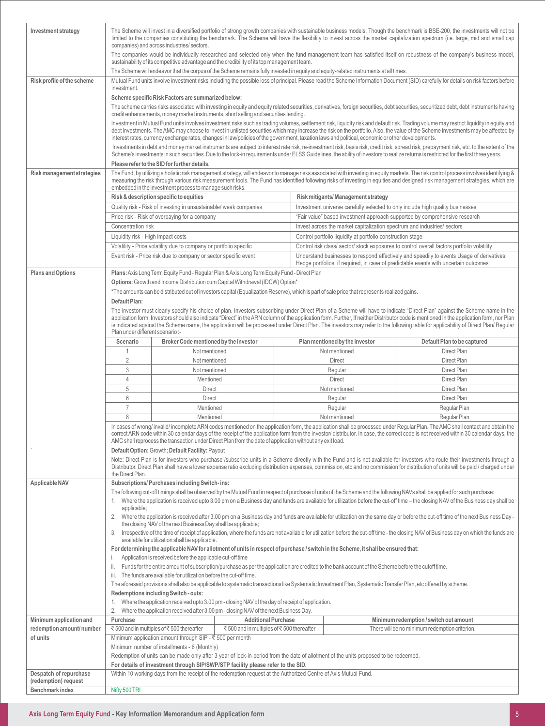| Investment strategy                            |                                                                                                                                                                                                                                                                                                                                      | companies) and across industries/ sectors.<br>sustainability of its competitive advantage and the credibility of its top management team. |                                          |  |                                                                                                                                                                | The Scheme will invest in a diversified portfolio of strong growth companies with sustainable business models. Though the benchmark is BSE-200, the investments will not be<br>limited to the companies constituting the benchmark. The Scheme will have the flexibility to invest across the market capitalization spectrum (i.e. large, mid and small cap<br>The companies would be individually researched and selected only when the fund management team has satisfied itself on robustness of the company's business model,                               |  |  |  |  |  |  |  |
|------------------------------------------------|--------------------------------------------------------------------------------------------------------------------------------------------------------------------------------------------------------------------------------------------------------------------------------------------------------------------------------------|-------------------------------------------------------------------------------------------------------------------------------------------|------------------------------------------|--|----------------------------------------------------------------------------------------------------------------------------------------------------------------|-----------------------------------------------------------------------------------------------------------------------------------------------------------------------------------------------------------------------------------------------------------------------------------------------------------------------------------------------------------------------------------------------------------------------------------------------------------------------------------------------------------------------------------------------------------------|--|--|--|--|--|--|--|
|                                                |                                                                                                                                                                                                                                                                                                                                      |                                                                                                                                           |                                          |  | The Scheme will endeavor that the corpus of the Scheme remains fully invested in equity and equity-related instruments at all times.                           |                                                                                                                                                                                                                                                                                                                                                                                                                                                                                                                                                                 |  |  |  |  |  |  |  |
| Risk profile of the scheme                     | investment.                                                                                                                                                                                                                                                                                                                          |                                                                                                                                           |                                          |  |                                                                                                                                                                | Mutual Fund units involve investment risks including the possible loss of principal. Please read the Scheme Information Document (SID) carefully for details on risk factors before                                                                                                                                                                                                                                                                                                                                                                             |  |  |  |  |  |  |  |
|                                                |                                                                                                                                                                                                                                                                                                                                      | Scheme specific Risk Factors are summarized below:                                                                                        |                                          |  |                                                                                                                                                                |                                                                                                                                                                                                                                                                                                                                                                                                                                                                                                                                                                 |  |  |  |  |  |  |  |
|                                                |                                                                                                                                                                                                                                                                                                                                      |                                                                                                                                           |                                          |  |                                                                                                                                                                | The scheme carries risks associated with investing in equity and equity related securities, derivatives, foreign securities, debt securities, securitized debt, debt instruments having                                                                                                                                                                                                                                                                                                                                                                         |  |  |  |  |  |  |  |
|                                                | credit enhancements, money market instruments, short selling and securities lending.<br>Investment in Mutual Fund units involves investment risks such as trading volumes, settlement risk, liquidity risk and default risk. Trading volume may restrict liquidity in equity and                                                     |                                                                                                                                           |                                          |  |                                                                                                                                                                |                                                                                                                                                                                                                                                                                                                                                                                                                                                                                                                                                                 |  |  |  |  |  |  |  |
|                                                | debt investments. The AMC may choose to invest in unlisted securities which may increase the risk on the portfolio. Also, the value of the Scheme investments may be affected by<br>interest rates, currency exchange rates, changes in law/policies of the government, taxation laws and political, economic or other developments. |                                                                                                                                           |                                          |  |                                                                                                                                                                |                                                                                                                                                                                                                                                                                                                                                                                                                                                                                                                                                                 |  |  |  |  |  |  |  |
|                                                |                                                                                                                                                                                                                                                                                                                                      |                                                                                                                                           |                                          |  |                                                                                                                                                                | Investments in debt and money market instruments are subject to interest rate risk, re-investment risk, basis risk, credit risk, spread risk, prepayment risk, etc. to the extent of the<br>Scheme's investments in such securities. Due to the lock-in requirements under ELSS Guidelines, the ability of investors to realize returns is restricted for the first three years.                                                                                                                                                                                |  |  |  |  |  |  |  |
|                                                |                                                                                                                                                                                                                                                                                                                                      | Please refer to the SID for further details.                                                                                              |                                          |  |                                                                                                                                                                |                                                                                                                                                                                                                                                                                                                                                                                                                                                                                                                                                                 |  |  |  |  |  |  |  |
| Risk management strategies                     |                                                                                                                                                                                                                                                                                                                                      | embedded in the investment process to manage such risks.                                                                                  |                                          |  |                                                                                                                                                                | The Fund, by utilizing a holistic risk management strategy, will endeavor to manage risks associated with investing in equity markets. The risk control process involves identifying &<br>measuring the risk through various risk measurement tools. The Fund has identified following risks of investing in equities and designed risk management strategies, which are                                                                                                                                                                                        |  |  |  |  |  |  |  |
|                                                |                                                                                                                                                                                                                                                                                                                                      | Risk & description specific to equities                                                                                                   |                                          |  | Risk mitigants/ Management strategy                                                                                                                            |                                                                                                                                                                                                                                                                                                                                                                                                                                                                                                                                                                 |  |  |  |  |  |  |  |
|                                                |                                                                                                                                                                                                                                                                                                                                      | Quality risk - Risk of investing in unsustainable/ weak companies                                                                         |                                          |  |                                                                                                                                                                | Investment universe carefully selected to only include high quality businesses                                                                                                                                                                                                                                                                                                                                                                                                                                                                                  |  |  |  |  |  |  |  |
|                                                |                                                                                                                                                                                                                                                                                                                                      | Price risk - Risk of overpaying for a company                                                                                             |                                          |  |                                                                                                                                                                | "Fair value" based investment approach supported by comprehensive research                                                                                                                                                                                                                                                                                                                                                                                                                                                                                      |  |  |  |  |  |  |  |
|                                                | Concentration risk                                                                                                                                                                                                                                                                                                                   |                                                                                                                                           |                                          |  | Invest across the market capitalization spectrum and industries/ sectors                                                                                       |                                                                                                                                                                                                                                                                                                                                                                                                                                                                                                                                                                 |  |  |  |  |  |  |  |
|                                                | Liquidity risk - High impact costs                                                                                                                                                                                                                                                                                                   | Volatility - Price volatility due to company or portfolio specific                                                                        |                                          |  | Control portfolio liquidity at portfolio construction stage                                                                                                    | Control risk class/ sector/ stock exposures to control overall factors portfolio volatility                                                                                                                                                                                                                                                                                                                                                                                                                                                                     |  |  |  |  |  |  |  |
|                                                |                                                                                                                                                                                                                                                                                                                                      | Event risk - Price risk due to company or sector specific event                                                                           |                                          |  |                                                                                                                                                                | Understand businesses to respond effectively and speedily to events Usage of derivatives:                                                                                                                                                                                                                                                                                                                                                                                                                                                                       |  |  |  |  |  |  |  |
| <b>Plans and Options</b>                       |                                                                                                                                                                                                                                                                                                                                      | Plans: Axis Long Term Equity Fund - Regular Plan & Axis Long Term Equity Fund - Direct Plan                                               |                                          |  |                                                                                                                                                                | Hedge portfolios, if required, in case of predictable events with uncertain outcomes                                                                                                                                                                                                                                                                                                                                                                                                                                                                            |  |  |  |  |  |  |  |
|                                                |                                                                                                                                                                                                                                                                                                                                      | Options: Growth and Income Distribution cum Capital Withdrawal (IDCW) Option*                                                             |                                          |  |                                                                                                                                                                |                                                                                                                                                                                                                                                                                                                                                                                                                                                                                                                                                                 |  |  |  |  |  |  |  |
|                                                |                                                                                                                                                                                                                                                                                                                                      |                                                                                                                                           |                                          |  | *The amounts can be distributed out of investors capital (Equalization Reserve), which is part of sale price that represents realized gains.                   |                                                                                                                                                                                                                                                                                                                                                                                                                                                                                                                                                                 |  |  |  |  |  |  |  |
|                                                | Default Plan:                                                                                                                                                                                                                                                                                                                        |                                                                                                                                           |                                          |  |                                                                                                                                                                |                                                                                                                                                                                                                                                                                                                                                                                                                                                                                                                                                                 |  |  |  |  |  |  |  |
|                                                | Plan under different scenario :-                                                                                                                                                                                                                                                                                                     |                                                                                                                                           |                                          |  |                                                                                                                                                                | The investor must clearly specify his choice of plan. Investors subscribing under Direct Plan of a Scheme will have to indicate "Direct Plan" against the Scheme name in the<br>application form. Investors should also indicate "Direct" in the ARN column of the application form. Further, If neither Distributor code is mentioned in the application form, nor Plan<br>is indicated against the Scheme name, the application will be processed under Direct Plan. The investors may refer to the following table for applicability of Direct Plan/ Regular |  |  |  |  |  |  |  |
|                                                | Scenario                                                                                                                                                                                                                                                                                                                             | Broker Code mentioned by the investor                                                                                                     |                                          |  | Plan mentioned by the investor                                                                                                                                 | Default Plan to be captured                                                                                                                                                                                                                                                                                                                                                                                                                                                                                                                                     |  |  |  |  |  |  |  |
|                                                | 1                                                                                                                                                                                                                                                                                                                                    | Not mentioned                                                                                                                             |                                          |  | Not mentioned                                                                                                                                                  | Direct Plan                                                                                                                                                                                                                                                                                                                                                                                                                                                                                                                                                     |  |  |  |  |  |  |  |
|                                                | $\overline{2}$                                                                                                                                                                                                                                                                                                                       | Not mentioned                                                                                                                             |                                          |  | <b>Direct</b>                                                                                                                                                  | Direct Plan                                                                                                                                                                                                                                                                                                                                                                                                                                                                                                                                                     |  |  |  |  |  |  |  |
|                                                | 3<br>4                                                                                                                                                                                                                                                                                                                               | Not mentioned                                                                                                                             |                                          |  | Regular                                                                                                                                                        | Direct Plan<br>Direct Plan                                                                                                                                                                                                                                                                                                                                                                                                                                                                                                                                      |  |  |  |  |  |  |  |
|                                                | 5                                                                                                                                                                                                                                                                                                                                    | Mentioned<br>Direct                                                                                                                       |                                          |  | Direct<br>Not mentioned                                                                                                                                        | Direct Plan                                                                                                                                                                                                                                                                                                                                                                                                                                                                                                                                                     |  |  |  |  |  |  |  |
|                                                | 6                                                                                                                                                                                                                                                                                                                                    | Direct                                                                                                                                    |                                          |  | Regular                                                                                                                                                        | Direct Plan                                                                                                                                                                                                                                                                                                                                                                                                                                                                                                                                                     |  |  |  |  |  |  |  |
|                                                | $\overline{7}$                                                                                                                                                                                                                                                                                                                       | Mentioned                                                                                                                                 |                                          |  | Regular                                                                                                                                                        | Regular Plan                                                                                                                                                                                                                                                                                                                                                                                                                                                                                                                                                    |  |  |  |  |  |  |  |
|                                                | 8                                                                                                                                                                                                                                                                                                                                    | Mentioned                                                                                                                                 |                                          |  | Not mentioned                                                                                                                                                  | Regular Plan                                                                                                                                                                                                                                                                                                                                                                                                                                                                                                                                                    |  |  |  |  |  |  |  |
|                                                |                                                                                                                                                                                                                                                                                                                                      | AMC shall reprocess the transaction under Direct Plan from the date of application without any exit load.                                 |                                          |  |                                                                                                                                                                | In cases of wrong/invalid/incomplete ARN codes mentioned on the application form, the application shall be processed under Regular Plan. The AMC shall contact and obtain the<br>correct ARN code within 30 calendar days of the receipt of the application form from the investor/ distributor. In case, the correct code is not received within 30 calendar days, the                                                                                                                                                                                         |  |  |  |  |  |  |  |
|                                                |                                                                                                                                                                                                                                                                                                                                      | Default Option: Growth; Default Facility: Payout                                                                                          |                                          |  |                                                                                                                                                                |                                                                                                                                                                                                                                                                                                                                                                                                                                                                                                                                                                 |  |  |  |  |  |  |  |
|                                                | the Direct Plan.                                                                                                                                                                                                                                                                                                                     |                                                                                                                                           |                                          |  |                                                                                                                                                                | Note: Direct Plan is for investors who purchase /subscribe units in a Scheme directly with the Fund and is not available for investors who route their investments through a<br>Distributor. Direct Plan shall have a lower expense ratio excluding distribution expenses, commission, etc and no commission for distribution of units will be paid / charged under                                                                                                                                                                                             |  |  |  |  |  |  |  |
| Applicable NAV                                 |                                                                                                                                                                                                                                                                                                                                      | Subscriptions/ Purchases including Switch- ins:                                                                                           |                                          |  |                                                                                                                                                                |                                                                                                                                                                                                                                                                                                                                                                                                                                                                                                                                                                 |  |  |  |  |  |  |  |
|                                                | applicable;                                                                                                                                                                                                                                                                                                                          |                                                                                                                                           |                                          |  |                                                                                                                                                                | The following cut-off timings shall be observed by the Mutual Fund in respect of purchase of units of the Scheme and the following NAVs shall be applied for such purchase:<br>1. Where the application is received upto 3.00 pm on a Business day and funds are available for utilization before the cut-off time - the closing NAV of the Business day shall be                                                                                                                                                                                               |  |  |  |  |  |  |  |
|                                                |                                                                                                                                                                                                                                                                                                                                      | the closing NAV of the next Business Day shall be applicable;                                                                             |                                          |  |                                                                                                                                                                | 2. Where the application is received after 3.00 pm on a Business day and funds are available for utilization on the same day or before the cut-off time of the next Business Day -                                                                                                                                                                                                                                                                                                                                                                              |  |  |  |  |  |  |  |
|                                                |                                                                                                                                                                                                                                                                                                                                      |                                                                                                                                           |                                          |  |                                                                                                                                                                | 3. Irrespective of the time of receipt of application, where the funds are not available for utilization before the cut-off time - the closing NAV of Business day on which the funds are                                                                                                                                                                                                                                                                                                                                                                       |  |  |  |  |  |  |  |
|                                                |                                                                                                                                                                                                                                                                                                                                      | available for utilization shall be applicable.                                                                                            |                                          |  | For determining the applicable NAV for allotment of units in respect of purchase / switch in the Scheme, it shall be ensured that:                             |                                                                                                                                                                                                                                                                                                                                                                                                                                                                                                                                                                 |  |  |  |  |  |  |  |
|                                                | i.                                                                                                                                                                                                                                                                                                                                   | Application is received before the applicable cut-off time                                                                                |                                          |  |                                                                                                                                                                |                                                                                                                                                                                                                                                                                                                                                                                                                                                                                                                                                                 |  |  |  |  |  |  |  |
|                                                | ii.                                                                                                                                                                                                                                                                                                                                  |                                                                                                                                           |                                          |  | Funds for the entire amount of subscription/purchase as per the application are credited to the bank account of the Scheme before the cutoff time.             |                                                                                                                                                                                                                                                                                                                                                                                                                                                                                                                                                                 |  |  |  |  |  |  |  |
|                                                | iii.                                                                                                                                                                                                                                                                                                                                 | The funds are available for utilization before the cut-off time.                                                                          |                                          |  |                                                                                                                                                                |                                                                                                                                                                                                                                                                                                                                                                                                                                                                                                                                                                 |  |  |  |  |  |  |  |
|                                                |                                                                                                                                                                                                                                                                                                                                      | Redemptions including Switch - outs:                                                                                                      |                                          |  | The aforesaid provisions shall also be applicable to systematic transactions like Systematic Investment Plan, Systematic Transfer Plan, etc offered by scheme. |                                                                                                                                                                                                                                                                                                                                                                                                                                                                                                                                                                 |  |  |  |  |  |  |  |
|                                                | 1.                                                                                                                                                                                                                                                                                                                                   | Where the application received upto 3.00 pm - closing NAV of the day of receipt of application.                                           |                                          |  |                                                                                                                                                                |                                                                                                                                                                                                                                                                                                                                                                                                                                                                                                                                                                 |  |  |  |  |  |  |  |
|                                                | 2.                                                                                                                                                                                                                                                                                                                                   | Where the application received after 3.00 pm - closing NAV of the next Business Day.                                                      |                                          |  |                                                                                                                                                                |                                                                                                                                                                                                                                                                                                                                                                                                                                                                                                                                                                 |  |  |  |  |  |  |  |
| Minimum application and                        | Purchase                                                                                                                                                                                                                                                                                                                             |                                                                                                                                           | <b>Additional Purchase</b>               |  |                                                                                                                                                                | Minimum redemption / switch out amount                                                                                                                                                                                                                                                                                                                                                                                                                                                                                                                          |  |  |  |  |  |  |  |
| redemption amount/number<br>of units           |                                                                                                                                                                                                                                                                                                                                      | ₹500 and in multiples of ₹500 thereafter<br>Minimum application amount through SIP - ₹ 500 per month                                      | ₹500 and in multiples of ₹500 thereafter |  |                                                                                                                                                                | There will be no minimum redemption criterion.                                                                                                                                                                                                                                                                                                                                                                                                                                                                                                                  |  |  |  |  |  |  |  |
|                                                |                                                                                                                                                                                                                                                                                                                                      | Minimum number of installments - 6 (Monthly)                                                                                              |                                          |  |                                                                                                                                                                |                                                                                                                                                                                                                                                                                                                                                                                                                                                                                                                                                                 |  |  |  |  |  |  |  |
|                                                |                                                                                                                                                                                                                                                                                                                                      |                                                                                                                                           |                                          |  | Redemption of units can be made only after 3 year of lock-in-period from the date of allotment of the units proposed to be redeemed.                           |                                                                                                                                                                                                                                                                                                                                                                                                                                                                                                                                                                 |  |  |  |  |  |  |  |
|                                                |                                                                                                                                                                                                                                                                                                                                      | For details of investment through SIP/SWP/STP facility please refer to the SID.                                                           |                                          |  |                                                                                                                                                                |                                                                                                                                                                                                                                                                                                                                                                                                                                                                                                                                                                 |  |  |  |  |  |  |  |
| Despatch of repurchase<br>(redemption) request |                                                                                                                                                                                                                                                                                                                                      | Within 10 working days from the receipt of the redemption request at the Authorized Centre of Axis Mutual Fund.                           |                                          |  |                                                                                                                                                                |                                                                                                                                                                                                                                                                                                                                                                                                                                                                                                                                                                 |  |  |  |  |  |  |  |
| <b>Benchmark index</b>                         | Nifty 500 TRI                                                                                                                                                                                                                                                                                                                        |                                                                                                                                           |                                          |  |                                                                                                                                                                |                                                                                                                                                                                                                                                                                                                                                                                                                                                                                                                                                                 |  |  |  |  |  |  |  |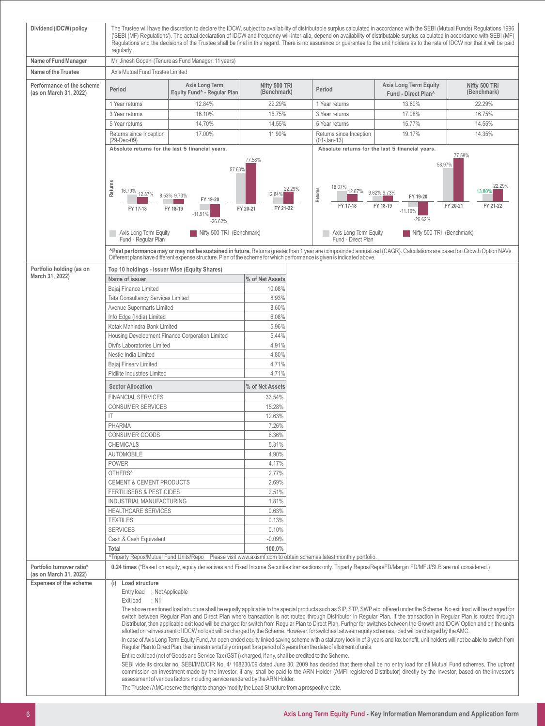| Dividend (IDCW) policy                              | regularly.                                                                     | The Trustee will have the discretion to declare the IDCW, subject to availability of distributable surplus calculated in accordance with the SEBI (Mutual Funds) Regulations 1996<br>('SEBI (MF) Regulations'). The actual declaration of IDCW and frequency will inter-alia, depend on availability of distributable surplus calculated in accordance with SEBI (MF)<br>Regulations and the decisions of the Trustee shall be final in this regard. There is no assurance or guarantee to the unit holders as to the rate of IDCW nor that it will be paid                                                                                                                                                                                                                                                                                                                                                                                                                                                                                                                                                                                                                                                                                                                                                                                                                                                                                                                                                                                                                                                                                                           |                                          |        |                                                     |                                                          |                                          |
|-----------------------------------------------------|--------------------------------------------------------------------------------|-----------------------------------------------------------------------------------------------------------------------------------------------------------------------------------------------------------------------------------------------------------------------------------------------------------------------------------------------------------------------------------------------------------------------------------------------------------------------------------------------------------------------------------------------------------------------------------------------------------------------------------------------------------------------------------------------------------------------------------------------------------------------------------------------------------------------------------------------------------------------------------------------------------------------------------------------------------------------------------------------------------------------------------------------------------------------------------------------------------------------------------------------------------------------------------------------------------------------------------------------------------------------------------------------------------------------------------------------------------------------------------------------------------------------------------------------------------------------------------------------------------------------------------------------------------------------------------------------------------------------------------------------------------------------|------------------------------------------|--------|-----------------------------------------------------|----------------------------------------------------------|------------------------------------------|
| Name of Fund Manager                                |                                                                                | Mr. Jinesh Gopani (Tenure as Fund Manager: 11 years)                                                                                                                                                                                                                                                                                                                                                                                                                                                                                                                                                                                                                                                                                                                                                                                                                                                                                                                                                                                                                                                                                                                                                                                                                                                                                                                                                                                                                                                                                                                                                                                                                  |                                          |        |                                                     |                                                          |                                          |
| Name of the Trustee                                 | Axis Mutual Fund Trustee Limited                                               |                                                                                                                                                                                                                                                                                                                                                                                                                                                                                                                                                                                                                                                                                                                                                                                                                                                                                                                                                                                                                                                                                                                                                                                                                                                                                                                                                                                                                                                                                                                                                                                                                                                                       |                                          |        |                                                     |                                                          |                                          |
| Performance of the scheme                           |                                                                                | Axis Long Term                                                                                                                                                                                                                                                                                                                                                                                                                                                                                                                                                                                                                                                                                                                                                                                                                                                                                                                                                                                                                                                                                                                                                                                                                                                                                                                                                                                                                                                                                                                                                                                                                                                        | Nifty 500 TRI                            |        |                                                     | <b>Axis Long Term Equity</b>                             | Nifty 500 TRI                            |
| (as on March 31, 2022)                              | Period                                                                         | Equity Fund <sup>^</sup> - Regular Plan                                                                                                                                                                                                                                                                                                                                                                                                                                                                                                                                                                                                                                                                                                                                                                                                                                                                                                                                                                                                                                                                                                                                                                                                                                                                                                                                                                                                                                                                                                                                                                                                                               | (Benchmark)                              |        | Period                                              | Fund - Direct Plan^                                      | (Benchmark)                              |
|                                                     | 1 Year returns                                                                 | 12.84%                                                                                                                                                                                                                                                                                                                                                                                                                                                                                                                                                                                                                                                                                                                                                                                                                                                                                                                                                                                                                                                                                                                                                                                                                                                                                                                                                                                                                                                                                                                                                                                                                                                                | 22.29%                                   |        | 1 Year returns                                      | 13.80%                                                   | 22.29%                                   |
|                                                     | 3 Year returns                                                                 | 16.10%                                                                                                                                                                                                                                                                                                                                                                                                                                                                                                                                                                                                                                                                                                                                                                                                                                                                                                                                                                                                                                                                                                                                                                                                                                                                                                                                                                                                                                                                                                                                                                                                                                                                | 16.75%                                   |        | 3 Year returns                                      | 17.08%                                                   | 16.75%                                   |
|                                                     | 5 Year returns                                                                 | 14.70%                                                                                                                                                                                                                                                                                                                                                                                                                                                                                                                                                                                                                                                                                                                                                                                                                                                                                                                                                                                                                                                                                                                                                                                                                                                                                                                                                                                                                                                                                                                                                                                                                                                                | 14.55%                                   |        | 5 Year returns                                      | 15.77%                                                   | 14.55%                                   |
|                                                     | Returns since Inception<br>(29-Dec-09)                                         | 17.00%                                                                                                                                                                                                                                                                                                                                                                                                                                                                                                                                                                                                                                                                                                                                                                                                                                                                                                                                                                                                                                                                                                                                                                                                                                                                                                                                                                                                                                                                                                                                                                                                                                                                | 11.90%                                   |        | Returns since Inception<br>$(01-Jan-13)$            | 19.17%                                                   | 14.35%                                   |
|                                                     |                                                                                | Absolute returns for the last 5 financial years.                                                                                                                                                                                                                                                                                                                                                                                                                                                                                                                                                                                                                                                                                                                                                                                                                                                                                                                                                                                                                                                                                                                                                                                                                                                                                                                                                                                                                                                                                                                                                                                                                      |                                          |        |                                                     | Absolute returns for the last 5 financial years.         | 77.58%                                   |
|                                                     | Returns<br>16.79% 12.87%<br>FY 17-18                                           | 57.63%<br>8.53% 9.73%<br>FY 19-20<br>FY 18-19<br>$-11.91%$<br>$-26.62%$                                                                                                                                                                                                                                                                                                                                                                                                                                                                                                                                                                                                                                                                                                                                                                                                                                                                                                                                                                                                                                                                                                                                                                                                                                                                                                                                                                                                                                                                                                                                                                                               | 77.58%<br>12.84%<br>FY 21-22<br>FY 20-21 | 22.29% | 18.07%<br>Returns<br>12.87% 9.62% 9.73%<br>FY 17-18 | 58.97%<br>FY 19-20<br>FY 18-19<br>$-11.16%$<br>$-26.62%$ | 22.29%<br>13.80%<br>FY 20-21<br>FY 21-22 |
|                                                     | Axis Long Term Equity<br>Fund - Regular Plan                                   | Nifty 500 TRI (Benchmark)                                                                                                                                                                                                                                                                                                                                                                                                                                                                                                                                                                                                                                                                                                                                                                                                                                                                                                                                                                                                                                                                                                                                                                                                                                                                                                                                                                                                                                                                                                                                                                                                                                             |                                          |        | Axis Long Term Equity<br>Fund - Direct Plan         | Nifty 500 TRI (Benchmark)                                |                                          |
|                                                     |                                                                                | A Past performance may or may not be sustained in future. Returns greater than 1 year are compounded annualized (CAGR). Calculations are based on Growth Option NAVs.<br>Different plans have different expense structure. Plan of the scheme for which performance is given is indicated above.                                                                                                                                                                                                                                                                                                                                                                                                                                                                                                                                                                                                                                                                                                                                                                                                                                                                                                                                                                                                                                                                                                                                                                                                                                                                                                                                                                      |                                          |        |                                                     |                                                          |                                          |
| Portfolio holding (as on                            | Top 10 holdings - Issuer Wise (Equity Shares)                                  |                                                                                                                                                                                                                                                                                                                                                                                                                                                                                                                                                                                                                                                                                                                                                                                                                                                                                                                                                                                                                                                                                                                                                                                                                                                                                                                                                                                                                                                                                                                                                                                                                                                                       |                                          |        |                                                     |                                                          |                                          |
| March 31, 2022)                                     | Name of issuer                                                                 |                                                                                                                                                                                                                                                                                                                                                                                                                                                                                                                                                                                                                                                                                                                                                                                                                                                                                                                                                                                                                                                                                                                                                                                                                                                                                                                                                                                                                                                                                                                                                                                                                                                                       | % of Net Assets                          |        |                                                     |                                                          |                                          |
|                                                     | Bajaj Finance Limited                                                          |                                                                                                                                                                                                                                                                                                                                                                                                                                                                                                                                                                                                                                                                                                                                                                                                                                                                                                                                                                                                                                                                                                                                                                                                                                                                                                                                                                                                                                                                                                                                                                                                                                                                       | 10.08%                                   |        |                                                     |                                                          |                                          |
|                                                     | <b>Tata Consultancy Services Limited</b>                                       |                                                                                                                                                                                                                                                                                                                                                                                                                                                                                                                                                                                                                                                                                                                                                                                                                                                                                                                                                                                                                                                                                                                                                                                                                                                                                                                                                                                                                                                                                                                                                                                                                                                                       | 8.93%                                    |        |                                                     |                                                          |                                          |
|                                                     | Avenue Supermarts Limited                                                      |                                                                                                                                                                                                                                                                                                                                                                                                                                                                                                                                                                                                                                                                                                                                                                                                                                                                                                                                                                                                                                                                                                                                                                                                                                                                                                                                                                                                                                                                                                                                                                                                                                                                       | 8.60%                                    |        |                                                     |                                                          |                                          |
|                                                     | Info Edge (India) Limited                                                      |                                                                                                                                                                                                                                                                                                                                                                                                                                                                                                                                                                                                                                                                                                                                                                                                                                                                                                                                                                                                                                                                                                                                                                                                                                                                                                                                                                                                                                                                                                                                                                                                                                                                       | 6.08%                                    |        |                                                     |                                                          |                                          |
|                                                     | Kotak Mahindra Bank Limited                                                    |                                                                                                                                                                                                                                                                                                                                                                                                                                                                                                                                                                                                                                                                                                                                                                                                                                                                                                                                                                                                                                                                                                                                                                                                                                                                                                                                                                                                                                                                                                                                                                                                                                                                       | 5.96%                                    |        |                                                     |                                                          |                                          |
|                                                     |                                                                                | Housing Development Finance Corporation Limited                                                                                                                                                                                                                                                                                                                                                                                                                                                                                                                                                                                                                                                                                                                                                                                                                                                                                                                                                                                                                                                                                                                                                                                                                                                                                                                                                                                                                                                                                                                                                                                                                       | 5.44%                                    |        |                                                     |                                                          |                                          |
|                                                     | Divi's Laboratories Limited                                                    |                                                                                                                                                                                                                                                                                                                                                                                                                                                                                                                                                                                                                                                                                                                                                                                                                                                                                                                                                                                                                                                                                                                                                                                                                                                                                                                                                                                                                                                                                                                                                                                                                                                                       | 4.91%                                    |        |                                                     |                                                          |                                          |
|                                                     | Nestle India Limited                                                           |                                                                                                                                                                                                                                                                                                                                                                                                                                                                                                                                                                                                                                                                                                                                                                                                                                                                                                                                                                                                                                                                                                                                                                                                                                                                                                                                                                                                                                                                                                                                                                                                                                                                       | 4.80%                                    |        |                                                     |                                                          |                                          |
|                                                     | Bajaj Finserv Limited                                                          |                                                                                                                                                                                                                                                                                                                                                                                                                                                                                                                                                                                                                                                                                                                                                                                                                                                                                                                                                                                                                                                                                                                                                                                                                                                                                                                                                                                                                                                                                                                                                                                                                                                                       | 4.71%                                    |        |                                                     |                                                          |                                          |
|                                                     | Pidilite Industries Limited                                                    |                                                                                                                                                                                                                                                                                                                                                                                                                                                                                                                                                                                                                                                                                                                                                                                                                                                                                                                                                                                                                                                                                                                                                                                                                                                                                                                                                                                                                                                                                                                                                                                                                                                                       | 4.71%                                    |        |                                                     |                                                          |                                          |
|                                                     | <b>Sector Allocation</b>                                                       |                                                                                                                                                                                                                                                                                                                                                                                                                                                                                                                                                                                                                                                                                                                                                                                                                                                                                                                                                                                                                                                                                                                                                                                                                                                                                                                                                                                                                                                                                                                                                                                                                                                                       | % of Net Assets                          |        |                                                     |                                                          |                                          |
|                                                     | <b>FINANCIAL SERVICES</b>                                                      |                                                                                                                                                                                                                                                                                                                                                                                                                                                                                                                                                                                                                                                                                                                                                                                                                                                                                                                                                                                                                                                                                                                                                                                                                                                                                                                                                                                                                                                                                                                                                                                                                                                                       | 33.54%                                   |        |                                                     |                                                          |                                          |
|                                                     | <b>CONSUMER SERVICES</b>                                                       |                                                                                                                                                                                                                                                                                                                                                                                                                                                                                                                                                                                                                                                                                                                                                                                                                                                                                                                                                                                                                                                                                                                                                                                                                                                                                                                                                                                                                                                                                                                                                                                                                                                                       | 15.28%                                   |        |                                                     |                                                          |                                          |
|                                                     | IT                                                                             |                                                                                                                                                                                                                                                                                                                                                                                                                                                                                                                                                                                                                                                                                                                                                                                                                                                                                                                                                                                                                                                                                                                                                                                                                                                                                                                                                                                                                                                                                                                                                                                                                                                                       | 12.63%                                   |        |                                                     |                                                          |                                          |
|                                                     | <b>PHARMA</b>                                                                  |                                                                                                                                                                                                                                                                                                                                                                                                                                                                                                                                                                                                                                                                                                                                                                                                                                                                                                                                                                                                                                                                                                                                                                                                                                                                                                                                                                                                                                                                                                                                                                                                                                                                       | 7.26%                                    |        |                                                     |                                                          |                                          |
|                                                     | CONSUMER GOODS                                                                 |                                                                                                                                                                                                                                                                                                                                                                                                                                                                                                                                                                                                                                                                                                                                                                                                                                                                                                                                                                                                                                                                                                                                                                                                                                                                                                                                                                                                                                                                                                                                                                                                                                                                       | 6.36%                                    |        |                                                     |                                                          |                                          |
|                                                     | <b>CHEMICALS</b>                                                               |                                                                                                                                                                                                                                                                                                                                                                                                                                                                                                                                                                                                                                                                                                                                                                                                                                                                                                                                                                                                                                                                                                                                                                                                                                                                                                                                                                                                                                                                                                                                                                                                                                                                       | 5.31%                                    |        |                                                     |                                                          |                                          |
|                                                     | <b>AUTOMOBILE</b>                                                              |                                                                                                                                                                                                                                                                                                                                                                                                                                                                                                                                                                                                                                                                                                                                                                                                                                                                                                                                                                                                                                                                                                                                                                                                                                                                                                                                                                                                                                                                                                                                                                                                                                                                       | 4.90%                                    |        |                                                     |                                                          |                                          |
|                                                     | <b>POWER</b>                                                                   |                                                                                                                                                                                                                                                                                                                                                                                                                                                                                                                                                                                                                                                                                                                                                                                                                                                                                                                                                                                                                                                                                                                                                                                                                                                                                                                                                                                                                                                                                                                                                                                                                                                                       | 4.17%                                    |        |                                                     |                                                          |                                          |
|                                                     | OTHERS <sup>^</sup>                                                            |                                                                                                                                                                                                                                                                                                                                                                                                                                                                                                                                                                                                                                                                                                                                                                                                                                                                                                                                                                                                                                                                                                                                                                                                                                                                                                                                                                                                                                                                                                                                                                                                                                                                       | 2.77%                                    |        |                                                     |                                                          |                                          |
|                                                     | <b>CEMENT &amp; CEMENT PRODUCTS</b>                                            |                                                                                                                                                                                                                                                                                                                                                                                                                                                                                                                                                                                                                                                                                                                                                                                                                                                                                                                                                                                                                                                                                                                                                                                                                                                                                                                                                                                                                                                                                                                                                                                                                                                                       | 2.69%                                    |        |                                                     |                                                          |                                          |
|                                                     | <b>FERTILISERS &amp; PESTICIDES</b>                                            |                                                                                                                                                                                                                                                                                                                                                                                                                                                                                                                                                                                                                                                                                                                                                                                                                                                                                                                                                                                                                                                                                                                                                                                                                                                                                                                                                                                                                                                                                                                                                                                                                                                                       | 2.51%                                    |        |                                                     |                                                          |                                          |
|                                                     | INDUSTRIAL MANUFACTURING                                                       |                                                                                                                                                                                                                                                                                                                                                                                                                                                                                                                                                                                                                                                                                                                                                                                                                                                                                                                                                                                                                                                                                                                                                                                                                                                                                                                                                                                                                                                                                                                                                                                                                                                                       | 1.81%                                    |        |                                                     |                                                          |                                          |
|                                                     | HEALTHCARE SERVICES                                                            |                                                                                                                                                                                                                                                                                                                                                                                                                                                                                                                                                                                                                                                                                                                                                                                                                                                                                                                                                                                                                                                                                                                                                                                                                                                                                                                                                                                                                                                                                                                                                                                                                                                                       | 0.63%                                    |        |                                                     |                                                          |                                          |
|                                                     | <b>TEXTILES</b>                                                                |                                                                                                                                                                                                                                                                                                                                                                                                                                                                                                                                                                                                                                                                                                                                                                                                                                                                                                                                                                                                                                                                                                                                                                                                                                                                                                                                                                                                                                                                                                                                                                                                                                                                       | 0.13%                                    |        |                                                     |                                                          |                                          |
|                                                     | <b>SERVICES</b>                                                                |                                                                                                                                                                                                                                                                                                                                                                                                                                                                                                                                                                                                                                                                                                                                                                                                                                                                                                                                                                                                                                                                                                                                                                                                                                                                                                                                                                                                                                                                                                                                                                                                                                                                       | 0.10%                                    |        |                                                     |                                                          |                                          |
|                                                     | Cash & Cash Equivalent                                                         |                                                                                                                                                                                                                                                                                                                                                                                                                                                                                                                                                                                                                                                                                                                                                                                                                                                                                                                                                                                                                                                                                                                                                                                                                                                                                                                                                                                                                                                                                                                                                                                                                                                                       | $-0.09%$                                 |        |                                                     |                                                          |                                          |
|                                                     | Total                                                                          |                                                                                                                                                                                                                                                                                                                                                                                                                                                                                                                                                                                                                                                                                                                                                                                                                                                                                                                                                                                                                                                                                                                                                                                                                                                                                                                                                                                                                                                                                                                                                                                                                                                                       | 100.0%                                   |        |                                                     |                                                          |                                          |
|                                                     |                                                                                | ^Triparty Repos/Mutual Fund Units/Repo Please visit www.axismf.com to obtain schemes latest monthly portfolio.                                                                                                                                                                                                                                                                                                                                                                                                                                                                                                                                                                                                                                                                                                                                                                                                                                                                                                                                                                                                                                                                                                                                                                                                                                                                                                                                                                                                                                                                                                                                                        |                                          |        |                                                     |                                                          |                                          |
| Portfolio turnover ratio*<br>(as on March 31, 2022) |                                                                                | 0.24 times (*Based on equity, equity derivatives and Fixed Income Securities transactions only. Triparty Repos/Repo/FD/Margin FD/MFU/SLB are not considered.)                                                                                                                                                                                                                                                                                                                                                                                                                                                                                                                                                                                                                                                                                                                                                                                                                                                                                                                                                                                                                                                                                                                                                                                                                                                                                                                                                                                                                                                                                                         |                                          |        |                                                     |                                                          |                                          |
| <b>Expenses of the scheme</b>                       | (i) Load structure<br>Entry load : Not Applicable<br><b>Exit load</b><br>: Nil | The above mentioned load structure shall be equally applicable to the special products such as SIP, STP, SWP etc. offered under the Scheme. No exit load will be charged for<br>switch between Regular Plan and Direct Plan where transaction is not routed through Distributor in Regular Plan. If the transaction in Regular Plan is routed through<br>Distributor, then applicable exit load will be charged for switch from Regular Plan to Direct Plan. Further for switches between the Growth and IDCW Option and on the units<br>allotted on reinvestment of IDCW no load will be charged by the Scheme. However, for switches between equity schemes, load will be charged by the AMC.<br>In case of Axis Long Term Equity Fund, An open ended equity linked saving scheme with a statutory lock in of 3 years and tax benefit, unit holders will not be able to switch from<br>Regular Plan to Direct Plan, their investments fully or in part for a period of 3 years from the date of allotment of units.<br>Entire exit load (net of Goods and Service Tax (GST)) charged, if any, shall be credited to the Scheme.<br>SEBI vide its circular no. SEBI/IMD/CIR No. 4/ 168230/09 dated June 30, 2009 has decided that there shall be no entry load for all Mutual Fund schemes. The upfront<br>commission on investment made by the investor, if any, shall be paid to the ARN Holder (AMFI registered Distributor) directly by the investor, based on the investor's<br>assessment of various factors including service rendered by the ARN Holder.<br>The Trustee / AMC reserve the right to change/ modify the Load Structure from a prospective date. |                                          |        |                                                     |                                                          |                                          |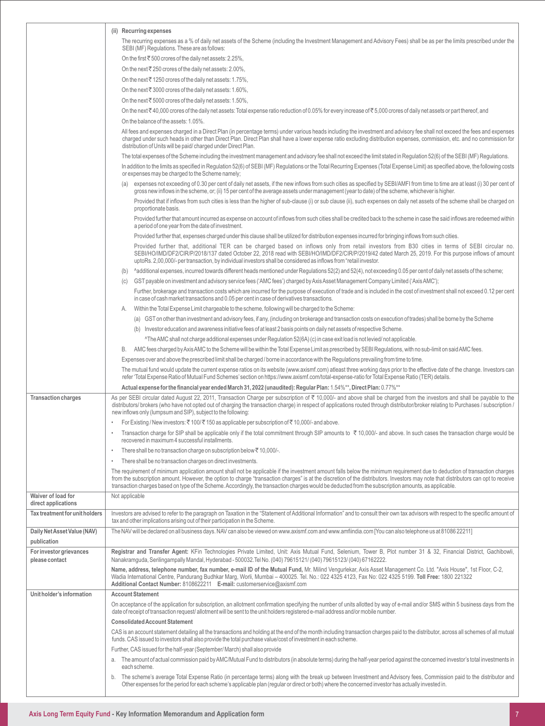|                                            | (ii) Recurring expenses<br>The recurring expenses as a % of daily net assets of the Scheme (including the Investment Management and Advisory Fees) shall be as per the limits prescribed under the<br>SEBI (MF) Regulations. These are as follows:                                                                                                                                                                                         |
|--------------------------------------------|--------------------------------------------------------------------------------------------------------------------------------------------------------------------------------------------------------------------------------------------------------------------------------------------------------------------------------------------------------------------------------------------------------------------------------------------|
|                                            | On the first ₹500 crores of the daily net assets: 2.25%,                                                                                                                                                                                                                                                                                                                                                                                   |
|                                            | On the next $\bar{\tau}$ 250 crores of the daily net assets: 2.00%,                                                                                                                                                                                                                                                                                                                                                                        |
|                                            | On the next $\bar{\tau}$ 1250 crores of the daily net assets: 1.75%,                                                                                                                                                                                                                                                                                                                                                                       |
|                                            | On the next $\overline{\xi}$ 3000 crores of the daily net assets: 1.60%,                                                                                                                                                                                                                                                                                                                                                                   |
|                                            | On the next $\bar{\tau}$ 5000 crores of the daily net assets: 1.50%,                                                                                                                                                                                                                                                                                                                                                                       |
|                                            | On the next $\bar{\tau}$ 40,000 crores of the daily net assets: Total expense ratio reduction of 0.05% for every increase of $\bar{\tau}$ 5,000 crores of daily net assets or part thereof, and<br>On the balance of the assets: 1.05%.                                                                                                                                                                                                    |
|                                            | All fees and expenses charged in a Direct Plan (in percentage terms) under various heads including the investment and advisory fee shall not exceed the fees and expenses                                                                                                                                                                                                                                                                  |
|                                            | charged under such heads in other than Direct Plan. Direct Plan shall have a lower expense ratio excluding distribution expenses, commission, etc. and no commission for<br>distribution of Units will be paid/charged under Direct Plan.                                                                                                                                                                                                  |
|                                            | The total expenses of the Scheme including the investment management and advisory fee shall not exceed the limit stated in Regulation 52(6) of the SEBI (MF) Regulations.<br>In addition to the limits as specified in Regulation 52(6) of SEBI (MF) Regulations or the Total Recurring Expenses (Total Expense Limit) as specified above, the following costs                                                                             |
|                                            | or expenses may be charged to the Scheme namely;<br>expenses not exceeding of 0.30 per cent of daily net assets, if the new inflows from such cities as specified by SEBI/AMFI from time to time are at least (i) 30 per cent of<br>(a)<br>gross new inflows in the scheme, or; (ii) 15 per cent of the average assets under management (year to date) of the scheme, whichever is higher.                                                 |
|                                            | Provided that if inflows from such cities is less than the higher of sub-clause (i) or sub clause (ii), such expenses on daily net assets of the scheme shall be charged on<br>proportionate basis.                                                                                                                                                                                                                                        |
|                                            | Provided further that amount incurred as expense on account of inflows from such cities shall be credited back to the scheme in case the said inflows are redeemed within<br>a period of one year from the date of investment.                                                                                                                                                                                                             |
|                                            | Provided further that, expenses charged under this clause shall be utilized for distribution expenses incurred for bringing inflows from such cities.                                                                                                                                                                                                                                                                                      |
|                                            | Provided further that, additional TER can be charged based on inflows only from retail investors from B30 cities in terms of SEBI circular no.<br>SEBI/HO/IMD/DF2/CIR/P/2018/137 dated October 22, 2018 read with SEBI/HO/IMD/DF2/CIR/P/2019/42 dated March 25, 2019. For this purpose inflows of amount<br>uptoRs. 2,00,000/- per transaction, by individual investors shall be considered as inflows from "retail investor.              |
|                                            | ^additional expenses, incurred towards different heads mentioned under Regulations 52(2) and 52(4), not exceeding 0.05 per cent of daily net assets of the scheme;<br>(b)                                                                                                                                                                                                                                                                  |
|                                            | GST payable on investment and advisory service fees ('AMC fees') charged by Axis Asset Management Company Limited ('Axis AMC');<br>(C)                                                                                                                                                                                                                                                                                                     |
|                                            | Further, brokerage and transaction costs which are incurred for the purpose of execution of trade and is included in the cost of investment shall not exceed 0.12 per cent<br>in case of cash market transactions and 0.05 per cent in case of derivatives transactions.                                                                                                                                                                   |
|                                            | Within the Total Expense Limit chargeable to the scheme, following will be charged to the Scheme:<br>А.                                                                                                                                                                                                                                                                                                                                    |
|                                            | (a) GST on other than investment and advisory fees, if any, (including on brokerage and transaction costs on execution of trades) shall be borne by the Scheme                                                                                                                                                                                                                                                                             |
|                                            | (b) Investor education and awareness initiative fees of at least 2 basis points on daily net assets of respective Scheme.<br>^The AMC shall not charge additional expenses under Regulation 52(6A) (c) in case exit load is not levied/not applicable.                                                                                                                                                                                     |
|                                            | AMC fees charged by Axis AMC to the Scheme will be within the Total Expense Limit as prescribed by SEBI Regulations, with no sub-limit on said AMC fees.<br>В.                                                                                                                                                                                                                                                                             |
|                                            | Expenses over and above the prescribed limit shall be charged / borne in accordance with the Regulations prevailing from time to time.                                                                                                                                                                                                                                                                                                     |
|                                            | The mutual fund would update the current expense ratios on its website (www.axismf.com) atleast three working days prior to the effective date of the change. Investors can<br>refer 'Total Expense Ratio of Mutual Fund Schemes' section on https://www.axismf.com/total-expense-ratio for Total Expense Ratio (TER) details.                                                                                                             |
|                                            | Actual expense for the financial year ended March 31, 2022 (unaudited): Regular Plan: 1.54%**, Direct Plan: 0.77%**                                                                                                                                                                                                                                                                                                                        |
| <b>Transaction charges</b>                 | As per SEBI circular dated August 22, 2011, Transaction Charge per subscription of ₹10,000/- and above shall be charged from the investors and shall be payable to the<br>distributors/brokers (who have not opted out of charging the transaction charge) in respect of applications routed through distributor/broker relating to Purchases / subscription /<br>new inflows only (lumpsum and SIP), subject to the following:            |
|                                            | For Existing / New investors: $\bar{\tau}$ 100/ $\bar{\tau}$ 150 as applicable per subscription of $\bar{\tau}$ 10,000/- and above.                                                                                                                                                                                                                                                                                                        |
|                                            | Transaction charge for SIP shall be applicable only if the total commitment through SIP amounts to ₹10,000/- and above. In such cases the transaction charge would be<br>recovered in maximum 4 successful installments.                                                                                                                                                                                                                   |
|                                            | There shall be no transaction charge on subscription below ₹10,000/-.                                                                                                                                                                                                                                                                                                                                                                      |
|                                            | There shall be no transaction charges on direct investments.<br>The requirement of minimum application amount shall not be applicable if the investment amount falls below the minimum requirement due to deduction of transaction charges                                                                                                                                                                                                 |
|                                            | from the subscription amount. However, the option to charge "transaction charges" is at the discretion of the distributors. Investors may note that distributors can opt to receive<br>transaction charges based on type of the Scheme. Accordingly, the transaction charges would be deducted from the subscription amounts, as applicable.                                                                                               |
| Waiver of load for<br>direct applications  | Not applicable                                                                                                                                                                                                                                                                                                                                                                                                                             |
| Tax treatment for unit holders             | Investors are advised to refer to the paragraph on Taxation in the "Statement of Additional Information" and to consult their own tax advisors with respect to the specific amount of<br>tax and other implications arising out of their participation in the Scheme.                                                                                                                                                                      |
| Daily Net Asset Value (NAV)<br>publication | The NAV will be declared on all business days. NAV can also be viewed on www.axismf.com and www.amfiindia.com [You can also telephone us at 81086 22211]                                                                                                                                                                                                                                                                                   |
| For investor grievances                    | Registrar and Transfer Agent: KFin Technologies Private Limited, Unit: Axis Mutual Fund, Selenium, Tower B, Plot number 31 & 32, Financial District, Gachibowli,                                                                                                                                                                                                                                                                           |
| please contact                             | Nanakramguda, Serilingampally Mandal, Hyderabad - 500032. Tel No. (040) 79615121/ (040) 79615123/ (040) 67162222.<br>Name, address, telephone number, fax number, e-mail ID of the Mutual Fund, Mr. Milind Vengurlekar, Axis Asset Management Co. Ltd. "Axis House", 1st Floor, C-2,<br>Wadia International Centre, Pandurang Budhkar Marg, Worli, Mumbai - 400025. Tel. No.: 022 4325 4123, Fax No: 022 4325 5199. Toll Free: 1800 221322 |
|                                            | Additional Contact Number: 8108622211 E-mail: customerservice@axismf.com                                                                                                                                                                                                                                                                                                                                                                   |
| Unit holder's information                  | <b>Account Statement</b>                                                                                                                                                                                                                                                                                                                                                                                                                   |
|                                            | On acceptance of the application for subscription, an allotment confirmation specifying the number of units allotted by way of e-mail and/or SMS within 5 business days from the<br>date of receipt of transaction request/allotment will be sent to the unit holders registered e-mail address and/or mobile number.                                                                                                                      |
|                                            | <b>Consolidated Account Statement</b>                                                                                                                                                                                                                                                                                                                                                                                                      |
|                                            | CAS is an account statement detailing all the transactions and holding at the end of the month including transaction charges paid to the distributor, across all schemes of all mutual<br>funds. CAS issued to investors shall also provide the total purchase value/cost of investment in each scheme.                                                                                                                                    |
|                                            | Further, CAS issued for the half-year (September/ March) shall also provide<br>The amount of actual commission paid by AMC/Mutual Fund to distributors (in absolute terms) during the half-year period against the concerned investor's total investments in                                                                                                                                                                               |
|                                            | each scheme.                                                                                                                                                                                                                                                                                                                                                                                                                               |
|                                            | The scheme's average Total Expense Ratio (in percentage terms) along with the break up between Investment and Advisory fees, Commission paid to the distributor and<br>b.<br>Other expenses for the period for each scheme's applicable plan (regular or direct or both) where the concerned investor has actually invested in.                                                                                                            |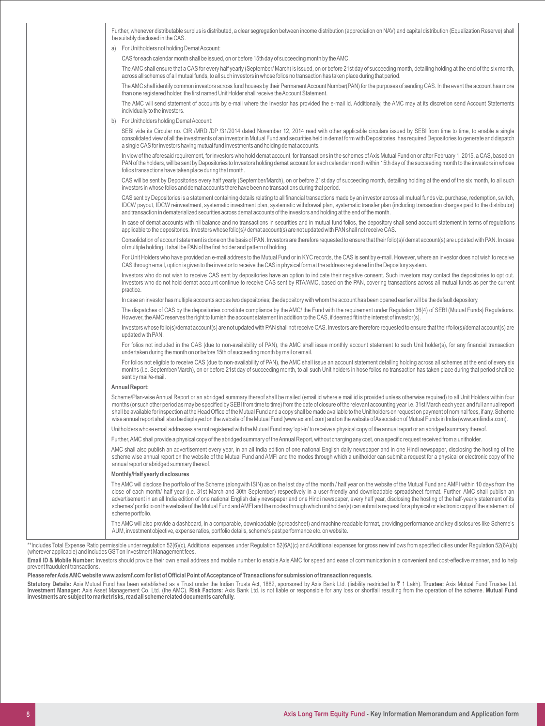|  | Further, whenever distributable surplus is distributed, a clear segregation between income distribution (appreciation on NAV) and capital distribution (Equalization Reserve) shall<br>be suitably disclosed in the CAS.                                                                                                                                                                                                                                                                                                                                                                                                                                                                                                                                     |
|--|--------------------------------------------------------------------------------------------------------------------------------------------------------------------------------------------------------------------------------------------------------------------------------------------------------------------------------------------------------------------------------------------------------------------------------------------------------------------------------------------------------------------------------------------------------------------------------------------------------------------------------------------------------------------------------------------------------------------------------------------------------------|
|  | a) For Unitholders not holding Demat Account:                                                                                                                                                                                                                                                                                                                                                                                                                                                                                                                                                                                                                                                                                                                |
|  | CAS for each calendar month shall be issued, on or before 15th day of succeeding month by the AMC.                                                                                                                                                                                                                                                                                                                                                                                                                                                                                                                                                                                                                                                           |
|  | The AMC shall ensure that a CAS for every half yearly (September/ March) is issued, on or before 21st day of succeeding month, detailing holding at the end of the six month,<br>across all schemes of all mutual funds, to all such investors in whose folios no transaction has taken place during that period.                                                                                                                                                                                                                                                                                                                                                                                                                                            |
|  | The AMC shall identify common investors across fund houses by their Permanent Account Number(PAN) for the purposes of sending CAS. In the event the account has more<br>than one registered holder, the first named Unit Holder shall receive the Account Statement.                                                                                                                                                                                                                                                                                                                                                                                                                                                                                         |
|  | The AMC will send statement of accounts by e-mail where the Investor has provided the e-mail id. Additionally, the AMC may at its discretion send Account Statements<br>individually to the investors.                                                                                                                                                                                                                                                                                                                                                                                                                                                                                                                                                       |
|  | b) For Unitholders holding Demat Account:                                                                                                                                                                                                                                                                                                                                                                                                                                                                                                                                                                                                                                                                                                                    |
|  | SEBI vide its Circular no. CIR /MRD /DP /31/2014 dated November 12, 2014 read with other applicable circulars issued by SEBI from time to time, to enable a single<br>consolidated view of all the investments of an investor in Mutual Fund and securities held in demat form with Depositories, has required Depositories to generate and dispatch<br>a single CAS for investors having mutual fund investments and holding demat accounts.                                                                                                                                                                                                                                                                                                                |
|  | In view of the aforesaid requirement, for investors who hold demat account, for transactions in the schemes of Axis Mutual Fund on or after February 1, 2015, a CAS, based on<br>PAN of the holders, will be sent by Depositories to Investors holding demat account for each calendar month within 15th day of the succeeding month to the investors in whose<br>folios transactions have taken place during that month.                                                                                                                                                                                                                                                                                                                                    |
|  | CAS will be sent by Depositories every half yearly (September/March), on or before 21st day of succeeding month, detailing holding at the end of the six month, to all such<br>investors in whose folios and demat accounts there have been no transactions during that period.                                                                                                                                                                                                                                                                                                                                                                                                                                                                              |
|  | CAS sent by Depositories is a statement containing details relating to all financial transactions made by an investor across all mutual funds viz. purchase, redemption, switch,<br>IDCW payout, IDCW reinvestment, systematic investment plan, systematic withdrawal plan, systematic transfer plan (including transaction charges paid to the distributor)<br>and transaction in dematerialized securities across demat accounts of the investors and holding at the end of the month.                                                                                                                                                                                                                                                                     |
|  | In case of demat accounts with nil balance and no transactions in securities and in mutual fund folios, the depository shall send account statement in terms of regulations<br>applicable to the depositories. Investors whose folio(s)/demat account(s) are not updated with PAN shall not receive CAS.                                                                                                                                                                                                                                                                                                                                                                                                                                                     |
|  | Consolidation of account statement is done on the basis of PAN. Investors are therefore requested to ensure that their folio(s)/demat account(s) are updated with PAN. In case<br>of multiple holding, it shall be PAN of the first holder and pattern of holding.                                                                                                                                                                                                                                                                                                                                                                                                                                                                                           |
|  | For Unit Holders who have provided an e-mail address to the Mutual Fund or in KYC records, the CAS is sent by e-mail. However, where an investor does not wish to receive<br>CAS through email, option is given to the investor to receive the CAS in physical form at the address registered in the Depository system.                                                                                                                                                                                                                                                                                                                                                                                                                                      |
|  | Investors who do not wish to receive CAS sent by depositories have an option to indicate their negative consent. Such investors may contact the depositories to opt out.<br>Investors who do not hold demat account continue to receive CAS sent by RTA/AMC, based on the PAN, covering transactions across all mutual funds as per the current<br>practice.                                                                                                                                                                                                                                                                                                                                                                                                 |
|  | In case an investor has multiple accounts across two depositories; the depository with whom the account has been opened earlier will be the default depository.                                                                                                                                                                                                                                                                                                                                                                                                                                                                                                                                                                                              |
|  | The dispatches of CAS by the depositories constitute compliance by the AMC/ the Fund with the requirement under Regulation 36(4) of SEBI (Mutual Funds) Regulations.<br>However, the AMC reserves the right to furnish the account statement in addition to the CAS, if deemed fit in the interest of investor(s).                                                                                                                                                                                                                                                                                                                                                                                                                                           |
|  | Investors whose folio(s)/demat account(s) are not updated with PAN shall not receive CAS. Investors are therefore requested to ensure that their folio(s)/demat account(s) are<br>updated with PAN.                                                                                                                                                                                                                                                                                                                                                                                                                                                                                                                                                          |
|  | For folios not included in the CAS (due to non-availability of PAN), the AMC shall issue monthly account statement to such Unit holder(s), for any financial transaction<br>undertaken during the month on or before 15th of succeeding month by mail or email.                                                                                                                                                                                                                                                                                                                                                                                                                                                                                              |
|  | For folios not eligible to receive CAS (due to non-availability of PAN), the AMC shall issue an account statement detailing holding across all schemes at the end of every six<br>months (i.e. September/March), on or before 21st day of succeeding month, to all such Unit holders in hose folios no transaction has taken place during that period shall be<br>sent by mail/e-mail.                                                                                                                                                                                                                                                                                                                                                                       |
|  | Annual Report:                                                                                                                                                                                                                                                                                                                                                                                                                                                                                                                                                                                                                                                                                                                                               |
|  | Scheme/Plan-wise Annual Report or an abridged summary thereof shall be mailed (email id where e mail id is provided unless otherwise required) to all Unit Holders within four<br>months (or such other period as may be specified by SEBI from time to time) from the date of closure of the relevant accounting year i.e. 31st March each year, and full annual report<br>shall be available for inspection at the Head Office of the Mutual Fund and a copy shall be made available to the Unit holders on request on payment of nominal fees, if any. Scheme<br>wise annual report shall also be displayed on the website of the Mutual Fund (www.axismf.com) and on the website of Association of Mutual Funds in India (www.amfiindia.com).            |
|  | Unitholders whose email addresses are not registered with the Mutual Fund may 'opt-in' to receive a physical copy of the annual report or an abridged summary thereof.                                                                                                                                                                                                                                                                                                                                                                                                                                                                                                                                                                                       |
|  | Further, AMC shall provide a physical copy of the abridged summary of the Annual Report, without charging any cost, on a specific request received from a unitholder.                                                                                                                                                                                                                                                                                                                                                                                                                                                                                                                                                                                        |
|  | AMC shall also publish an advertisement every year, in an all India edition of one national English daily newspaper and in one Hindi newspaper, disclosing the hosting of the<br>scheme wise annual report on the website of the Mutual Fund and AMFI and the modes through which a unitholder can submit a request for a physical or electronic copy of the<br>annual report or abridged summary thereof.                                                                                                                                                                                                                                                                                                                                                   |
|  | Monthly/Half yearly disclosures                                                                                                                                                                                                                                                                                                                                                                                                                                                                                                                                                                                                                                                                                                                              |
|  | The AMC will disclose the portfolio of the Scheme (alongwith ISIN) as on the last day of the month / half year on the website of the Mutual Fund and AMFI within 10 days from the<br>close of each month/ half year (i.e. 31st March and 30th September) respectively in a user-friendly and downloadable spreadsheet format. Further, AMC shall publish an<br>advertisement in an all India edition of one national English daily newspaper and one Hindi newspaper, every half year, disclosing the hosting of the half-yearly statement of its<br>schemes' portfolio on the website of the Mutual Fund and AMFI and the modes through which unitholder(s) can submit a request for a physical or electronic copy of the statement of<br>scheme portfolio. |
|  | The AMC will also provide a dashboard, in a comparable, downloadable (spreadsheet) and machine readable format, providing performance and key disclosures like Scheme's<br>AUM, investment objective, expense ratios, portfolio details, scheme's past performance etc. on website.                                                                                                                                                                                                                                                                                                                                                                                                                                                                          |

<sup>\*\*</sup>Includes Total Expense Ratio permissible under regulation 52(6)(c), Additional expenses under Regulation 52(6A)(c) and Additional expenses for gross new inflows from specified cities under Regulation 52(6A)(b)<br>(wherever

#### **Please refer Axis AMC website www.axismf.com for list of Official Point of Acceptance of Transactions for submission of transaction requests.**

**Statutory Details:** Axis Mutual Fund has been established as a Trust under the Indian Trusts Act, 1882, sponsored by Axis Bank Ltd. (liability restricted to ₹ 1 Lakh). **Trustee**: Axis Mutual Fund Trustee Ltd.<br>Inve**stmen** 

Email ID & Mobile Number: Investors should provide their own email address and mobile number to enable Axis AMC for speed and ease of communication in a convenient and cost-effective manner, and to help<br>prevent fraudulent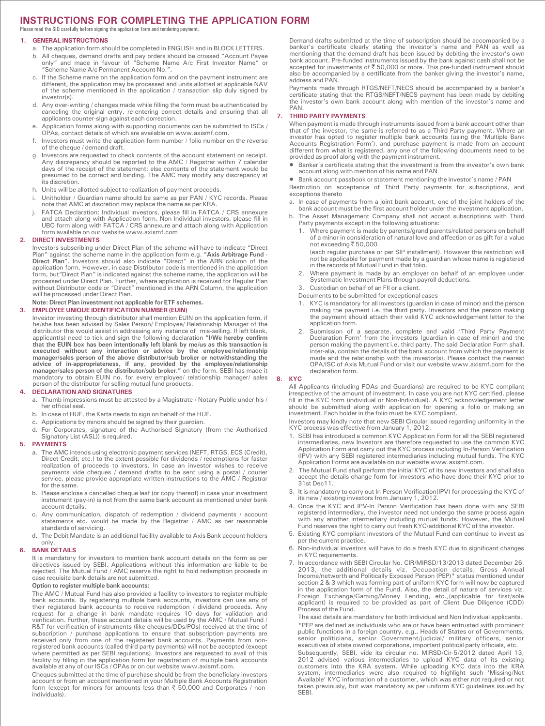#### Please read the SID carefully before signing the application form and tendering payment. **INSTRUCTIONS FOR COMPLETING THE APPLICATION FORM**

#### **1. GENERAL INSTRUCTIONS**

- a. The application form should be completed in ENGLISH and in BLOCK LETTERS.
- b. All cheques, demand drafts and pay orders should be crossed "Account Payee only" and made in favour of "Scheme Name A/c First Investor Name" or "Scheme Name A/c Permanent Account No.".
- c. If the Scheme name on the application form and on the payment instrument are different, the application may be processed and units allotted at applicable NAV of the scheme mentioned in the application / transaction slip duly signed by investor(s).
- d. Any over-writing / changes made while filling the form must be authenticated by canceling the original entry, re-entering correct details and ensuring that all applicants counter-sign against each correction.
- e. Application forms along with supporting documents can be submitted to ISCs / OPAs, contact details of which are available on www.axismf.com.
- f. Investors must write the application form number / folio number on the reverse of the cheque / demand draft.
- g. Investors are requested to check contents of the account statement on receipt. Any discrepancy should be reported to the AMC / Registrar within 7 calendar days of the receipt of the statement; else contents of the statement would be presumed to be correct and binding. The AMC may modify any discrepancy at its discretion.
- h. Units will be allotted subject to realization of payment proceeds.
- i. Unitholder / Guardian name should be same as per PAN / KYC records. Please note that AMC at discretion may replace the name as per KRA.
- j. FATCA Declaration: Individual investors, please fill in FATCA / CRS annexure and attach along with Application form. Non-Individual investors, please fill in UBO form along with FATCA / CRS annexure and attach along with Application form available on our website www.axismf.com

#### **2. DIRECT INVESTMENTS**

Investors subscribing under Direct Plan of the scheme will have to indicate "Direct Plan" against the scheme name in the application form e.g. **"Axis Arbitrage Fund - Direct Plan"**. Investors should also indicate "Direct" in the ARN column of the application form. However, in case Distributor code is mentioned in the application<br>form, but"Direct Plan" is indicated against the scheme name, the application will be<br>processed under Direct Plan. Further, where applicati without Distributor code or "Direct" mentioned in the ARN Column, the application will be processed under Direct Plan.

#### **Note: Direct Plan investment not applicable for ETF schemes. 3. EMPLOYEE UNIQUE IDENTIFICATION NUMBER (EUIN)**

Investor investing through distributor shall mention EUIN on the application form, if he/she has been advised by Sales Person/ Employee/ Relationship Manager of the distributor this would assist in addressing any instance of mis-selling. If left blank, applicant(s) need to tick and sign the following declaration "I/We hereby confirm<br>that the EUIN box has been intentionally left blank by me/us as this transaction is<br>executed without any interaction or advice by the employ **advice of in-appropriateness, if any, provided by the employee/relationship manager/sales person of the distributor/sub broker."** on the form. SEBI has made it mandatory to obtain EUIN no. for every employee/ relationship manager/ sales person of the distributor for selling mutual fund products.

#### **4. DECLARATION AND SIGNATURES**

- a. Thumb impressions must be attested by a Magistrate / Notary Public under his / her official seal.
- b. In case of HUF, the Karta needs to sign on behalf of the HUF.
- c. Applications by minors should be signed by their guardian.
- d. For Corporates, signature of the Authorised Signatory (from the Authorised Signatory List (ASL)) is required.

#### **5. PAYMENTS**

- a. The AMC intends using electronic payment services (NEFT, RTGS, ECS (Credit), Direct Credit, etc.) to the extent possible for dividends / redemptions for faster realization of proceeds to investors. In case an investor wishes to receive payments vide cheques / demand drafts to be sent using a postal / courier service, please provide appropriate written instructions to the AMC / Registrar for the same.
- b. Please enclose a cancelled cheque leaf (or copy thereof) in case your investment instrument (pay-in) is not from the same bank account as mentioned under bank account details.
- c. Any communication, dispatch of redemption / dividend payments / account statements etc. would be made by the Registrar / AMC as per reasonable standards of servicing.
- d. The Debit Mandate is an additional facility available to Axis Bank account holders only.

#### **6. BANK DETAILS**

It is mandatory for investors to mention bank account details on the form as per directives issued by SEBI. Applications without this information are liable to be rejected. The Mutual Fund / AMC reserve the right to hold redemption proceeds in case requisite bank details are not submitted.

#### **Option to register multiple bank accounts:**

The AMC / Mutual Fund has also provided a facility to investors to register multiple bank accounts. By registering multiple bank accounts, investors can use any of their registered bank accounts to receive redemption / dividend proceeds. Any request for a change in bank mandate requires 10 days for validation and verification. Further, these account details will be used by the AMC / Mutual Fund / R&T for verification of instruments (like cheques/DDs/POs) received at the time of subscription / purchase applications to ensure that subscription payments are<br>received only from one of the registered bank accounts. Payments from non-<br>registered bank accounts (called third party payments) will not be ac facility by filling in the application form for registration of multiple bank accounts available at any of our ISCs / OPAs or on our website www.axismf.com.

Cheques submitted at the time of purchase should be from the beneficiary investors account or from an account mentioned in your Multiple Bank Accounts Registration form (except for minors for amounts less than ₹ 50,000 and Corporates / nonindividuals).

Demand drafts submitted at the time of subscription should be accompanied by a banker's certificate clearly stating the investor's name and PAN as well as mentioning that the demand draft has been issued by debiting the investor's own bank account. Pre-funded instruments issued by the bank against cash shall not be<br>accepted for investments of ₹ 50,000 or more. This pre-funded instrument should<br>also be accompanied by a certificate from the banker giving address and PAN.

Payments made through RTGS/NEFT/NECS should be accompanied by a banker's certificate stating that the RTGS/NEFT/NECS payment has been made by debiting the investor's own bank account along with mention of the investor's name and PAN.

#### **7. THIRD PARTY PAYMENTS**

When payment is made through instruments issued from a bank account other than that of the investor, the same is referred to as a Third Party payment. Where an investor has opted to register multiple bank accounts (using the 'Multiple Bank Accounts Registration Form'), and purchase payment is made from an account different from what is registered, any one of the following documents need to be provided as proof along with the payment instrument.

Banker's certificate stating that the investment is from the investor's own bank account along with mention of his name and PAN

• Bank account passbook or statement mentioning the investor's name / PAN Restriction on acceptance of Third Party payments for subscriptions, and exceptions thereto

- a. In case of payments from a joint bank account, one of the joint holders of the bank account must be the first account holder under the investment application.
- b. The Asset Management Company shall not accept subscriptions with Third Party payments except in the following situations:
	- 1. Where payment is made by parents/grand parents/related persons on behalf of a minor in consideration of natural love and affection or as gift for a value not exceeding ₹50,000

(each regular purchase or per SIP installment). However this restriction will not be applicable for payment made by a guardian whose name is registered in the records of Mutual Fund in that folio.

- Where payment is made by an employer on behalf of an employee under Systematic Investment Plans through payroll deductions.
- 3. Custodian on behalf of an FII or a client.
- Documents to be submitted for exceptional cases
- 1. KYC is mandatory for all investors (guardian in case of minor) and the person making the payment i.e. the third party. Investors and the person making the payment should attach their valid KYC acknowledgement letter to application form.
- Submission of a separate, complete and valid 'Third Party Payment Declaration Form' from the investors (guardian in case of minor) and the person making the payment i.e. third party. The said Declaration Form shall, inter-alia, contain the details of the bank account from which the payment is made and the relationship with the investor(s). Please contact the nearest OPA/ISC of Axis Mutual Fund or visit our website www.axismf.com for the declaration form.

#### **8. KYC**

All Applicants (including POAs and Guardians) are required to be KYC compliant irrespective of the amount of investment. In case you are not KYC certified, please fill in the KYC form (individual or Non-Individual). A KYC acknowledgement letter should be submitted along with application for opening a folio or making an investment. Each holder in the folio must be KYC compliant.

Investors may kindly note that new SEBI Circular issued regarding uniformity in the KYC process was effective from January 1, 2012.

- 1. SEBI has introduced a common KYC Application Form for all the SEBI registered intermediaries, new Investors are therefore requested to use the common KYC Application Form and carry out the KYC process including In-Person Verification (IPV) with any SEBI registered intermediaries including mutual funds. The KYC Application Forms are available on our website www.axismf.com.
- 2. The Mutual Fund shall perform the initial KYC of its new investors and shall also accept the details change form for investors who have done their KYC prior to 31st Dec11.
- 3. It is mandatory to carry out In-Person Verification(IPV) for processing the KYC of its new / existing investors from January 1, 2012.
- 4. Once the KYC and IPV-In Person Verification has been done with any SEBI registered intermediary, the investor need not undergo the same process again with any another intermediary including mutual funds. However, the Mutual Fund reserves the right to carry out fresh KYC/additional KYC of the investor.
- 5. Existing KYC compliant investors of the Mutual Fund can continue to invest as per the current practice.
- 6. Non-individual investors will have to do a fresh KYC due to significant changes in KYC requirements.
- 7. In accordance with SEBI Circular No. CIR/MIRSD/13/2013 dated December 26, 2013, the additional details viz. Occupation details, Gross Annual Income/networth and Politically Exposed Person (PEP)\* status mentioned under section 2 & 3 which was forming part of uniform KYC form will now be captured in the application form of the Fund. Also, the detail of nature of services viz.<br>Foreign Exchange/Gaming/Money Lending, etc.,(applicable for first/sole<br>applicant) is required to be provided as part of Client Due Diligence Process of the Fund.

The said details are mandatory for both Individual and Non Individual applicants. \*PEP are defined as individuals who are or have been entrusted with prominent public functions in a foreign country, e.g., Heads of States or of Governments, senior politicians, senior Government/judicial/ military officers, senior executives of state owned corporations, important political party officials, etc.

Subsequently, SEBI, vide its circular no. MIRSD/Cir-5/2012 dated April 13, 2012 advised various intermediaries to upload KYC data of its existing customers into the KRA system. While uploading KYC data into the KRA system, intermediaries were also required to highlight such 'Missing/Not Available' KYC information of a customer, which was either not required or not taken previously, but was mandatory as per uniform KYC guidelines issued by SEBI.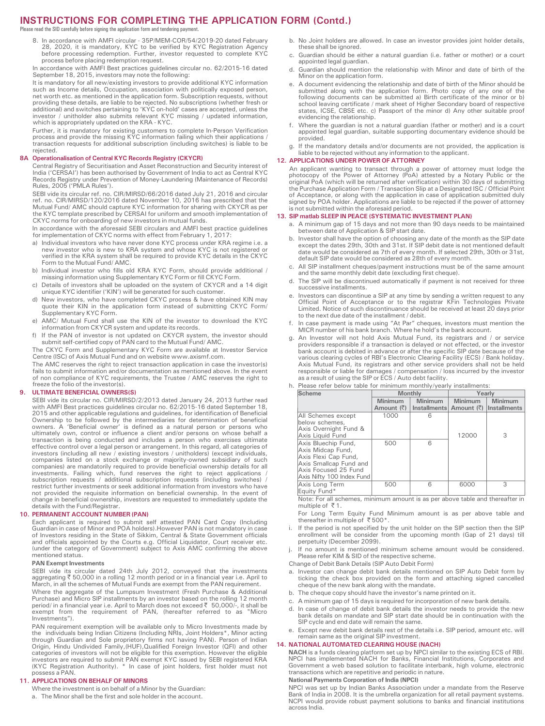## **INSTRUCTIONS FOR COMPLETING THE APPLICATION FORM (Contd.)**

Please read the SID carefully before signing the application form and tendering payme

8. In accordance with AMFI circular - 35P/MEM-COR/54/2019-20 dated February 28, 2020, it is mandatory, KYC to be verified by KYC Registration Agency before processing redemption. Further, investor requested to complete KYC process before placing redemption request.

In accordance with AMFI Best practices guidelines circular no. 62/2015-16 dated September 18, 2015, investors may note the following:

It is mandatory for all new/existing investors to provide additional KYC information such as Income details, Occupation, association with politically exposed person, net worth etc. as mentioned in the application form. Subscription requests, without providing these details, are liable to be rejected. No subscriptions (whether fresh or additional) and switches pertaining to 'KYC on-hold' cases are accepted, unless the investor / unitholder also submits relevant KYC missing / updated information, which is appropriately updated on the KRA - KYC.

Further, it is mandatory for existing customers to complete In-Person Verification process and provide the missing KYC information failing which their applications / transaction requests for additional subscription (including switches) is liable to be rejected.

#### **8A Operationalisation of Central KYC Records Registry (CKYCR)**

Central Registry of Securitisation and Asset Reconstruction and Security interest of India ('CERSAI') has been authorised by Government of India to act as Central KYC Records Registry under Prevention of Money-Laundering (Maintenance of Records) Rules, 2005 ('PMLA Rules').

SEBI vide its circular ref. no. CIR/MIRSD/66/2016 dated July 21, 2016 and circular ref. no. CIR/MIRSD/120/2016 dated November 10, 2016 has prescribed that the Mutual Fund/ AMC should capture KYC information for sharing with CKYCR as per the KYC template prescribed by CERSAI for uniform and smooth implementation of CKYC norms for onboarding of new investors in mutual funds.

In accordance with the aforesaid SEBI circulars and AMFI best practice guidelines for implementation of CKYC norms with effect from February 1, 2017:

- a) Individual investors who have never done KYC process under KRA regime i.e. a new investor who is new to KRA system and whose KYC is not registered or verified in the KRA system shall be required to provide KYC details in the CKYC Form to the Mutual Fund/ AMC.
- b) Individual investor who fills old KRA KYC Form, should provide additional / missing information using Supplementary KYC Form or fill CKYC Form.
- c) Details of investors shall be uploaded on the system of CKYCR and a 14 digit unique KYC identifier ('KIN') will be generated for such customer.
- d) New investors, who have completed CKYC process & have obtained KIN may quote their KIN in the application form instead of submitting CKYC Form/ Supplementary KYC Form.
- e) AMC/ Mutual Fund shall use the KIN of the investor to download the KYC information from CKYCR system and update its records.
- f) If the PAN of investor is not updated on CKYCR system, the investor should submit self-certified copy of PAN card to the Mutual Fund/ AMC.

The CKYC Form and Supplementary KYC Form are available at Investor Service Centre (ISC) of Axis Mutual Fund and on website www.axismf.com.

The AMC reserves the right to reject transaction application in case the investor(s) fails to submit information and/or documentation as mentioned above. In the event of non compliance of KYC requirements, the Trustee / AMC reserves the right to freeze the folio of the investor(s).

#### **9. ULTIMATE BENEFICIAL OWNERS(S)**

SEBI vide its circular no. CIR/MIRSD/2/2013 dated January 24, 2013 further read with AMFI Best practices guidelines circular no. 62/2015-16 dated September 18, 2015 and other applicable regulations and guidelines, for identification of Beneficial Ownership to be followed by the intermediaries for determination of beneficial<br>owners. A 'Beneficial owner' is defined as a natural person or persons who<br>ultimately own, control or influence a client and/or persons on whos transaction is being conducted and includes a person who exercises ultimate effective control over a legal person or arrangement. In this regard, all categories of investors (including all new / existing investors / unitholders) (except individuals, companies listed on a stock exchange or majority-owned subsidiary of such companies) are mandatorily required to provide beneficial ownership details for all investments. Failing which, fund reserves the right to reject applications / subscription requests / additional subscription requests (including switches) / restrict further investments or seek additional information from investors who have not provided the requisite information on beneficial ownership. In the event of change in beneficial ownership, investors are requested to immediately update the details with the Fund/Registrar.

#### **10. PERMANENT ACCOUNT NUMBER (PAN)**

Each applicant is required to submit self attested PAN Card Copy (Including<br>Guardian in case of Minor and POA holders).However PAN is not mandatory in case<br>of Investors residing in the State of Sikkim, Central & State Gove and officials appointed by the Courts e.g. Official Liquidator, Court receiver etc. (under the category of Government) subject to Axis AMC confirming the above mentioned status.

#### **PAN Exempt Investments**

SEBI vide its circular dated 24th July 2012, conveyed that the investments aggregating  $\bar{\tau}$  50,000 in a rolling 12 month period or in a financial year i.e. April to March, in all the schemes of Mutual Funds are exempt from the PAN requirement.

Where the aggregate of the Lumpsum Investment (Fresh Purchase & Additional Purchase) and Micro SIP installments by an investor based on the rolling 12 month period/ in a financial year i.e. April to March does not exceed  $\bar{\tau}$  50,000/-, it shall be exempt from the requirement of PAN, (hereafter referred to as "Micro Investments").

PAN requirement exemption will be available only to Micro Investments made by the individuals being Indian Citizens (Including NRIs, Joint Holders\*, Minor acting<br>through Guardian and Sole proprietory firms not having PAN). Person of Indian<br>Origin, Hindu Undivided Family,(HUF),Qualified Foreign Inves categories of investors will not be eligible for this exemption. However the eligible investors are required to submit PAN exempt KYC issued by SEBI registered KRA (KYC Registration Authority). \* In case of joint holders, first holder must not possess a PAN.

#### **11. APPLICATIONS ON BEHALF OF MINORS**

Where the investment is on behalf of a Minor by the Guardian:

a. The Minor shall be the first and sole holder in the account.

- b. No Joint holders are allowed. In case an investor provides joint holder details, these shall be ignored.
- Guardian should be either a natural guardian (i.e. father or mother) or a court appointed legal guardian.
- d. Guardian should mention the relationship with Minor and date of birth of the Minor on the application form.
- e. A document evidencing the relationship and date of birth of the Minor should be<br>submitted along with the application form. Photo copy of any one of the<br>following documents can be submitted a) Birth certificate of the mi school leaving certificate / mark sheet of Higher Secondary board of respective states, ICSE, CBSE etc. c) Passport of the minor d) Any other suitable proof evidencing the relationship.
- f. Where the guardian is not a natural guardian (father or mother) and is a court appointed legal guardian, suitable supporting documentary evidence should be provided.
- g. If the mandatory details and/or documents are not provided, the application is liable to be rejected without any information to the applicant.

#### **12. APPLICATIONS UNDER POWER OF ATTORNEY**

An applicant wanting to transact through a power of attorney must lodge the<br>photocopy of the Power of Attorney (PoA) attested by a Notary Public or the<br>original PoA (which will be returned after verification) within 30 day the Purchase Application Form / Transaction Slip at a Designated ISC / Official Point of Acceptance, or along with the application in case of application submitted duly signed by POA holder. Applications are liable to be rejected if the power of attorney is not submitted within the aforesaid period.

#### **13. SIP matlab SLEEP IN PEACE (SYSTEMATIC INVESTMENT PLAN)**

- a. A minimum gap of 15 days and not more than 90 days needs to be maintained between date of Application & SIP start date.
- b. Investor shall have the option of choosing any date of the month as the SIP date except the dates 29th, 30th and 31st. If SIP debit date is not mentioned default date would be considered as 7th of every month. If selected 29th, 30th or 31st, default SIP date would be considered as 28th of every month.
- c. All SIP installment cheques/payment instructions must be of the same amount and the same monthly debit date (excluding first cheque).
- d. The SIP will be discontinued automatically if payment is not received for three successive installments.
- e. Investors can discontinue a SIP at any time by sending a written request to any Official Point of Acceptance or to the registrar KFin Technologies Private Limited. Notice of such discontinuance should be received at least 20 days prior to the next due date of the installment / debit.
- f. In case payment is made using "At Par" cheques, investors must mention the MICR number of his bank branch. Where he hold's the bank account.
- g. An Investor will not hold Axis Mutual Fund, its registrars and / or service providers responsible if a transaction is delayed or not effected, or the investor bank account is debited in advance or after the specific SIP date because of the various clearing cycles of RBI's Electronic Clearing Facility (ECS) / Bank holiday. Axis Mutual Fund, its registrars and other service providers shall not be held responsible or liable for damages / compensation / loss incurred by the investor as a result of using the SIP or ECS / Auto debt facility.

| Scheme                                                                                                                                          | <b>Monthly</b>               |                                      | Yearly  |                                |  |  |  |
|-------------------------------------------------------------------------------------------------------------------------------------------------|------------------------------|--------------------------------------|---------|--------------------------------|--|--|--|
|                                                                                                                                                 | <b>Minimum</b><br>Amount (₹) | Minimum<br>Installments   Amount (₹) | Minimum | <b>Minimum</b><br>Installments |  |  |  |
| All Schemes except<br>below schemes.<br>Axis Overnight Fund &<br>Axis Liguid Fund                                                               | 1000                         | 6                                    | 12000   | 3                              |  |  |  |
| Axis Bluechip Fund,<br>Axis Midcap Fund,<br>Axis Flexi Cap Fund,<br>Axis Smallcap Fund and<br>Axis Focused 25 Fund<br>Axis Nifty 100 Index Fund | 500                          | 6                                    |         |                                |  |  |  |
| Axis Long Term<br>Equity Fund*                                                                                                                  | 500                          | 6                                    | 6000    | 3                              |  |  |  |

h. Please refer below table for minimum monthly/yearly installments:

multiple of  $\bar{z}$  1. For Long Term Equity Fund Minimum amount is as per above table and thereafter in multiple of  $\bar{z}$  500\*.

- i. If the period is not specified by the unit holder on the SIP section then the SIP enrollment will be consider from the upcoming month (Gap of 21 days) till perpetuity (December 2099).
- If no amount is mentioned minimum scheme amount would be considered. Please refer KIM & SID of the respective scheme.
- Change of Debit Bank Details (SIP Auto Debit Form)
- a. Investor can change debit bank details mentioned on SIP Auto Debit form by ticking the check box provided on the form and attaching signed cancelled cheque of the new bank along with the mandate.
- b. The cheque copy should have the investor's name printed on it.
- c. A minimum gap of 15 days is required for incorporation of new bank details.
- d. In case of change of debit bank details the investor needs to provide the new bank details on mandate and SIP start date should be in continuation with the SIP cycle and end date will remain the same.
- e. Except new debit bank details rest of the details i.e. SIP period, amount etc. will remain same as the original SIP investment.

#### **14. NATIONAL AUTOMATED CLEARING HOUSE (NACH)**

**NACH** is a funds clearing platform set up by NPCI similar to the existing ECS of RBI. NPCI has implemented NACH for Banks, Financial Institutions, Corporates and Government a web based solution to facilitate interbank, high volume, electronic transactions which are repetitive and periodic in nature.

### **National Payments Corporation of India (NPCI)**

NPCI was set up by Indian Banks Association under a mandate from the Reserve Bank of India in 2008. It is the umbrella organization for all retail payment systems. NCPI would provide robust payment solutions to banks and financial institutions across India.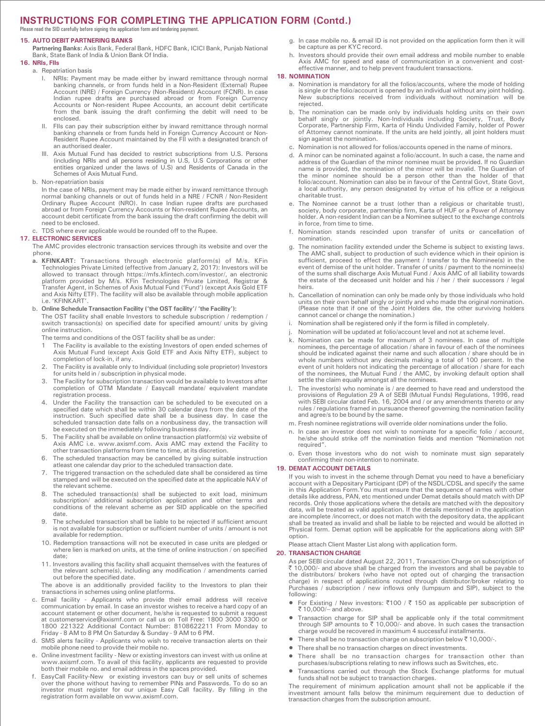#### Please read the SID carefully before signing the application form and tendering payment. **INSTRUCTIONS FOR COMPLETING THE APPLICATION FORM (Contd.)**

#### **15. AUTO DEBIT PARTNERING BANKS**

**Partnering Banks:** Axis Bank, Federal Bank, HDFC Bank, ICICI Bank, Punjab National Bank, State Bank of India & Union Bank Of India.

#### **16. NRIs, FIIs**

- a. Repatriation basis
	- I. NRIs: Payment may be made either by inward remittance through normal banking channels, or from funds held in a Non-Resident (External) Rupee Account (NRE) / Foreign Currency (Non-Resident) Account (FCNR). In case Indian rupee drafts are purchased abroad or from Foreign Currency Accounts or Non-resident Rupee Accounts, an account debit certificate from the bank issuing the draft confirming the debit will need to be enclosed.
	- II. FIIs can pay their subscription either by inward remittance through normal banking channels or from funds held in Foreign Currency Account or Non-Resident Rupee Account maintained by the FII with a designated branch of an authorised dealer.
	- III. Axis Mutual Fund has decided to restrict subscriptions from U.S. Persons (including NRIs and all persons residing in U.S, U.S Corporations or other entities organized under the laws of U.S) and Residents of Canada in the Schemes of Axis Mutual Fund.
- b. Non-repatriation basis
	- In the case of NRIs, payment may be made either by inward remittance through normal banking channels or out of funds held in a NRE / FCNR / Non-Resident Ordinary Rupee Account (NRO). In case Indian rupee drafts are purchased abroad or from Foreign Currency Accounts or Non-resident Rupee Accounts, an account debit certificate from the bank issuing the draft confirming the debit will need to be enclosed.
- c. TDS where ever applicable would be rounded off to the Rupee.

#### **17. ELECTRONIC SERVICES**

The AMC provides electronic transaction services through its website and over the phone.

- **a. KFINKART:** Transactions through electronic platform(s) of M/s. KFin Technologies Private Limited (effective from January 2, 2017): Investors will be allowed to transact through https://mfs.kfintech.com/investor/, an electronic platform provided by M/s. KFin Technologies Private Limited, Registrar & Transfer Agent, in Schemes of Axis Mutual Fund ('Fund') (except Axis Gold ETF and Axis Nifty ETF). The facility will also be available through mobile application i.e. 'KFINKART'.
- b. **Online Schedule Transaction Facility ('the OST facility'/ 'the Facility'):**

The OST facility shall enable Investors to schedule subscription / redemption / switch transaction(s) on specified date for specified amount/ units by giving online instruction.

- The terms and conditions of the OST facility shall be as under:
- The Facility is available to the existing Investors of open ended schemes of Axis Mutual Fund (except Axis Gold ETF and Axis Nifty ETF), subject to completion of lock-in, if any.
- 2. The Facility is available only to Individual (including sole proprietor) Investors for units held in / subscription in physical mode.
- 3. The Facility for subscription transaction would be available to Investors after completion of OTM Mandate / Easycall mandate/ equivalent mandate registration process.
- 4. Under the Facility the transaction can be scheduled to be executed on a specified date which shall be within 30 calendar days from the date of the instruction. Such specified date shall be a business day. In case the scheduled transaction date falls on a nonbusiness day, the transaction will be executed on the immediately following business day.
- 5. The Facility shall be available on online transaction platform(s) viz website of Axis AMC i.e. www.axismf.com. Axis AMC may extend the Facility to other transaction platforms from time to time, at its discretion.
- 6. The scheduled transaction may be cancelled by giving suitable instruction atleast one calendar day prior to the scheduled transaction date.
- 7. The triggered transaction on the scheduled date shall be considered as time stamped and will be executed on the specified date at the applicable NAV of the relevant scheme.
- 8. The scheduled transaction(s) shall be subjected to exit load, minimum subscription/ additional subscription application and other terms and conditions of the relevant scheme as per SID applicable on the specified date.
- 9. The scheduled transaction shall be liable to be rejected if sufficient amount is not available for subscription or sufficient number of units / amount is not available for redemption.
- 10. Redemption transactions will not be executed in case units are pledged or where lien is marked on units, at the time of online instruction / on specified date;
- 11. Investors availing this facility shall acquaint themselves with the features of the relevant scheme(s), including any modification / amendments carried out before the specified date.

The above is an additionally provided facility to the Investors to plan their transactions in schemes using online platforms.

- c. Email facility Applicants who provide their email address will receive communication by email. In case an investor wishes to receive a hard copy of an account statement or other document, he/she is requested to submit a request at customerservice@axismf.com or call us on Toll Free: 1800 3000 3300 or 1800 221322 Additional Contact Number: 8108622211 From Monday to Friday - 8 AM to 8 PM On Saturday & Sunday - 9 AM to 6 PM.
- d. SMS alerts facility Applicants who wish to receive transaction alerts on their mobile phone need to provide their mobile no.
- e. Online investment facility New or existing investors can invest with us online at www.axismf.com. To avail of this facility, applicants are requested to provide both their mobile no. and email address in the spaces provided.
- f. EasyCall Facility-New or existing investors can buy or sell units of schemes over the phone without having to remember PINs and Passwords. To do so an investor must register for our unique Easy Call facility. By filling in the registration form available on www.axismf.com.
- g. In case mobile no. & email ID is not provided on the application form then it will be capture as per KYC record.
- h. Investors should provide their own email address and mobile number to enable Axis AMC for speed and ease of communication in a convenient and costeffective manner, and to help prevent fraudulent transactions.

#### **18. NOMINATION**

- a. Nomination is mandatory for all the folios/accounts, where the mode of holding is single or the folio/account is opened by an individual without any joint holding. New subscriptions received from individuals without nomination will be rejected.
- b. The nomination can be made only by individuals holding units on their own behalf singly or jointly. Non-Individuals including Society, Trust, Body Corporate, Partnership Firm, Karta of Hindu Undivided Family, holder of Power of Attorney cannot nominate. If the units are held jointly, all joint holders must sign against the nomination.
- c. Nomination is not allowed for folios/accounts opened in the name of minors.
- d. A minor can be nominated against a folio/account. In such a case, the name and address of the Guardian of the minor nominee must be provided. If no Guardian name is provided, the nomination of the minor will be invalid. The Guardian of the minor nominee should be a person other than the holder of that folio/account. Nomination can also be in favour of the Central Govt, State Govt, a local authority, any person designated by virtue of his office or a religious charitable trust.
- e. The Nominee cannot be a trust (other than a religious or charitable trust), society, body corporate, partnership firm, Karta of HUF or a Power of Attorney holder. A non-resident Indian can be a Nominee subject to the exchange controls in force, from time to time.
- f. Nomination stands rescinded upon transfer of units or cancellation of nomination.
- g. The nomination facility extended under the Scheme is subject to existing laws. The AMC shall, subject to production of such evidence which in their opinion is sufficient, proceed to effect the payment / transfer to the Nominee(s) in the<br>event of demise of the unit holder. Transfer of units / payment to the nominee(s)<br>of the sums shall discharge Axis Mutual Fund / Axis AMC of all the estate of the deceased unit holder and his / her / their successors / legal heirs.
- h. Cancellation of nomination can only be made only by those individuals who hold units on their own behalf singly or jointly and who made the original nomination. (Please note that if one of the Joint Holders die, the other surviving holders cannot cancel or change the nomination.)
- i. Nomination shall be registered only if the form is filled in completely.
- j. Nomination will be updated at folio/account level and not at scheme level.
- k. Nomination can be made for maximum of 3 nominees. In case of multiple nominees, the percentage of allocation / share in favour of each of the nominees should be indicated against their name and such allocation / share should be in whole numbers without any decimals making a total of 100 percent. In the event of unit holders not indicating the percentage of allocation / share for each of the nominees, the Mutual Fund / the AMC, by invoking default option shall settle the claim equally amongst all the nominees.
- l. The investor(s) who nominate is / are deemed to have read and understood the provisions of Regulation 29 A of SEBI (Mutual Funds) Regulations, 1996, read with SEBI circular dated Feb. 16, 2004 and / or any amendments thereto or any rules / regulations framed in pursuance thereof governing the nomination facility and agree/s to be bound by the same.
- m. Fresh nominee registrations will override older nominations under the folio.
- n. In case an investor does not wish to nominate for a specific folio / account, he/she should strike off the nomination fields and mention "Nomination not required".
- o. Even those investors who do not wish to nominate must sign separately confirming their non-intention to nominate.

#### **19. DEMAT ACCOUNT DETAILS**

If you wish to invest in the scheme through Demat you need to have a beneficiary account with a Depositary Participant (DP) of the NSDL/CDSL and specify the same in this Application Form.You must ensure that the sequence of names with other details like address, PAN, etc mentioned under Demat details should match with DP records. Only those applications where the details are matched with the depository data, will be treated as valid application. If the details mentioned in the application are incomplete /incorrect, or does not match with the depository data, the applicant shall be treated as invalid and shall be liable to be rejected and would be allotted in Physical form. Demat option will be applicable for the applications along with SIP option.

Please attach Client Master List along with application form.

#### **20. TRANSACTION CHARGE**

As per SEBI circular dated August 22, 2011, Transaction Charge on subscription of  $\bar{\tau}$  10,000/- and above shall be charged from the investors and shall be payable to the distributors/ brokers (who have not opted out of charging the transaction charge) in respect of applications routed through distributor/broker relating to Purchases / subscription / new inflows only (lumpsum and SIP), subject to the following:

- For Existing / New investors:  $\overline{5}100$  /  $\overline{5}$  150 as applicable per subscription of ₹10,000/– and above.
- Transaction charge for SIP shall be applicable only if the total commitment through SIP amounts to  $\bar{\tau}$  10,000/- and above. In such cases the transaction charge would be recovered in maximum 4 successful installments.
- There shall be no transaction charge on subscription below  $\bar{z}$  10,000/-.
- There shall be no transaction charges on direct investments.
- There shall be no transaction charges for transaction other than purchases/subscriptions relating to new inflows such as Switches, etc.
- Transactions carried out through the Stock Exchange platforms for mutual funds shall not be subject to transaction charges.

The requirement of minimum application amount shall not be applicable if the investment amount falls below the minimum requirement due to deduction of transaction charges from the subscription amount.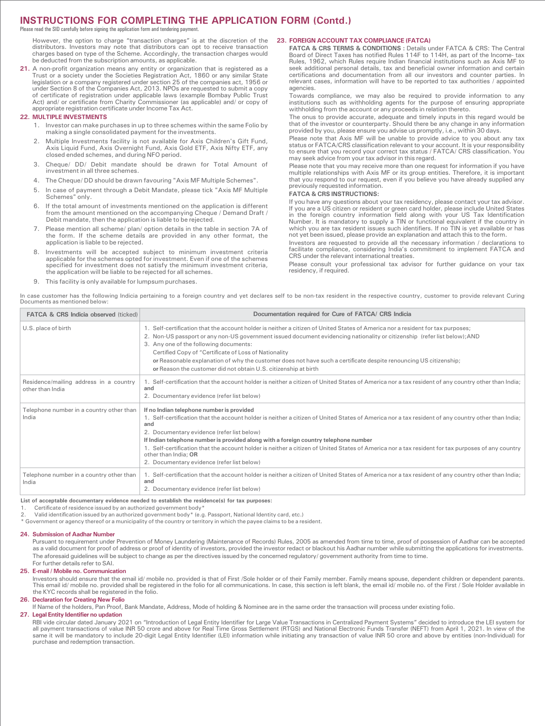## **INSTRUCTIONS FOR COMPLETING THE APPLICATION FORM (Contd.)**

Please read the SID carefully before signing the application form and tendering payment.

However, the option to charge "transaction charges" is at the discretion of the distributors. Investors may note that distributors can opt to receive transaction charges based on type of the Scheme. Accordingly, the transaction charges would be deducted from the subscription amounts, as applicable.

**21.** A non-profit organization means any entity or organization that is registered as a Trust or a society under the Societies Registration Act, 1860 or any similar State legislation or a company registered under section 25 of the companies act, 1956 or under Section 8 of the Companies Act, 2013. NPOs are requested to submit a copy of certificate of registration under applicable laws (example Bombay Public Trust Act) and/ or certificate from Charity Commissioner (as applicable) and/ or copy of appropriate registration certificate under Income Tax Act.

#### **22. MULTIPLE INVESTMENTS**

- 1. Investor can make purchases in up to three schemes within the same Folio by making a single consolidated payment for the investments.
- 2. Multiple Investments facility is not available for Axis Children's Gift Fund, Axis Liquid Fund, Axis Overnight Fund, Axis Gold ETF, Axis Nifty ETF, any closed ended schemes, and during NFO period.
- 3. Cheque/ DD/ Debit mandate should be drawn for Total Amount of investment in all three schemes.
- 4. The Cheque/ DD should be drawn favouring "Axis MF Multiple Schemes".
- 5. In case of payment through a Debit Mandate, please tick "Axis MF Multiple Schemes" only.
- 6. If the total amount of investments mentioned on the application is different from the amount mentioned on the accompanying Cheque / Demand Draft / Debit mandate, then the application is liable to be rejected.
- 7. Please mention all scheme/ plan/ option details in the table in section 7A of the form. If the scheme details are provided in any other format, the application is liable to be rejected.
- 8. Investments will be accepted subject to minimum investment criteria applicable for the schemes opted for investment. Even if one of the schemes specified for investment does not satisfy the minimum investment criteria, the application will be liable to be rejected for all schemes.
- 9. This facility is only available for lumpsum purchases.

#### **23. FOREIGN ACCOUNT TAX COMPLIANCE (FATCA)**

**FATCA & CRS TERMS & CONDITIONS :** Details under FATCA & CRS: The Central Board of Direct Taxes has notified Rules 114F to 114H, as part of the Income- tax Rules, 1962, which Rules require Indian financial institutions such as Axis MF to seek additional personal details, tax and beneficial owner information and certain certifications and documentation from all our investors and counter parties. In relevant cases, information will have to be reported to tax authorities / appointed agencies.

Towards compliance, we may also be required to provide information to any institutions such as withholding agents for the purpose of ensuring appropriate withholding from the account or any proceeds in relation thereto.

The onus to provide accurate, adequate and timely inputs in this regard would be that of the investor or counterparty. Should there be any change in any information provided by you, please ensure you advise us promptly, i.e., within 30 days.

Please note that Axis MF will be unable to provide advice to you about any tax status or FATCA/CRS classification relevant to your account. It is your responsibility to ensure that you record your correct tax status / FATCA/ CRS classification. You may seek advice from your tax advisor in this regard.

Please note that you may receive more than one request for information if you have multiple relationships with Axis MF or its group entities. Therefore, it is important that you respond to our request, even if you believe you have already supplied any previously requested information.

#### **FATCA & CRS INSTRUCTIONS:**

If you have any questions about your tax residency, please contact your tax advisor. If you are a US citizen or resident or green card holder, please include United States in the foreign country information field along with your US Tax Identification Number. It is mandatory to supply a TIN or functional equivalent if the country in which you are tax resident issues such identifiers. If no TIN is yet available or has not yet been issued, please provide an explanation and attach this to the form.

Investors are requested to provide all the necessary information / declarations to facilitate compliance, considering India's commitment to implement FATCA and CRS under the relevant international treaties.

Please consult your professional tax advisor for further guidance on your tax residency, if required.

In case customer has the following Indicia pertaining to a foreign country and yet declares self to be non-tax resident in the respective country, customer to provide relevant Curing Documents as mentioned below:

| <b>FATCA &amp; CRS Indicia observed (ticked)</b>           | Documentation required for Cure of FATCA/ CRS Indicia                                                                                                                                                                                                                                                                                                                                                                                                                                                                                                                   |
|------------------------------------------------------------|-------------------------------------------------------------------------------------------------------------------------------------------------------------------------------------------------------------------------------------------------------------------------------------------------------------------------------------------------------------------------------------------------------------------------------------------------------------------------------------------------------------------------------------------------------------------------|
| U.S. place of birth                                        | 1. Self-certification that the account holder is neither a citizen of United States of America nor a resident for tax purposes;<br>2. Non-US passport or any non-US government issued document evidencing nationality or citizenship (refer list below); AND<br>3. Any one of the following documents:<br>Certified Copy of "Certificate of Loss of Nationality<br>or Reasonable explanation of why the customer does not have such a certificate despite renouncing US citizenship;<br>or Reason the customer did not obtain U.S. citizenship at birth                 |
| Residence/mailing address in a country<br>other than India | 1. Self-certification that the account holder is neither a citizen of United States of America nor a tax resident of any country other than India;<br>and<br>2. Documentary evidence (refer list below)                                                                                                                                                                                                                                                                                                                                                                 |
| Telephone number in a country other than<br>India          | If no Indian telephone number is provided<br>1. Self-certification that the account holder is neither a citizen of United States of America nor a tax resident of any country other than India;<br>and<br>2. Documentary evidence (refer list below)<br>If Indian telephone number is provided along with a foreign country telephone number<br>1. Self-certification that the account holder is neither a citizen of United States of America nor a tax resident for tax purposes of any country<br>other than India; OR<br>2. Documentary evidence (refer list below) |
| Telephone number in a country other than<br>India          | 1. Self-certification that the account holder is neither a citizen of United States of America nor a tax resident of any country other than India;<br>and<br>2. Documentary evidence (refer list below)                                                                                                                                                                                                                                                                                                                                                                 |

**List of acceptable documentary evidence needed to establish the residence(s) for tax purposes:**<br>1. Certificate of residence issued by an authorized government body\*

Certificate of residence issued by an authorized government body\*

2. Valid identification issued by an authorized government body\* (e.g. Passport, National Identity card, etc.)

\* Government or agency thereof or a municipality of the country or territory in which the payee claims to be a resident.

#### **24. Submission of Aadhar Number**

Pursuant to requirement under Prevention of Money Laundering (Maintenance of Records) Rules, 2005 as amended from time to time, proof of possession of Aadhar can be accepted as a valid document for proof of address or proof of identity of investors, provided the investor redact or blackout his Aadhar number while submitting the applications for investments. The aforesaid guidelines will be subject to change as per the directives issued by the concerned regulatory/ government authority from time to time. For further details refer to SAI.

#### **25. E-mail / Mobile no. Communication**

Investors should ensure that the email id/ mobile no. provided is that of First /Sole holder or of their Family member. Family means spouse, dependent children or dependent parents. This email id/ mobile no. provided shall be registered in the folio for all communications. In case, this section is left blank, the email id/ mobile no. of the First / Sole Holder available in the KYC records shall be registered in the folio.

#### **26. Declaration for Creating New Folio**

If Name of the holders, Pan Proof, Bank Mandate, Address, Mode of holding & Nominee are in the same order the transaction will process under existing folio.

#### **27. Legal Entity Identifier no updation**

RBI vide circular dated January 2021 on "Introduction of Legal Entity Identifier for Large Value Transactions in Centralized Payment Systems" decided to introduce the LEI system for all payment transactions of value INR 50 crore and above for Real Time Gross Settlement (RTGS) and National Electronic Funds Transfer (NEFT) from April 1, 2021. In view of the same it will be mandatory to include 20-digit Legal Entity Identifier (LEI) information while initiating any transaction of value INR 50 crore and above by entities (non-Individual) for purchase and redemption transaction.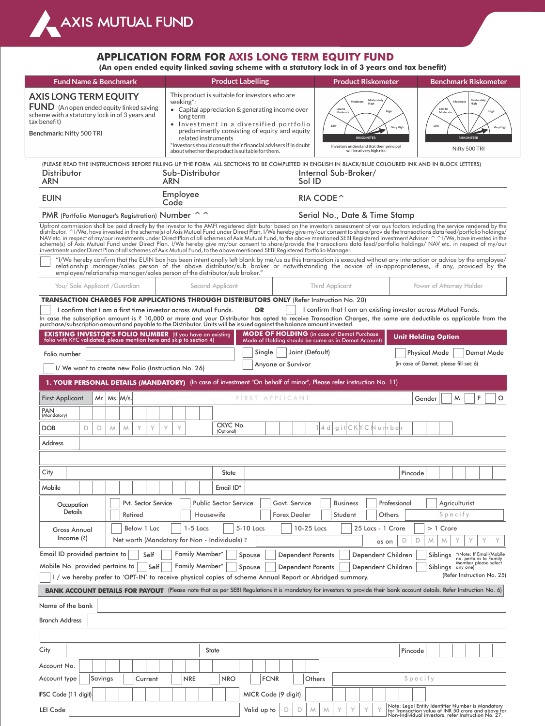

# **APPLICATION FORM FOR AXIS LONG TERM EQUITY FUND**

**(An open ended equity linked saving scheme with a statutory lock in of 3 years and tax benefit)** 

| <b>Fund Name &amp; Benchmark</b>                                                                                                                                                                                                                                                                                                                                                                                                                                                                                                                                                                                                                                                                                                                                                                                                                                                                                                                                                                                                                                                                                                 |                                                                                                                                                                 | <b>Product Labelling</b>                                                                                                                                                                                      | <b>Product Riskometer</b>                                                                                                                                                    | <b>Benchmark Riskometer</b>                                                                                                                                    |  |  |  |  |  |  |
|----------------------------------------------------------------------------------------------------------------------------------------------------------------------------------------------------------------------------------------------------------------------------------------------------------------------------------------------------------------------------------------------------------------------------------------------------------------------------------------------------------------------------------------------------------------------------------------------------------------------------------------------------------------------------------------------------------------------------------------------------------------------------------------------------------------------------------------------------------------------------------------------------------------------------------------------------------------------------------------------------------------------------------------------------------------------------------------------------------------------------------|-----------------------------------------------------------------------------------------------------------------------------------------------------------------|---------------------------------------------------------------------------------------------------------------------------------------------------------------------------------------------------------------|------------------------------------------------------------------------------------------------------------------------------------------------------------------------------|----------------------------------------------------------------------------------------------------------------------------------------------------------------|--|--|--|--|--|--|
| <b>AXIS LONG TERM EQUITY</b><br>FUND (An open ended equity linked saving<br>scheme with a statutory lock in of 3 years and<br>tax benefit)<br>Benchmark: Nifty 500 TRI                                                                                                                                                                                                                                                                                                                                                                                                                                                                                                                                                                                                                                                                                                                                                                                                                                                                                                                                                           | This product is suitable for investors who are<br>seeking <sup>*</sup> :<br>long term<br>related instruments<br>about whether the product is suitable for them. | • Capital appreciation & generating income over<br>• Investment in a diversified portfolio<br>predominantly consisting of equity and equity<br>*Investors should consult their financial advisers if in doubt | Moderatel<br>Moderate<br>High<br>Low to<br>Modera<br>High<br>Low<br>Very High<br><b>RISKOMETER</b><br>Investors understand that their principal<br>will be at very high risk | Moderately<br>Moderate<br>High<br>Low to<br>Moderat<br>High<br>Low<br>Very High<br><b>RISKOMETER</b><br>Nifty 500 TRI                                          |  |  |  |  |  |  |
| (PLEASE READ THE INSTRUCTIONS BEFORE FILLING UP THE FORM. ALL SECTIONS TO BE COMPLETED IN ENGLISH IN BLACK/BLUE COLOURED INK AND IN BLOCK LETTERS)<br><b>Distributor</b><br><b>ARN</b>                                                                                                                                                                                                                                                                                                                                                                                                                                                                                                                                                                                                                                                                                                                                                                                                                                                                                                                                           | Sub-Distributor<br><b>ARN</b>                                                                                                                                   | Sol ID                                                                                                                                                                                                        | Internal Sub-Broker/                                                                                                                                                         |                                                                                                                                                                |  |  |  |  |  |  |
| <b>EUIN</b>                                                                                                                                                                                                                                                                                                                                                                                                                                                                                                                                                                                                                                                                                                                                                                                                                                                                                                                                                                                                                                                                                                                      | Employee<br>Code                                                                                                                                                |                                                                                                                                                                                                               | RIA CODE ^                                                                                                                                                                   |                                                                                                                                                                |  |  |  |  |  |  |
| PMR (Portfolio Manager's Registration) Number ^ ^<br>Upfront commission shall be paid directly by the investor to the AMFI registered distributor based on the investor's assessment of various factors including the service rendered by the<br>distributor. ^I/We, have invested in the scheme(s) of Axis Mutual Fund under Direct Plan. I/We hereby give my/our consent to share/provide the transactions data feed/portfolio holdings/<br>NAV etc. in respect of my/our investments under Direct Plan of all schemes of Axis Mutual Fund, to the above mentioned SEBI Registered Investment Adviser. ^ ^ I/We, have invested in the<br>scheme(s) of Axis Mutual Fund under Direct Plan. I/We hereby give my/our consent to share/provide the transactions data feed/portfolio holdings/ NAV etc. in respect of my/our<br>investments under Direct Plan of all schemes of Axis Mutual Fund, to the above mentioned SEBI Registered Portfolio Manager.<br>"I/We hereby confirm that the EUIN box has been intentionally left blank by me/us as this transaction is executed without any interaction or advice by the employee/ |                                                                                                                                                                 |                                                                                                                                                                                                               | Serial No., Date & Time Stamp                                                                                                                                                |                                                                                                                                                                |  |  |  |  |  |  |
| relationship manager/sales person of the above distributor/sub broker or notwithstanding the advice of in-appropriateness, if any, provided by the<br>employee/relationship manager/sales person of the distributor/sub broker."                                                                                                                                                                                                                                                                                                                                                                                                                                                                                                                                                                                                                                                                                                                                                                                                                                                                                                 |                                                                                                                                                                 |                                                                                                                                                                                                               |                                                                                                                                                                              |                                                                                                                                                                |  |  |  |  |  |  |
| You/ Sole Applicant / Guardian<br>TRANSACTION CHARGES FOR APPLICATIONS THROUGH DISTRIBUTORS ONLY (Refer Instruction No. 20)                                                                                                                                                                                                                                                                                                                                                                                                                                                                                                                                                                                                                                                                                                                                                                                                                                                                                                                                                                                                      | Second Applicant                                                                                                                                                |                                                                                                                                                                                                               | Third Applicant                                                                                                                                                              | Power of Attorney Holder                                                                                                                                       |  |  |  |  |  |  |
| I confirm that I am a first time investor across Mutual Funds.<br>In case the subscription amount is ₹ 10,000 or more and your Distributor has opted to receive Transaction Charges, the same are deductible as applicable from the<br>purchase/subscription amount and payable to the Distributor. Units will be issued against the balance amount invested.<br><b>EXISTING INVESTOR'S FOLIO NUMBER</b> (If you have an existing<br>folio with KYC validated, please mention here and skip to section 4)<br>Folio number<br>I/ We want to create new Folio (Instruction No. 26)<br>1. YOUR PERSONAL DETAILS (MANDATORY) (In case of investment "On behalf of minor", Please refer instruction No. 11)                                                                                                                                                                                                                                                                                                                                                                                                                           |                                                                                                                                                                 | <b>OR</b><br><b>MODE OF HOLDING</b> (in case of Demat Purchase<br>Mode of Holding should be same as in Demat Account)<br>Joint (Default)<br>Single<br>Anyone or Survivor                                      | I confirm that I am an existing investor across Mutual Funds.                                                                                                                | <b>Unit Holding Option</b><br><b>Physical Mode</b><br>Demat Mode<br>(in case of Demat, please fill sec 6)                                                      |  |  |  |  |  |  |
| Mr.   Ms.   M/s.<br><b>First Applicant</b>                                                                                                                                                                                                                                                                                                                                                                                                                                                                                                                                                                                                                                                                                                                                                                                                                                                                                                                                                                                                                                                                                       |                                                                                                                                                                 | FIRST APPLICANT                                                                                                                                                                                               |                                                                                                                                                                              | $\circ$<br>F<br>Gender<br>M                                                                                                                                    |  |  |  |  |  |  |
| <b>PAN</b><br>(Mandatory)                                                                                                                                                                                                                                                                                                                                                                                                                                                                                                                                                                                                                                                                                                                                                                                                                                                                                                                                                                                                                                                                                                        |                                                                                                                                                                 |                                                                                                                                                                                                               |                                                                                                                                                                              |                                                                                                                                                                |  |  |  |  |  |  |
| Υ<br>Y<br><b>DOB</b><br>D<br>D<br>M<br>M                                                                                                                                                                                                                                                                                                                                                                                                                                                                                                                                                                                                                                                                                                                                                                                                                                                                                                                                                                                                                                                                                         | CKYC No.<br>Y<br>Υ<br>(Optional)                                                                                                                                |                                                                                                                                                                                                               | 4 d<br>n C K Y C N u mh b el<br>g i                                                                                                                                          |                                                                                                                                                                |  |  |  |  |  |  |
| <b>Address</b>                                                                                                                                                                                                                                                                                                                                                                                                                                                                                                                                                                                                                                                                                                                                                                                                                                                                                                                                                                                                                                                                                                                   |                                                                                                                                                                 |                                                                                                                                                                                                               |                                                                                                                                                                              |                                                                                                                                                                |  |  |  |  |  |  |
|                                                                                                                                                                                                                                                                                                                                                                                                                                                                                                                                                                                                                                                                                                                                                                                                                                                                                                                                                                                                                                                                                                                                  |                                                                                                                                                                 |                                                                                                                                                                                                               |                                                                                                                                                                              |                                                                                                                                                                |  |  |  |  |  |  |
| City                                                                                                                                                                                                                                                                                                                                                                                                                                                                                                                                                                                                                                                                                                                                                                                                                                                                                                                                                                                                                                                                                                                             | State                                                                                                                                                           |                                                                                                                                                                                                               |                                                                                                                                                                              | Pincode                                                                                                                                                        |  |  |  |  |  |  |
| Mobile                                                                                                                                                                                                                                                                                                                                                                                                                                                                                                                                                                                                                                                                                                                                                                                                                                                                                                                                                                                                                                                                                                                           | Email ID*                                                                                                                                                       |                                                                                                                                                                                                               |                                                                                                                                                                              |                                                                                                                                                                |  |  |  |  |  |  |
| Pvt. Sector Service<br>Occupation<br>Details                                                                                                                                                                                                                                                                                                                                                                                                                                                                                                                                                                                                                                                                                                                                                                                                                                                                                                                                                                                                                                                                                     | <b>Public Sector Service</b>                                                                                                                                    | Govt. Service                                                                                                                                                                                                 | <b>Business</b><br>Professional                                                                                                                                              | Agriculturist                                                                                                                                                  |  |  |  |  |  |  |
| Retired                                                                                                                                                                                                                                                                                                                                                                                                                                                                                                                                                                                                                                                                                                                                                                                                                                                                                                                                                                                                                                                                                                                          | Housewife                                                                                                                                                       | <b>Forex Dealer</b>                                                                                                                                                                                           | Student<br>Others                                                                                                                                                            | Specify                                                                                                                                                        |  |  |  |  |  |  |
| Below 1 Lac<br><b>Gross Annual</b><br>Income $(\bar{z})$                                                                                                                                                                                                                                                                                                                                                                                                                                                                                                                                                                                                                                                                                                                                                                                                                                                                                                                                                                                                                                                                         | $1-5$ Lacs<br>Net worth (Mandatory for Non - Individuals) ₹                                                                                                     | 5-10 Lacs<br>10-25 Lacs                                                                                                                                                                                       | 25 Lacs - 1 Crore<br>as on                                                                                                                                                   | $> 1$ Crore<br>M<br>M<br>Y<br>D                                                                                                                                |  |  |  |  |  |  |
| Email ID provided pertains to<br>Self                                                                                                                                                                                                                                                                                                                                                                                                                                                                                                                                                                                                                                                                                                                                                                                                                                                                                                                                                                                                                                                                                            | Family Member*                                                                                                                                                  | Spouse<br><b>Dependent Parents</b>                                                                                                                                                                            | Dependent Children                                                                                                                                                           | *(Note: If Email/Mobile<br>Siblings<br>no. pertains to Family                                                                                                  |  |  |  |  |  |  |
| Mobile No. provided pertains to<br>Self<br>I / we hereby prefer to 'OPT-IN' to receive physical copies of scheme Annual Report or Abridged summary.                                                                                                                                                                                                                                                                                                                                                                                                                                                                                                                                                                                                                                                                                                                                                                                                                                                                                                                                                                              | Family Member*                                                                                                                                                  | Spouse<br><b>Dependent Parents</b>                                                                                                                                                                            | Dependent Children                                                                                                                                                           | Member please select<br>Siblings<br>any one)<br>(Refer Instruction No. 25)                                                                                     |  |  |  |  |  |  |
| BANK ACCOUNT DETAILS FOR PAYOUT (Please note that as per SEBI Regulations it is mandatory for investors to provide their bank account details. Refer Instruction No. 6)                                                                                                                                                                                                                                                                                                                                                                                                                                                                                                                                                                                                                                                                                                                                                                                                                                                                                                                                                          |                                                                                                                                                                 |                                                                                                                                                                                                               |                                                                                                                                                                              |                                                                                                                                                                |  |  |  |  |  |  |
| Name of the bank                                                                                                                                                                                                                                                                                                                                                                                                                                                                                                                                                                                                                                                                                                                                                                                                                                                                                                                                                                                                                                                                                                                 |                                                                                                                                                                 |                                                                                                                                                                                                               |                                                                                                                                                                              |                                                                                                                                                                |  |  |  |  |  |  |
| <b>Branch Address</b>                                                                                                                                                                                                                                                                                                                                                                                                                                                                                                                                                                                                                                                                                                                                                                                                                                                                                                                                                                                                                                                                                                            |                                                                                                                                                                 |                                                                                                                                                                                                               |                                                                                                                                                                              |                                                                                                                                                                |  |  |  |  |  |  |
|                                                                                                                                                                                                                                                                                                                                                                                                                                                                                                                                                                                                                                                                                                                                                                                                                                                                                                                                                                                                                                                                                                                                  |                                                                                                                                                                 |                                                                                                                                                                                                               |                                                                                                                                                                              |                                                                                                                                                                |  |  |  |  |  |  |
| City                                                                                                                                                                                                                                                                                                                                                                                                                                                                                                                                                                                                                                                                                                                                                                                                                                                                                                                                                                                                                                                                                                                             | State                                                                                                                                                           |                                                                                                                                                                                                               |                                                                                                                                                                              | Pincode                                                                                                                                                        |  |  |  |  |  |  |
| Account No.                                                                                                                                                                                                                                                                                                                                                                                                                                                                                                                                                                                                                                                                                                                                                                                                                                                                                                                                                                                                                                                                                                                      |                                                                                                                                                                 |                                                                                                                                                                                                               |                                                                                                                                                                              |                                                                                                                                                                |  |  |  |  |  |  |
| Savings<br>Account type<br>Current                                                                                                                                                                                                                                                                                                                                                                                                                                                                                                                                                                                                                                                                                                                                                                                                                                                                                                                                                                                                                                                                                               | nre<br><b>NRO</b>                                                                                                                                               | <b>FCNR</b><br>Others                                                                                                                                                                                         |                                                                                                                                                                              | Specify                                                                                                                                                        |  |  |  |  |  |  |
| IFSC Code (11 digit)                                                                                                                                                                                                                                                                                                                                                                                                                                                                                                                                                                                                                                                                                                                                                                                                                                                                                                                                                                                                                                                                                                             |                                                                                                                                                                 | MICR Code (9 digit)                                                                                                                                                                                           |                                                                                                                                                                              |                                                                                                                                                                |  |  |  |  |  |  |
| LEI Code                                                                                                                                                                                                                                                                                                                                                                                                                                                                                                                                                                                                                                                                                                                                                                                                                                                                                                                                                                                                                                                                                                                         |                                                                                                                                                                 | D<br>М<br>Valid up to<br>D                                                                                                                                                                                    | Υ<br>Υ<br>M                                                                                                                                                                  | Note: Legal Entity Identifier Number is Mandatory<br>for Transaction value of INR 50 crore and above for<br>Non-Individual investors. refer Instruction No. 27 |  |  |  |  |  |  |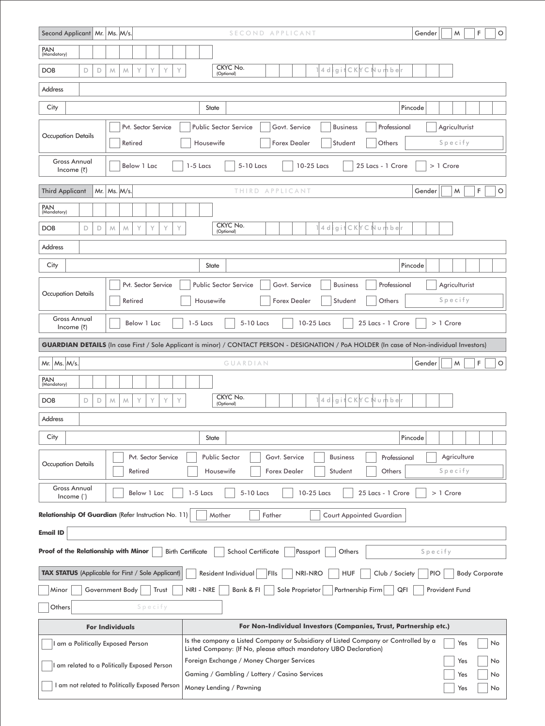| Second Applicant   Mr.   Ms. M/s.                                                                                                                   |        |                  |                        |                                |       |   |                          |              |                                                                                                                                                        | SECOND APPLICANT                                                  |                                      |                |            |                                 |    |                   |              | Gender  |         |             | Μ                      | F                     | O        |
|-----------------------------------------------------------------------------------------------------------------------------------------------------|--------|------------------|------------------------|--------------------------------|-------|---|--------------------------|--------------|--------------------------------------------------------------------------------------------------------------------------------------------------------|-------------------------------------------------------------------|--------------------------------------|----------------|------------|---------------------------------|----|-------------------|--------------|---------|---------|-------------|------------------------|-----------------------|----------|
| PAN<br>(Mandatory)                                                                                                                                  |        |                  |                        |                                |       |   |                          |              |                                                                                                                                                        |                                                                   |                                      |                |            |                                 |    |                   |              |         |         |             |                        |                       |          |
| <b>DOB</b>                                                                                                                                          | D<br>D | M                | M                      | Y<br>Υ                         | Y     | Υ |                          |              | CKYC No.<br>(Optional)                                                                                                                                 |                                                                   |                                      |                | $4$ d      | git                             |    | CKYCNumber        |              |         |         |             |                        |                       |          |
| <b>Address</b>                                                                                                                                      |        |                  |                        |                                |       |   |                          |              |                                                                                                                                                        |                                                                   |                                      |                |            |                                 |    |                   |              |         |         |             |                        |                       |          |
| City                                                                                                                                                |        |                  |                        |                                |       |   |                          | <b>State</b> |                                                                                                                                                        |                                                                   |                                      |                |            |                                 |    |                   |              | Pincode |         |             |                        |                       |          |
|                                                                                                                                                     |        |                  |                        | Pvt. Sector Service            |       |   |                          |              | <b>Public Sector Service</b>                                                                                                                           |                                                                   | Govt. Service                        |                |            | <b>Business</b>                 |    |                   | Professional |         |         |             | Agriculturist          |                       |          |
| <b>Occupation Details</b>                                                                                                                           |        |                  | Retired                |                                |       |   |                          | Housewife    |                                                                                                                                                        |                                                                   | <b>Forex Dealer</b>                  |                |            | Student                         |    | Others            |              |         |         |             | Specify                |                       |          |
| <b>Gross Annual</b><br>Income $(\bar{z})$                                                                                                           |        |                  |                        | Below 1 Lac                    |       |   | $1-5$ Lacs               |              |                                                                                                                                                        | 5-10 Lacs                                                         |                                      | 10-25 Lacs     |            |                                 |    | 25 Lacs - 1 Crore |              |         |         | $> 1$ Crore |                        |                       |          |
| <b>Third Applicant</b>                                                                                                                              |        | Mr.   Ms.   M/s. |                        |                                |       |   |                          |              |                                                                                                                                                        | THIRD APPLICANT                                                   |                                      |                |            |                                 |    |                   |              | Gender  |         |             | M                      | F                     | O        |
| PAN<br>(Mandatory)                                                                                                                                  |        |                  |                        |                                |       |   |                          |              |                                                                                                                                                        |                                                                   |                                      |                |            |                                 |    |                   |              |         |         |             |                        |                       |          |
| <b>DOB</b>                                                                                                                                          | D<br>D | М                | M                      | Y<br>Υ                         | Υ     | Υ |                          |              | CKYC No.<br>(Optional)                                                                                                                                 |                                                                   |                                      |                | 4 d        | СK<br>g i t                     | YС | Numbe             |              |         |         |             |                        |                       |          |
| <b>Address</b>                                                                                                                                      |        |                  |                        |                                |       |   |                          |              |                                                                                                                                                        |                                                                   |                                      |                |            |                                 |    |                   |              |         |         |             |                        |                       |          |
| City                                                                                                                                                |        |                  |                        |                                |       |   |                          | State        |                                                                                                                                                        |                                                                   |                                      |                |            |                                 |    |                   |              | Pincode |         |             |                        |                       |          |
|                                                                                                                                                     |        |                  |                        | Pvt. Sector Service            |       |   |                          |              | <b>Public Sector Service</b>                                                                                                                           |                                                                   | Govt. Service                        |                |            | <b>Business</b>                 |    |                   | Professional |         |         |             | Agriculturist          |                       |          |
| <b>Occupation Details</b>                                                                                                                           |        |                  | Retired                |                                |       |   |                          | Housewife    |                                                                                                                                                        |                                                                   | <b>Forex Dealer</b>                  |                |            | Student                         |    | Others            |              |         |         |             | Specify                |                       |          |
| <b>Gross Annual</b><br>Income $(\bar{z})$                                                                                                           |        |                  |                        | Below 1 Lac                    |       |   |                          | $1-5$ Lacs   |                                                                                                                                                        | 5-10 Lacs                                                         |                                      |                | 10-25 Lacs |                                 |    | 25 Lacs - 1 Crore |              |         |         | $> 1$ Crore |                        |                       |          |
| <b>GUARDIAN DETAILS</b> (In case First / Sole Applicant is minor) / CONTACT PERSON - DESIGNATION / PoA HOLDER (In case of Non-individual Investors) |        |                  |                        |                                |       |   |                          |              |                                                                                                                                                        |                                                                   |                                      |                |            |                                 |    |                   |              |         |         |             |                        |                       |          |
|                                                                                                                                                     |        |                  |                        |                                |       |   |                          |              |                                                                                                                                                        |                                                                   |                                      |                |            |                                 |    |                   |              |         |         |             |                        |                       |          |
| Mr.   Ms.   M/s.                                                                                                                                    |        |                  |                        |                                |       |   |                          |              | GUARDIAN                                                                                                                                               |                                                                   |                                      |                |            |                                 |    |                   |              | Gender  |         |             | Μ                      | F                     | O        |
| PAN<br>(Mandatory)                                                                                                                                  |        |                  |                        |                                |       |   |                          |              |                                                                                                                                                        |                                                                   |                                      |                |            |                                 |    |                   |              |         |         |             |                        |                       |          |
| <b>DOB</b>                                                                                                                                          | D<br>D | M                | M                      | Y<br>Υ                         | Y     | Υ |                          |              | CKYC No.<br>(Optional)                                                                                                                                 |                                                                   |                                      |                | $4$ d      | git                             |    | CKYCNumber        |              |         |         |             |                        |                       |          |
| <b>Address</b>                                                                                                                                      |        |                  |                        |                                |       |   |                          |              |                                                                                                                                                        |                                                                   |                                      |                |            |                                 |    |                   |              |         |         |             |                        |                       |          |
| City                                                                                                                                                |        |                  |                        |                                |       |   |                          | State        |                                                                                                                                                        |                                                                   |                                      |                |            |                                 |    |                   |              | Pincode |         |             |                        |                       |          |
| Occupation Details                                                                                                                                  |        |                  |                        | Pvt. Sector Service<br>Retired |       |   |                          |              | Public Sector<br>Housewife                                                                                                                             |                                                                   | Govt. Service<br><b>Forex Dealer</b> |                |            | <b>Business</b><br>Student      |    | Others            | Professional |         |         |             | Agriculture<br>Specify |                       |          |
| <b>Gross Annual</b>                                                                                                                                 |        |                  |                        | Below 1 Lac                    |       |   |                          | $1-5$ Lacs   |                                                                                                                                                        | 5-10 Lacs                                                         |                                      |                | 10-25 Lacs |                                 |    | 25 Lacs - 1 Crore |              |         |         | $> 1$ Crore |                        |                       |          |
| Income(')<br>Relationship Of Guardian (Refer Instruction No. 11)                                                                                    |        |                  |                        |                                |       |   |                          |              | Mother                                                                                                                                                 | Father                                                            |                                      |                |            |                                 |    |                   |              |         |         |             |                        |                       |          |
| <b>Email ID</b>                                                                                                                                     |        |                  |                        |                                |       |   |                          |              |                                                                                                                                                        |                                                                   |                                      |                |            | <b>Court Appointed Guardian</b> |    |                   |              |         |         |             |                        |                       |          |
| Proof of the Relationship with Minor                                                                                                                |        |                  |                        |                                |       |   | <b>Birth Certificate</b> |              |                                                                                                                                                        | <b>School Certificate</b>                                         |                                      | Passport       |            | Others                          |    |                   |              |         | Specify |             |                        |                       |          |
| <b>TAX STATUS</b> (Applicable for First / Sole Applicant)                                                                                           |        |                  |                        |                                |       |   |                          |              | Resident Individual                                                                                                                                    | Flls                                                              |                                      | <b>NRI-NRO</b> |            | <b>HUF</b>                      |    | Club / Society    |              |         | PIO     |             |                        | <b>Body Corporate</b> |          |
| Minor                                                                                                                                               |        |                  | Government Body        |                                | Trust |   |                          | NRI - NRE    | Bank & FI                                                                                                                                              |                                                                   | Sole Proprietor                      |                |            | Partnership Firm                |    |                   | QFI          |         |         |             | Provident Fund         |                       |          |
| Others                                                                                                                                              |        |                  |                        | Specify                        |       |   |                          |              |                                                                                                                                                        |                                                                   |                                      |                |            |                                 |    |                   |              |         |         |             |                        |                       |          |
|                                                                                                                                                     |        |                  | <b>For Individuals</b> |                                |       |   |                          |              |                                                                                                                                                        | For Non-Individual Investors (Companies, Trust, Partnership etc.) |                                      |                |            |                                 |    |                   |              |         |         |             |                        |                       |          |
| am a Politically Exposed Person                                                                                                                     |        |                  |                        |                                |       |   |                          |              | Is the company a Listed Company or Subsidiary of Listed Company or Controlled by a<br>Listed Company: (If No, please attach mandatory UBO Declaration) |                                                                   |                                      |                |            |                                 |    |                   |              |         |         |             | Yes                    |                       | No       |
| I am related to a Politically Exposed Person                                                                                                        |        |                  |                        |                                |       |   |                          |              | Foreign Exchange / Money Charger Services                                                                                                              |                                                                   |                                      |                |            |                                 |    |                   |              |         |         |             | Yes                    |                       | No       |
| I am not related to Politically Exposed Person                                                                                                      |        |                  |                        |                                |       |   |                          |              | Gaming / Gambling / Lottery / Casino Services<br>Money Lending / Pawning                                                                               |                                                                   |                                      |                |            |                                 |    |                   |              |         |         |             | Yes<br>Yes             |                       | No<br>No |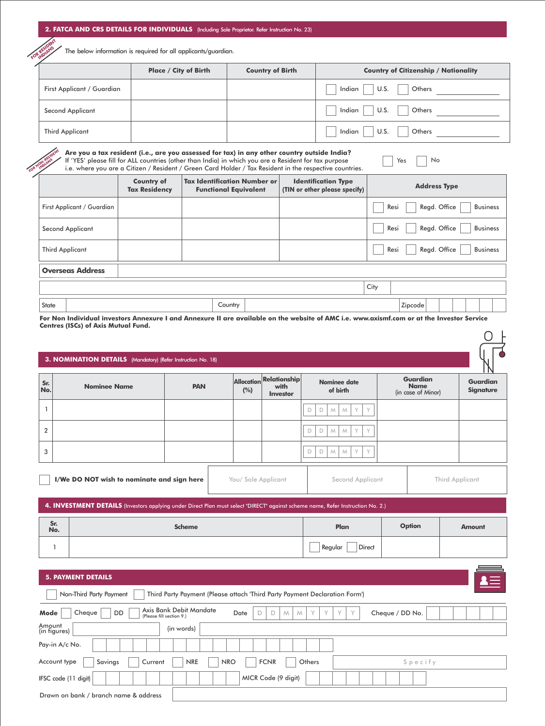|                |                                                 | The below information is required for all applicants/guardian.                                                                                                                                                                                                                                                  |                              |                                                                     |                                                |                                                                                                                                 |                                                      |                                     |
|----------------|-------------------------------------------------|-----------------------------------------------------------------------------------------------------------------------------------------------------------------------------------------------------------------------------------------------------------------------------------------------------------------|------------------------------|---------------------------------------------------------------------|------------------------------------------------|---------------------------------------------------------------------------------------------------------------------------------|------------------------------------------------------|-------------------------------------|
|                |                                                 |                                                                                                                                                                                                                                                                                                                 | <b>Place / City of Birth</b> | <b>Country of Birth</b>                                             |                                                |                                                                                                                                 | <b>Country of Citizenship / Nationality</b>          |                                     |
|                | First Applicant / Guardian                      |                                                                                                                                                                                                                                                                                                                 |                              |                                                                     |                                                | Indian                                                                                                                          | U.S.<br>Others                                       |                                     |
|                |                                                 |                                                                                                                                                                                                                                                                                                                 |                              |                                                                     |                                                |                                                                                                                                 |                                                      |                                     |
|                | Second Applicant                                |                                                                                                                                                                                                                                                                                                                 |                              |                                                                     |                                                | Indian                                                                                                                          | U.S.<br>Others                                       |                                     |
|                | <b>Third Applicant</b>                          |                                                                                                                                                                                                                                                                                                                 |                              |                                                                     |                                                | Indian                                                                                                                          | U.S.<br>Others                                       |                                     |
|                |                                                 | Are you a tax resident (i.e., are you assessed for tax) in any other country outside India?<br>If 'YES' please fill for ALL countries (other than India) in which you are a Resident for tax purpose<br>i.e. where you are a Citizen / Resident / Green Card Holder / Tax Resident in the respective countries. |                              |                                                                     |                                                |                                                                                                                                 | No<br>Yes                                            |                                     |
|                |                                                 | Country of<br><b>Tax Residency</b>                                                                                                                                                                                                                                                                              |                              | <b>Tax Identification Number or</b><br><b>Functional Equivalent</b> |                                                | <b>Identification Type</b><br>(TIN or other please specify)                                                                     | <b>Address Type</b>                                  |                                     |
|                | First Applicant / Guardian                      |                                                                                                                                                                                                                                                                                                                 |                              |                                                                     |                                                |                                                                                                                                 | Resi                                                 | Regd. Office<br><b>Business</b>     |
|                | <b>Second Applicant</b>                         |                                                                                                                                                                                                                                                                                                                 |                              |                                                                     |                                                |                                                                                                                                 | Resi                                                 | Regd. Office<br><b>Business</b>     |
|                | <b>Third Applicant</b>                          |                                                                                                                                                                                                                                                                                                                 |                              |                                                                     |                                                |                                                                                                                                 | Regd. Office<br>Resi                                 | <b>Business</b>                     |
|                | <b>Overseas Address</b>                         |                                                                                                                                                                                                                                                                                                                 |                              |                                                                     |                                                |                                                                                                                                 |                                                      |                                     |
|                |                                                 |                                                                                                                                                                                                                                                                                                                 |                              |                                                                     |                                                | City                                                                                                                            |                                                      |                                     |
| State          |                                                 |                                                                                                                                                                                                                                                                                                                 |                              | Country                                                             |                                                |                                                                                                                                 | Zipcode                                              |                                     |
| Sr.<br>No.     | <b>Nominee Name</b>                             |                                                                                                                                                                                                                                                                                                                 |                              |                                                                     |                                                |                                                                                                                                 |                                                      |                                     |
|                |                                                 |                                                                                                                                                                                                                                                                                                                 | <b>PAN</b>                   | <b>Allocation</b><br>(%)                                            | <b>Relationship</b><br>with<br><b>Investor</b> | Nominee date<br>of birth                                                                                                        | <b>Guardian</b><br><b>Name</b><br>(in case of Minor) | <b>Guardian</b><br><b>Signature</b> |
| $\mathbf{1}$   |                                                 |                                                                                                                                                                                                                                                                                                                 |                              |                                                                     | D                                              | Y<br>Y<br>$\mathsf D$<br>М<br>М                                                                                                 |                                                      |                                     |
| $\overline{2}$ |                                                 |                                                                                                                                                                                                                                                                                                                 |                              |                                                                     | $\mathsf D$                                    | Y<br>$\mathsf D$<br>М<br>Y<br>M                                                                                                 |                                                      |                                     |
| 3              |                                                 |                                                                                                                                                                                                                                                                                                                 |                              |                                                                     | D                                              | $\mathsf D$<br>Y<br>М<br>${\mathcal M}$<br>Y                                                                                    |                                                      |                                     |
|                | I/We DO NOT wish to nominate and sign here      |                                                                                                                                                                                                                                                                                                                 |                              | You/ Sole Applicant                                                 |                                                | Second Applicant                                                                                                                |                                                      | <b>Third Applicant</b>              |
|                |                                                 |                                                                                                                                                                                                                                                                                                                 |                              |                                                                     |                                                | 4. INVESTMENT DETAILS (Investors applying under Direct Plan must select "DIRECT" against scheme name, Refer Instruction No. 2.) |                                                      |                                     |
|                | Sr.<br>No.                                      |                                                                                                                                                                                                                                                                                                                 | <b>Scheme</b>                |                                                                     |                                                | Plan                                                                                                                            | Option                                               | Amount                              |
|                | 1                                               |                                                                                                                                                                                                                                                                                                                 |                              |                                                                     |                                                | Regular<br>Direct                                                                                                               |                                                      |                                     |
|                |                                                 |                                                                                                                                                                                                                                                                                                                 |                              |                                                                     |                                                |                                                                                                                                 |                                                      |                                     |
|                | <b>5. PAYMENT DETAILS</b>                       |                                                                                                                                                                                                                                                                                                                 |                              |                                                                     |                                                |                                                                                                                                 |                                                      |                                     |
|                | Non-Third Party Payment                         |                                                                                                                                                                                                                                                                                                                 |                              |                                                                     |                                                | Third Party Payment (Please attach 'Third Party Payment Declaration Form')                                                      |                                                      |                                     |
| Mode           | <b>DD</b><br>Cheque                             | (Please fill section 9.)                                                                                                                                                                                                                                                                                        | Axis Bank Debit Mandate      | D<br>Date<br>D                                                      | M<br>М                                         | Y<br>Υ<br>Υ<br>Y                                                                                                                | Cheque / DD No.                                      |                                     |
| Amount         | (in figures)                                    |                                                                                                                                                                                                                                                                                                                 | (in words)                   |                                                                     |                                                |                                                                                                                                 |                                                      |                                     |
|                | Pay-in A/c No.                                  |                                                                                                                                                                                                                                                                                                                 |                              |                                                                     |                                                |                                                                                                                                 |                                                      |                                     |
|                | Account type<br>Savings<br>IFSC code (11 digit) | Current                                                                                                                                                                                                                                                                                                         | <b>NRE</b>                   | <b>NRO</b><br><b>FCNR</b><br>MICR Code (9 digit)                    | Others                                         |                                                                                                                                 | Specify                                              |                                     |

| Drawn on bank / branch name & address |
|---------------------------------------|
|---------------------------------------|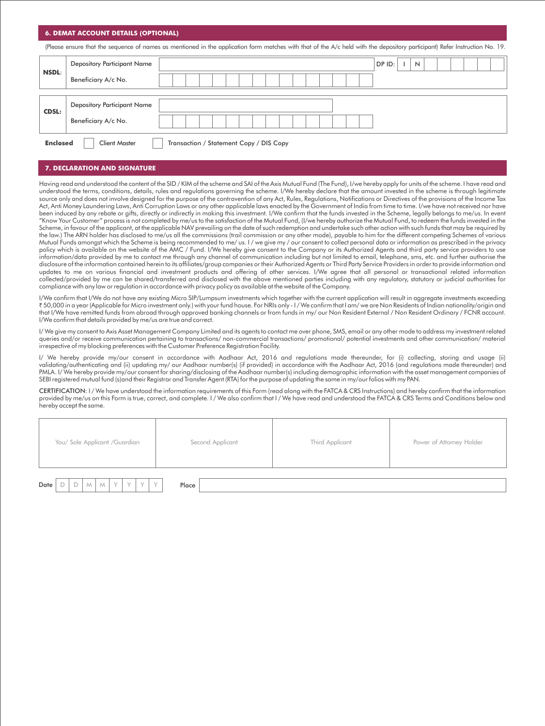#### **6. DEMAT ACCOUNT DETAILS (OPTIONAL)**

(Please ensure that the sequence of names as mentioned in the application form matches with that of the A/c held with the depository participant) Refer Instruction No. 19.

|                 | <b>Depository Participant Name</b> | DP ID:<br>N                             |
|-----------------|------------------------------------|-----------------------------------------|
| <b>NSDL:</b>    | Beneficiary A/c No.                |                                         |
|                 |                                    |                                         |
| <b>CDSL:</b>    | <b>Depository Participant Name</b> |                                         |
|                 | Beneficiary A/c No.                |                                         |
| <b>Enclosed</b> | <b>Client Master</b>               | Transaction / Statement Copy / DIS Copy |

#### **7. DECLARATION AND SIGNATURE**

Having read and understood the content of the SID / KIM of the scheme and SAI of the Axis Mutual Fund (The Fund), I/we hereby apply for units of the scheme. I have read and understood the terms, conditions, details, rules and regulations governing the scheme. I/We hereby declare that the amount invested in the scheme is through legitimate source only and does not involve designed for the purpose of the contravention of any Act, Rules, Regulations, Notifications or Directives of the provisions of the Income Tax Act, Anti Money Laundering Laws, Anti Corruption Laws or any other applicable laws enacted by the Government of India from time to time. I/we have not received nor have been induced by any rebate or gifts, directly or indirectly in making this investment. I/We confirm that the funds invested in the Scheme, legally belongs to me/us. In event "Know Your Customer" process is not completed by me/us to the satisfaction of the Mutual Fund, (I/we hereby authorize the Mutual Fund, to redeem the funds invested in the Scheme, in favour of the applicant, at the applicable NAV prevailing on the date of such redemption and undertake such other action with such funds that may be required by the law.) The ARN holder has disclosed to me/us all the commissions (trail commission or any other mode), payable to him for the different competing Schemes of various Mutual Funds amongst which the Scheme is being recommended to me/ us. I / we give my / our consent to collect personal data or information as prescribed in the privacy policy which is available on the website of the AMC / Fund. I/We hereby give consent to the Company or its Authorized Agents and third party service providers to use information/data provided by me to contact me through any channel of communication including but not limited to email, telephone, sms, etc. and further authorise the disclosure of the information contained herein to its affiliates/group companies or their Authorized Agents or Third Party Service Providers in order to provide information and updates to me on various financial and investment products and offering of other services. I/We agree that all personal or transactional related information collected/provided by me can be shared/transferred and disclosed with the above mentioned parties including with any regulatory, statutory or judicial authorities for compliance with any law or regulation in accordance with privacy policy as available at the website of the Company.

I/We confirm that I/We do not have any existing Micro SIP/Lumpsum investments which together with the current application will result in aggregate investments exceeding ` 50,000 in a year (Applicable for Micro investment only.) with your fund house. For NRIs only - I / We confirm that I am/ we are Non Residents of Indian nationality/origin and that I/We have remitted funds from abroad through approved banking channels or from funds in my/ our Non Resident External / Non Resident Ordinary / FCNR account. I/We confirm that details provided by me/us are true and correct.

I/ We give my consent to Axis Asset Management Company Limited and its agents to contact me over phone, SMS, email or any other mode to address my investment related queries and/or receive communication pertaining to transactions/ non-commercial transactions/ promotional/ potential investments and other communication/ material irrespective of my blocking preferences with the Customer Preference Registration Facility.

I/ We hereby provide my/our consent in accordance with Aadhaar Act, 2016 and regulations made thereunder, for (i) collecting, storing and usage (ii) validating/authenticating and (ii) updating my/ our Aadhaar number(s) (if provided) in accordance with the Aadhaar Act, 2016 (and regulations made thereunder) and PMLA. I/ We hereby provide my/our consent for sharing/disclosing of the Aadhaar number(s) including demographic information with the asset management companies of SEBI registered mutual fund (s)and their Registrar and Transfer Agent (RTA) for the purpose of updating the same in my/our folios with my PAN.

CERTIFICATION: I / We have understood the information requirements of this Form (read along with the FATCA & CRS Instructions) and hereby confirm that the information provided by me/us on this Form is true, correct, and complete. I / We also confirm that I / We have read and understood the FATCA & CRS Terms and Conditions below and hereby accept the same.

| You/ Sole Applicant / Guardian |                          | Second Applicant | Third Applicant | Power of Attorney Holder |
|--------------------------------|--------------------------|------------------|-----------------|--------------------------|
| Date                           | MMYY<br>Y<br>$\vee$<br>D | Place            |                 |                          |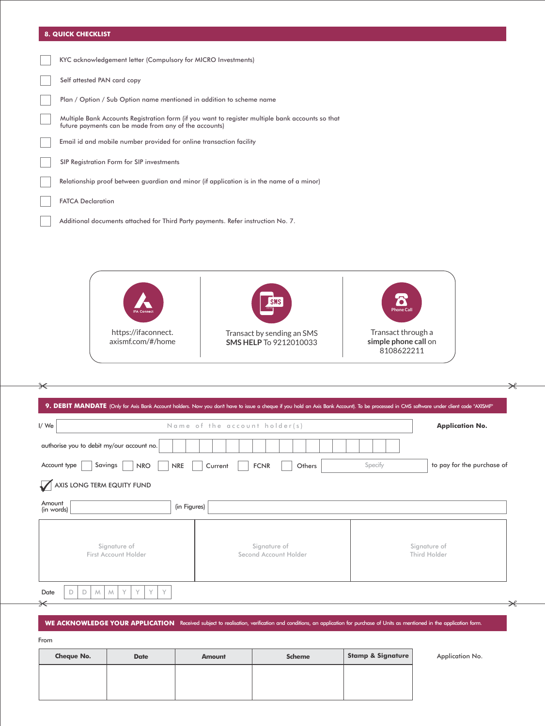#### **8. QUICK CHECKLIST**

| KYC acknowledgement letter (Compulsory for MICRO Investments)                                                                                             |
|-----------------------------------------------------------------------------------------------------------------------------------------------------------|
| Self attested PAN card copy                                                                                                                               |
| Plan / Option / Sub Option name mentioned in addition to scheme name                                                                                      |
| Multiple Bank Accounts Registration form (if you want to register multiple bank accounts so that<br>future payments can be made from any of the accounts) |
| Email id and mobile number provided for online transaction facility                                                                                       |
| SIP Registration Form for SIP investments                                                                                                                 |
| Relationship proof between guardian and minor (if application is in the name of a minor)                                                                  |
| <b>FATCA Declaration</b>                                                                                                                                  |
| Additional documents attached for Third Party payments. Refer instruction No. 7.                                                                          |



| I/We                                      |              | Name of the account holder(s)         |         | <b>Application No.</b>       |
|-------------------------------------------|--------------|---------------------------------------|---------|------------------------------|
| authorise you to debit my/our account no. |              |                                       |         |                              |
| Account type<br>Savings<br><b>NRO</b>     | <b>NRE</b>   | <b>FCNR</b><br>Others<br>Current      | Specify | to pay for the purchase of   |
| AXIS LONG TERM EQUITY FUND                |              |                                       |         |                              |
| Amount<br>(in words)                      | (in Figures) |                                       |         |                              |
|                                           |              |                                       |         |                              |
| Signature of<br>First Account Holder      |              | Signature of<br>Second Account Holder |         | Signature of<br>Third Holder |
|                                           |              |                                       |         |                              |

# WE ACKNOWLEDGE YOUR APPLICATION Received subject to realisation, verification and conditions, an application for purchase of Units as mentioned in the application form.

|   | ۰,           | ۹ |  |
|---|--------------|---|--|
| × | ۰.<br>$\sim$ |   |  |

| Cheque No. | <b>Date</b> | Amount | <b>Scheme</b> | <b>Stamp &amp; Signature</b> |
|------------|-------------|--------|---------------|------------------------------|
|            |             |        |               |                              |
|            |             |        |               |                              |
|            |             |        |               |                              |

**Application No.**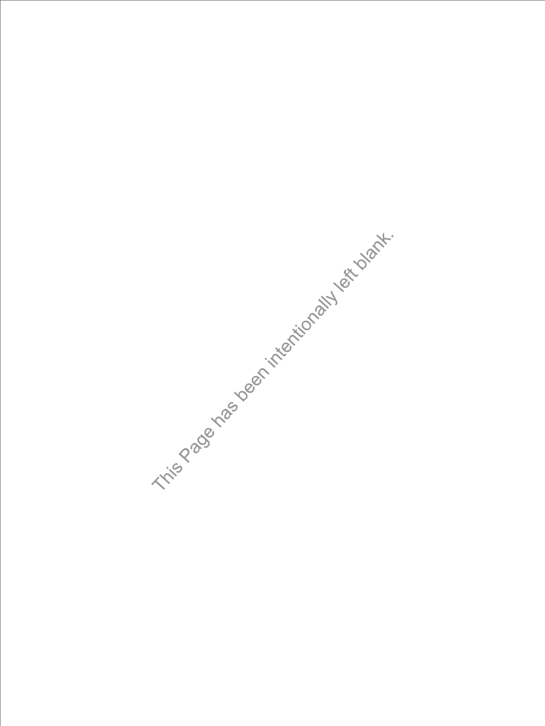Triso as a casa da cintamigraphy eft yant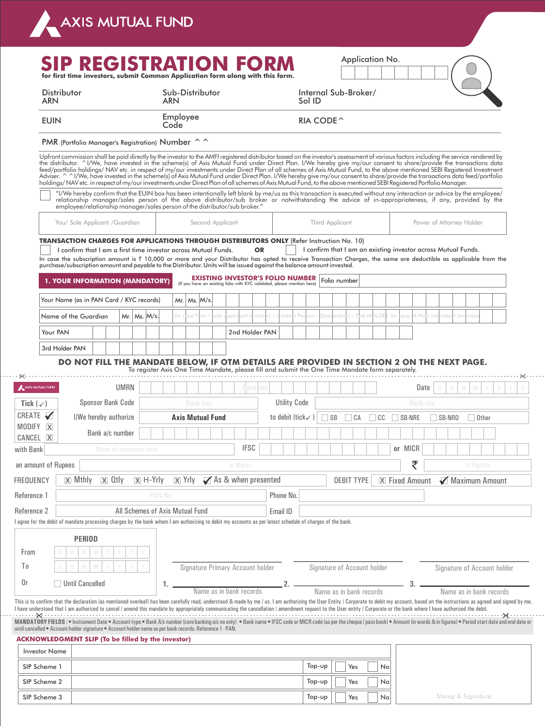

| SIP Scheme 2 | lop-up | Yes | No |
|--------------|--------|-----|----|
| SIP Scheme 3 | Top-up | Yes | No |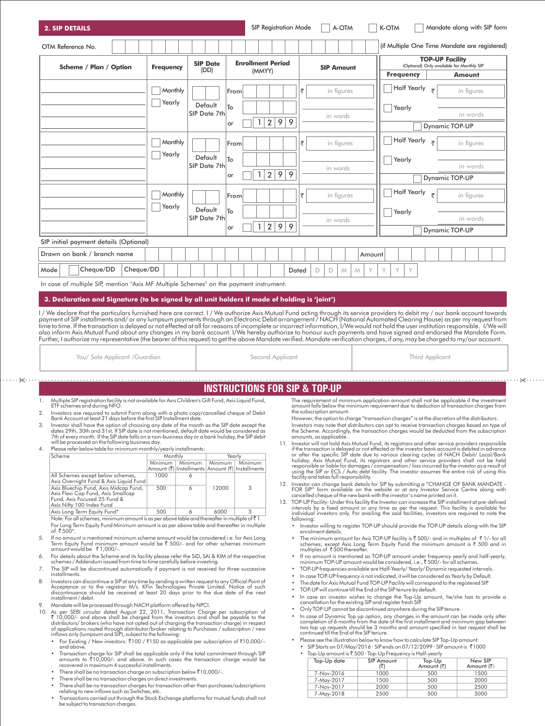| <b>2. SIP DETAILS</b>                  |                  |                         | <b>SIP Registration Mode</b>              | A-OTM                 | Mandate along with SIP form<br>K-OTM                                |
|----------------------------------------|------------------|-------------------------|-------------------------------------------|-----------------------|---------------------------------------------------------------------|
| OTM Reference No.                      |                  |                         |                                           |                       | (if Multiple One Time Mandate are registered)                       |
| Scheme / Plan / Option                 | <b>Frequency</b> | <b>SIP Date</b>         | <b>Enrollment Period</b>                  | <b>SIP Amount</b>     | <b>TOP-UP Facility</b><br>(Optional) Only available for Monthly SIP |
|                                        |                  | (DD)                    | (MMYY)                                    |                       | <b>Frequency</b><br><b>Amount</b>                                   |
|                                        | Monthly          |                         | From                                      | in figures<br>₹       | <b>Half Yearly</b><br>$\overline{z}$<br>in figures                  |
|                                        | Yearly           | Default<br>SIP Date 7th | To                                        | in words              | Yearly<br>in words                                                  |
|                                        |                  |                         | $\sqrt{2}$<br>9<br>9<br>or                |                       | Dynamic TOP-UP                                                      |
|                                        | Monthly          |                         | From                                      | ₹<br>in figures       | <b>Half Yearly</b><br>₹<br>in figures                               |
|                                        | Yearly           | Default<br>SIP Date 7th | To                                        | in words              | Yearly<br>in words                                                  |
|                                        |                  |                         | 9<br>$\mathbf{9}$<br>$\overline{2}$<br>or |                       | Dynamic TOP-UP                                                      |
|                                        | Monthly          |                         | From                                      | ₹<br>in figures       | <b>Half Yearly</b><br>₹<br>in figures                               |
|                                        | Yearly           | Default<br>SIP Date 7th | lto                                       | in words              | Yearly<br>in words                                                  |
|                                        |                  |                         | 9<br>$\overline{2}$<br>9<br>or            |                       | Dynamic TOP-UP                                                      |
| SIP initial payment details (Optional) |                  |                         |                                           |                       |                                                                     |
| Drawn on bank / branch name            |                  |                         |                                           | Amount                |                                                                     |
| Cheque/DD<br>Cheque/DD<br>Mode         |                  |                         | Dated                                     | Υ<br>D<br>D<br>M<br>M | Y<br>Υ<br>Y                                                         |

In case of multiple SIP, mention "Axis MF Multiple Schemes" on the payment instrument.

#### **3. Declaration and Signature (to be signed by all unit holders if mode of holding is 'joint')**

I / We declare that the particulars furnished here are correct. I / We authorize Axis Mutual Fund acting through its service providers to debit my / our bank account towards<br>payment of SIP installments and/ or any lumpsum time to time. If the transaction is delayed or not effected at all for reasons of incomplete or incorrect information, I/We would not hold the user institution responsible. I/We will also inform Axis Mutual Fund about any changes in my bank account. I/We hereby authorize to honour such payments and have signed and endorsed the Mandate Form. Further, I authorize my representative (the bearer of this request) to get the above Mandate verified. Mandate verification charges, if any, may be charged to my/our account.

You/ Sole Applicant /Guardian November 2012 Second Applicant November 2013 1999 Third Applicant

## **INSTRUCTIONS FOR SIP & TOP-UP**

- 1. Multiple SIP registration facility is not available for Axis Children's Gift Fund, Axis Liquid Fund, ETF schemes and during NFO.
- 2. Investors are required to submit Form along with a photo copy/cancelled cheque of Debit Bank Account at least 21 days before the first SIP Installment date.
- 3. Investor shall have the option of choosing any date of the month as the SIP date except the<br>dates 29th, 30th and 31st. If SIP date is not mentioned, default date would be considered as<br>7th of every month. If the SIP dat

4. Please refer below table for minimum monthly/yearly installments:

| Scheme                                                                                                                                   | Monthly |                                                 | Yearlv  |         |
|------------------------------------------------------------------------------------------------------------------------------------------|---------|-------------------------------------------------|---------|---------|
|                                                                                                                                          | Minimum | Minimum                                         | Minimum | Minimum |
|                                                                                                                                          |         | Amount (₹) Installments Amount (₹) Installments |         |         |
| All Schemes except below schemes,<br>Axis Overnight Fund & Axis Liquid Fund                                                              | 1000    |                                                 |         |         |
| Axis Bluechip Fund, Axis Midcap Fund,<br>Axis Flexi Cap Fund, Axis Smallcap<br>Fund, Axis Focused 25 Fund &<br>Axis Nifty 100 Index Fund | 500     |                                                 | 12000   | 3       |
| Axis Long Term Equity Fund*                                                                                                              | 500     |                                                 | 6000    | 3       |
| Note: For all schemes, minimum amount is as per above table and thereafter in multiple of ₹1.                                            |         |                                                 |         |         |

Note: For all schemes, minimum amount is as per above table and thereafter in multiple of रैं 1.<br>For Long Term Equity Fund Minimum amount is as per above table and thereafter in multiple<br>of ₹500\*.

- 5. If no amount is mentioned minimum scheme amount would be considered i.e. for Axis Long Term Equity Fund minimum amount would be ` 500/- and for other schemes minimum amount would be ` 1,000/-.
- 6. For details about the Scheme and its facility please refer the SID, SAI & KIM of the respective schemes / Addendum issued from time to time carefully before investing.
- 7. The SIP will be discontinued automatically if payment is not received for three successive installments.
- 8. Investors can discontinue a SIP at any time by sending a written request to any Official Point of Acceptance or to the registrar M/s. KFin Technologies Private Limited. Notice of such discontinuance should be received at least 20 days prior to the due date of the next installment / debit.
- Mandate will be processed through NACH platform offered by NPCI.
- 10. As per SEBI circular data dagust 22, 2011, Transaction Charge per subscription of  $\xi$  10,000/- and above shall be charged from the investors and shall be persistive distributors/ brokers (who have not opted out of ch
	- For Existing / New investors:  $\bar{X}$ 100 /  $\bar{X}$ 150 as applicable per subscription of  $\bar{X}$ 10,000/– and above.
	- Transaction charge for SIP shall be applicable only if the total commitment through SIP amounts to `10,000/- and above. In such cases the transaction charge would be recovered in maximum 4 successful installments.
	- There shall be no transaction charge on subscription below  $\bar{\bar{\tau}}$ 10,000/-
	- There shall be no transaction charges on direct investments.
	- There shall be no transaction charges for transaction other than purchases/subscriptions relating to new inflows such as Switches, etc.
	- Transactions carried out through the Stock Exchange platforms for mutual funds shall not be subject to transaction charges.

The requirement of minimum application amount shall not be applicable if the investment amount falls below the minimum requirement due to deduction of transaction charges from the subscription amount.

However, the option to charge "transaction charges" is at the discretion of the distributors. Investors may note that distributors can opt to receive transaction charges based on type of the Scheme. Accordingly, the transaction charges would be deducted from the subscription amounts, as applicable.

- 11. Investor will not hold Axis Mutual Fund, its registrars and other service providers responsible<br>if the transaction is delayed or not effected or the investor bank account is debited in advance<br>or offer the specific SIP responsible or liable for damages / compensation / loss incurred by the investor as a result of<br>using the SIP or ECS / Auto debt facility. The investor assumes the entire risk of using this<br>facility and takes full responsi
- 12. Investor can change bank details for SIP by submitting a "CHANGE OF BANK MANDATE -<br>FOR SIP" form available on the website or at any Investor Service Centre alona with FOR SIP" form available on the website or at any Investor Service Centre along with cancelled cheque of the new bank with the investor's name printed on it.
- 13. TOP-UP Facility: Under this facility the Investor can increase the SIP installment at pre-defined<br>intervals by a fixed amount or any time as per the request. This facility is available for<br>individual investors only. Fo
	- following: Investor willing to register TOP-UP should provide the TOP-UP details along with the SIP enrolment details.
	- The minimum amount for Axis TOP-UP facility is ₹ 500/- and in multiples of ₹ 1/- for all schemes; except Axis Long Term Equity Fund the minimum amount is ₹ 500 and in multiples of ₹ 500 thereafter.
	- If no amount is mentioned as TOP-UP amount under frequency yearly and half-yearly,<br>minimum TOP-UP amount would be considered, i.e.,  $\bar{\tau}$  500/- for all schemes.
	- TOP-UP frequencies available are Half-Yearly/ Yearly/ Dynamic requested intervals.
	- In case TOP-UP frequency is not indicated, it will be considered as Yearly by Default.
	- The date for Axis Mutual Fund TOP-UP Facility will correspond to the registered SIP.
	- TOP-UP will continue till the End of the SIP tenure by default.
	- In case an investor wishes to change the Top-Up amount, he/she has to provide a cancellation for the existing SIP and register fresh SIP.
	- Only TOP-UP cannot be discontinued anywhere during the SIP tenure.
	- In case of Dynamic Top up option, any changes in the amount can be made only after<br>completion of 6 months from the date of the first installment and minimum gap between<br>wo top up requests should be 3 months and amount sp continued till the End of the SIP tenure.
	- Please see the illustration below to know how to calculate SIP Top-Up amount:
		- SIP Starts on 07/May/2016 ∙ SIP ends on 07/12/2099 ∙ SIP amount is `1000 Top-Up amount is ` 500 ∙ Top-Up Frequency is Half-yearly

| Top-Up amount is ₹ 500 $\cdot$ Top-Up Frequency is Half-yearly |                   |                              |                       |  |  |  |  |  |
|----------------------------------------------------------------|-------------------|------------------------------|-----------------------|--|--|--|--|--|
| Top-Up date                                                    | <b>SIP Amount</b> | Top-Up<br>Amount $(\bar{z})$ | New SIP<br>Amount (₹) |  |  |  |  |  |
| 7-Nov-2016                                                     | 1000              | 500                          | 1500                  |  |  |  |  |  |
| 7-May-2017                                                     | 1500              | 500                          | 2000                  |  |  |  |  |  |
| 7-Nov-2017                                                     | 2000              | 500                          | 2500                  |  |  |  |  |  |
| 7-May-2018                                                     | 2500              | 500                          | 3000                  |  |  |  |  |  |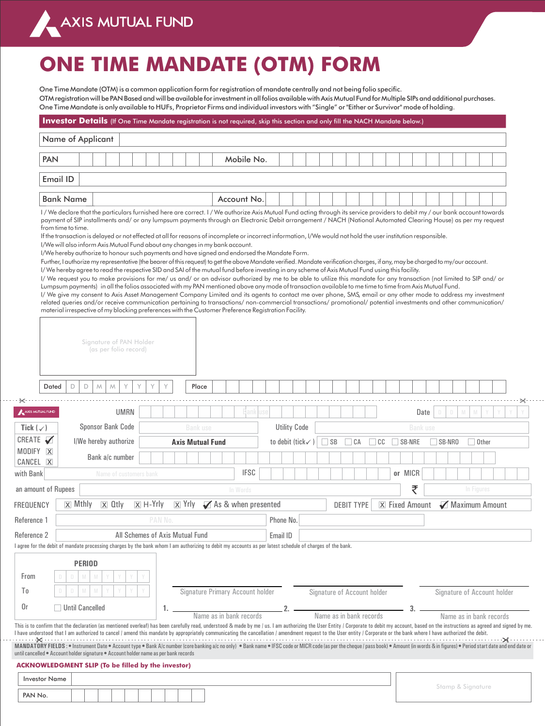

# **ONE TIME MANDATE (OTM) FORM**

One Time Mandate (OTM) is a common application form for registration of mandate centrally and not being folio specific. OTM registration will be PAN Based and will be available forinvestmentin allfolios available withAxis Mutual Fund for Multiple SIPs and additional purchases. One Time Mandate is only available to HUFs, Proprietor Firms and individual investors with "Single" or "Either or Survivor" mode of holding.

| <b>Investor Details</b> (If One Time Mandate registration is not required, skip this section and only fill the NACH Mandate below.)                                                                                                                                                              |  |  |  |  |  |  |  |  |  |  |             |  |  |  |  |  |  |  |  |               |  |
|--------------------------------------------------------------------------------------------------------------------------------------------------------------------------------------------------------------------------------------------------------------------------------------------------|--|--|--|--|--|--|--|--|--|--|-------------|--|--|--|--|--|--|--|--|---------------|--|
| Name of Applicant                                                                                                                                                                                                                                                                                |  |  |  |  |  |  |  |  |  |  |             |  |  |  |  |  |  |  |  |               |  |
| <b>PAN</b>                                                                                                                                                                                                                                                                                       |  |  |  |  |  |  |  |  |  |  | Mobile No.  |  |  |  |  |  |  |  |  |               |  |
| Email ID                                                                                                                                                                                                                                                                                         |  |  |  |  |  |  |  |  |  |  |             |  |  |  |  |  |  |  |  |               |  |
| <b>Bank Name</b>                                                                                                                                                                                                                                                                                 |  |  |  |  |  |  |  |  |  |  | Account No. |  |  |  |  |  |  |  |  |               |  |
| $\mathbf{1}$ and $\mathbf{1}$ and $\mathbf{1}$ and $\mathbf{1}$ and $\mathbf{1}$ and $\mathbf{1}$ and $\mathbf{1}$ and $\mathbf{1}$ and $\mathbf{1}$ and $\mathbf{1}$ and $\mathbf{1}$ and $\mathbf{1}$ and $\mathbf{1}$ and $\mathbf{1}$ and $\mathbf{1}$ and $\mathbf{1}$ and $\mathbf{1}$ and |  |  |  |  |  |  |  |  |  |  |             |  |  |  |  |  |  |  |  | $\sim$ $\sim$ |  |

I / We declare that the particulars furnished here are correct. I / We authorize Axis Mutual Fund acting through its service providers to debit my / our bank account towards payment of SIP installments and/ or any lumpsum payments through an Electronic Debit arrangement / NACH (National Automated Clearing House) as per my request from time to time.

If the transaction is delayed or not effected at all for reasons of incomplete or incorrect information, I/We would not hold the user institution responsible.

I/We will also inform Axis Mutual Fund about any changes in my bank account.

I/We hereby authorize to honour such payments and have signed and endorsed the Mandate Form.

Further, I authorize my representative (the bearer of this request) to get the above Mandate verified. Mandate verification charges, if any, may be charged to my/our account. I/ We hereby agree to read the respective SID and SAI of the mutual fund before investing in any scheme of Axis Mutual Fund using this facility.

I/ We request you to make provisions for me/ us and/ or an advisor authorized by me to be able to utilize this mandate for any transaction (not limited to SIP and/ or Lumpsum payments) in all the folios associated with my PAN mentioned above any mode of transaction available to me time to time from Axis Mutual Fund.

I/ We give my consent to Axis Asset Management Company Limited and its agents to contact me over phone, SMS, email or any other mode to address my investment related queries and/or receive communication pertaining to transactions/ non-commercial transactions/ promotional/ potential investments and other communication/ material irrespective of my blocking preferences with the Customer Preference Registration Facility.

|                      | Signature of PAN Holder                                                                                                                                                                                                                                                                                                                                                                                                                                             | (as per folio record)                                                                                    |   |         |                                                                                                                                                                                                                                                                                                                                                                                                                                |       |  |                                  |      |  |                     |                               |  |                |                             |  |           |  |                   |                |                 |               |  |  |                             |  |  |
|----------------------|---------------------------------------------------------------------------------------------------------------------------------------------------------------------------------------------------------------------------------------------------------------------------------------------------------------------------------------------------------------------------------------------------------------------------------------------------------------------|----------------------------------------------------------------------------------------------------------|---|---------|--------------------------------------------------------------------------------------------------------------------------------------------------------------------------------------------------------------------------------------------------------------------------------------------------------------------------------------------------------------------------------------------------------------------------------|-------|--|----------------------------------|------|--|---------------------|-------------------------------|--|----------------|-----------------------------|--|-----------|--|-------------------|----------------|-----------------|---------------|--|--|-----------------------------|--|--|
| Dated                | D<br>D<br>$M_{\odot}$                                                                                                                                                                                                                                                                                                                                                                                                                                               | Y<br>M                                                                                                   | Y | Y       |                                                                                                                                                                                                                                                                                                                                                                                                                                | Place |  |                                  |      |  |                     |                               |  |                |                             |  |           |  |                   |                |                 |               |  |  |                             |  |  |
|                      |                                                                                                                                                                                                                                                                                                                                                                                                                                                                     |                                                                                                          |   |         |                                                                                                                                                                                                                                                                                                                                                                                                                                |       |  |                                  |      |  |                     |                               |  |                |                             |  |           |  |                   |                |                 |               |  |  |                             |  |  |
| AXIS MUTUAL FUND     |                                                                                                                                                                                                                                                                                                                                                                                                                                                                     | <b>UMRN</b>                                                                                              |   |         |                                                                                                                                                                                                                                                                                                                                                                                                                                |       |  | łank                             | luse |  |                     |                               |  |                |                             |  |           |  |                   |                | Date            |               |  |  |                             |  |  |
| Tick $(\checkmark)$  | Sponsor Bank Code                                                                                                                                                                                                                                                                                                                                                                                                                                                   |                                                                                                          |   |         | <b>Bank</b> use                                                                                                                                                                                                                                                                                                                                                                                                                |       |  |                                  |      |  | <b>Utility Code</b> |                               |  |                |                             |  |           |  |                   |                | <b>Bank</b> use |               |  |  |                             |  |  |
| CREATE V             | I/We hereby authorize                                                                                                                                                                                                                                                                                                                                                                                                                                               |                                                                                                          |   |         | <b>Axis Mutual Fund</b>                                                                                                                                                                                                                                                                                                                                                                                                        |       |  |                                  |      |  |                     | to debit (tick $\checkmark$ ) |  | $\sqsupset$ SB | $\Box$ CA                   |  | $\Box$ CC |  |                   | SB-NRE         |                 | $\Box$ SB-NRO |  |  | 0ther                       |  |  |
| MODIFY X<br>CANCEL X | Bank a/c number                                                                                                                                                                                                                                                                                                                                                                                                                                                     |                                                                                                          |   |         |                                                                                                                                                                                                                                                                                                                                                                                                                                |       |  |                                  |      |  |                     |                               |  |                |                             |  |           |  |                   |                |                 |               |  |  |                             |  |  |
| with Bank            |                                                                                                                                                                                                                                                                                                                                                                                                                                                                     | Name of customers bank                                                                                   |   |         |                                                                                                                                                                                                                                                                                                                                                                                                                                |       |  | <b>IFSC</b>                      |      |  |                     |                               |  |                |                             |  |           |  |                   | or MICR        |                 |               |  |  |                             |  |  |
|                      | an amount of Rupees<br>In Words                                                                                                                                                                                                                                                                                                                                                                                                                                     |                                                                                                          |   |         |                                                                                                                                                                                                                                                                                                                                                                                                                                |       |  |                                  |      |  |                     | ₹<br>In Figures               |  |                |                             |  |           |  |                   |                |                 |               |  |  |                             |  |  |
| FREQUENCY            | $\overline{X}$ Mthly                                                                                                                                                                                                                                                                                                                                                                                                                                                | $\boxed{\times}$ Otly $\boxed{\times}$ H-Yrly $\boxed{\times}$ Yrly $\boxed{\times}$ As & when presented |   |         |                                                                                                                                                                                                                                                                                                                                                                                                                                |       |  |                                  |      |  |                     |                               |  |                | <b>DEBIT TYPE</b>           |  |           |  |                   | X Fixed Amount |                 |               |  |  | Maximum Amount              |  |  |
| Reference 1          |                                                                                                                                                                                                                                                                                                                                                                                                                                                                     |                                                                                                          |   | PAN No. |                                                                                                                                                                                                                                                                                                                                                                                                                                |       |  |                                  |      |  | Phone No.           |                               |  |                |                             |  |           |  |                   |                |                 |               |  |  |                             |  |  |
| Reference 2          |                                                                                                                                                                                                                                                                                                                                                                                                                                                                     | All Schemes of Axis Mutual Fund                                                                          |   |         |                                                                                                                                                                                                                                                                                                                                                                                                                                |       |  |                                  |      |  | Email ID            |                               |  |                |                             |  |           |  |                   |                |                 |               |  |  |                             |  |  |
|                      | l agree for the debit of mandate processing charges by the bank whom I am authorizing to debit my accounts as per latest schedule of charges of the bank.                                                                                                                                                                                                                                                                                                           |                                                                                                          |   |         |                                                                                                                                                                                                                                                                                                                                                                                                                                |       |  |                                  |      |  |                     |                               |  |                |                             |  |           |  |                   |                |                 |               |  |  |                             |  |  |
| From                 | <b>PERIOD</b>                                                                                                                                                                                                                                                                                                                                                                                                                                                       |                                                                                                          |   |         |                                                                                                                                                                                                                                                                                                                                                                                                                                |       |  |                                  |      |  |                     |                               |  |                |                             |  |           |  |                   |                |                 |               |  |  |                             |  |  |
| Тo                   |                                                                                                                                                                                                                                                                                                                                                                                                                                                                     |                                                                                                          |   |         |                                                                                                                                                                                                                                                                                                                                                                                                                                |       |  | Signature Primary Account holder |      |  |                     |                               |  |                | Signature of Account holder |  |           |  |                   |                |                 |               |  |  | Signature of Account holder |  |  |
| 0r                   | <b>Until Cancelled</b>                                                                                                                                                                                                                                                                                                                                                                                                                                              |                                                                                                          |   |         | 1. $\frac{1}{\sqrt{1-\frac{1}{\sqrt{1-\frac{1}{\sqrt{1-\frac{1}{\sqrt{1-\frac{1}{\sqrt{1-\frac{1}{\sqrt{1-\frac{1}{\sqrt{1-\frac{1}{\sqrt{1-\frac{1}{\sqrt{1-\frac{1}{\sqrt{1-\frac{1}{\sqrt{1-\frac{1}{\sqrt{1-\frac{1}{\sqrt{1-\frac{1}{\sqrt{1-\frac{1}{\sqrt{1-\frac{1}{\sqrt{1-\frac{1}{\sqrt{1-\frac{1}{\sqrt{1-\frac{1}{\sqrt{1-\frac{1}{\sqrt{1-\frac{1}{\sqrt{1-\frac{1}{\sqrt{1-\frac{1}{\sqrt{1-\frac{1}{\sqrt{1-\$ |       |  |                                  |      |  |                     |                               |  |                |                             |  |           |  |                   |                |                 |               |  |  | Name as in bank records     |  |  |
|                      | This is to confirm that the declaration (as mentioned overleaf) has been carefully read, understood & made by me / us. I am authorizing the User Entity / Corporate to debit my account, based on the instructions as agreed a<br>I have understood that I am authorized to cancel / amend this mandate by appropriately communicating the cancellation / amendment request to the User entity / Corporate or the bank where I have authorized the debit.<br>A cons |                                                                                                          |   |         |                                                                                                                                                                                                                                                                                                                                                                                                                                |       |  |                                  |      |  |                     |                               |  |                |                             |  |           |  |                   |                |                 |               |  |  |                             |  |  |
|                      | MANDATORY FIELDS : . Instrument Date . Account type . Bank A/c number (core banking a/c no only) . Bank name . IFSC code or MICR code (as per the cheque / pass book) . Amount (in words & in figures) . Period start date and<br>until cancelled • Account holder signature • Account holder name as per bank records                                                                                                                                              |                                                                                                          |   |         |                                                                                                                                                                                                                                                                                                                                                                                                                                |       |  |                                  |      |  |                     |                               |  |                |                             |  |           |  |                   |                |                 |               |  |  |                             |  |  |
|                      | <b>ACKNOWLEDGMENT SLIP (To be filled by the investor)</b>                                                                                                                                                                                                                                                                                                                                                                                                           |                                                                                                          |   |         |                                                                                                                                                                                                                                                                                                                                                                                                                                |       |  |                                  |      |  |                     |                               |  |                |                             |  |           |  |                   |                |                 |               |  |  |                             |  |  |
| <b>Investor Name</b> |                                                                                                                                                                                                                                                                                                                                                                                                                                                                     |                                                                                                          |   |         |                                                                                                                                                                                                                                                                                                                                                                                                                                |       |  |                                  |      |  |                     |                               |  |                |                             |  |           |  |                   |                |                 |               |  |  |                             |  |  |
| PAN No.              |                                                                                                                                                                                                                                                                                                                                                                                                                                                                     |                                                                                                          |   |         |                                                                                                                                                                                                                                                                                                                                                                                                                                |       |  |                                  |      |  |                     |                               |  |                |                             |  |           |  | Stamp & Signature |                |                 |               |  |  |                             |  |  |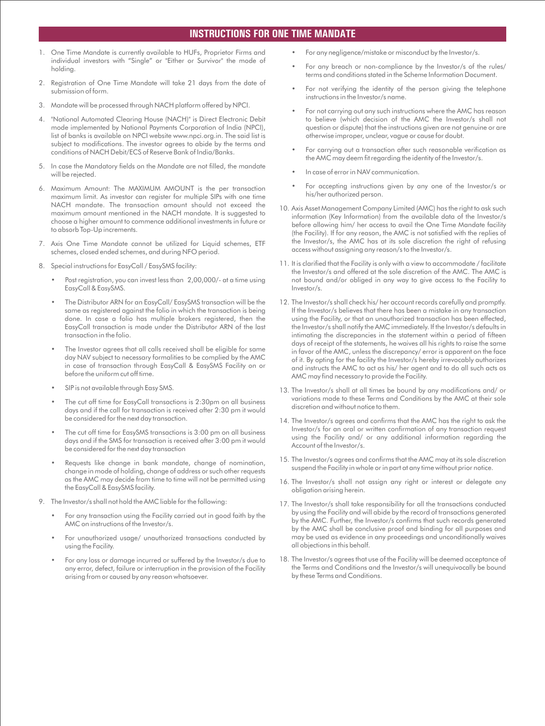## **INSTRUCTIONS FOR ONE TIME MANDATE**

- 1. One Time Mandate is currently available to HUFs, Proprietor Firms and individual investors with "Single" or "Either or Survivor" the mode of holding.
- 2. Registration of One Time Mandate will take 21 days from the date of submission of form.
- 3. Mandate will be processed through NACH platform offered by NPCI.
- 4. "National Automated Clearing House (NACH)" is Direct Electronic Debit mode implemented by National Payments Corporation of India (NPCI), list of banks is available on NPCI website www.npci.org.in. The said list is subject to modifications. The investor agrees to abide by the terms and conditions of NACH Debit/ECS of Reserve Bank of India/Banks.
- 5. In case the Mandatory fields on the Mandate are not filled, the mandate will be rejected.
- 6. Maximum Amount: The MAXIMUM AMOUNT is the per transaction maximum limit. As investor can register for multiple SIPs with one time NACH mandate. The transaction amount should not exceed the maximum amount mentioned in the NACH mandate. It is suggested to choose a higher amount to commence additional investments in future or to absorb Top-Up increments.
- 7. Axis One Time Mandate cannot be utilized for Liquid schemes, ETF schemes, closed ended schemes, and during NFO period.
- 8. Special instructions for EasyCall / EasySMS facility:
	- Post registration, you can invest less than 2,00,000/- at a time using EasyCall & EasySMS.
	- The Distributor ARN for an EasyCall/ EasySMS transaction will be the same as registered against the folio in which the transaction is being done. In case a folio has multiple brokers registered, then the EasyCall transaction is made under the Distributor ARN of the last transaction in the folio.
	- The Investor agrees that all calls received shall be eligible for same day NAV subject to necessary formalities to be complied by the AMC in case of transaction through EasyCall & EasySMS Facility on or before the uniform cut off time.
	- SIP is not available through Easy SMS.
	- The cut off time for EasyCall transactions is 2:30pm on all business days and if the call for transaction is received after 2:30 pm it would be considered for the next day transaction.
	- The cut off time for EasySMS transactions is 3:00 pm on all business days and if the SMS for transaction is received after 3:00 pm it would be considered for the next day transaction
	- Requests like change in bank mandate, change of nomination, change in mode of holding, change of address or such other requests as the AMC may decide from time to time will not be permitted using the EasyCall & EasySMS facility.
- 9. The Investor/s shall not hold the AMC liable for the following:
	- For any transaction using the Facility carried out in good faith by the AMC on instructions of the Investor/s.
	- For unauthorized usage/ unauthorized transactions conducted by using the Facility.
	- For any loss or damage incurred or suffered by the Investor/s due to any error, defect, failure or interruption in the provision of the Facility arising from or caused by any reason whatsoever.
- For any negligence/mistake or misconduct by the Investor/s.
- For any breach or non-compliance by the Investor/s of the rules/ terms and conditions stated in the Scheme Information Document.
- For not verifying the identity of the person giving the telephone instructions in the Investor/s name.
- For not carrying out any such instructions where the AMC has reason to believe (which decision of the AMC the Investor/s shall not question or dispute) that the instructions given are not genuine or are otherwise improper, unclear, vague or cause for doubt.
- For carrying out a transaction after such reasonable verification as the AMC may deem fit regarding the identity of the Investor/s.
- In case of error in NAV communication.
- For accepting instructions given by any one of the Investor/s or his/her authorized person.
- 10. Axis Asset Management Company Limited (AMC) has the right to ask such information (Key Information) from the available data of the Investor/s before allowing him/ her access to avail the One Time Mandate facility (the Facility). If for any reason, the AMC is not satisfied with the replies of the Investor/s, the AMC has at its sole discretion the right of refusing access without assigning any reason/s to the Investor/s.
- 11. It is clarified that the Facility is only with a view to accommodate / facilitate the Investor/s and offered at the sole discretion of the AMC. The AMC is not bound and/or obliged in any way to give access to the Facility to Investor/s.
- 12. The Investor/s shall check his/ her account records carefully and promptly. If the Investor/s believes that there has been a mistake in any transaction using the Facility, or that an unauthorized transaction has been effected, the Investor/s shall notify the AMC immediately. If the Investor/s defaults in intimating the discrepancies in the statement within a period of fifteen days of receipt of the statements, he waives all his rights to raise the same in favor of the AMC, unless the discrepancy/ error is apparent on the face of it. By opting for the facility the Investor/s hereby irrevocably authorizes and instructs the AMC to act as his/ her agent and to do all such acts as AMC may find necessary to provide the Facility.
- 13. The Investor/s shall at all times be bound by any modifications and/ or variations made to these Terms and Conditions by the AMC at their sole discretion and without notice to them.
- 14. The Investor/s agrees and confirms that the AMC has the right to ask the Investor/s for an oral or written confirmation of any transaction request using the Facility and/ or any additional information regarding the Account of the Investor/s.
- 15. The Investor/s agrees and confirms that the AMC may at its sole discretion suspend the Facility in whole or in part at any time without prior notice.
- 16. The Investor/s shall not assign any right or interest or delegate any obligation arising herein.
- 17. The Investor/s shall take responsibility for all the transactions conducted by using the Facility and will abide by the record of transactions generated by the AMC. Further, the Investor/s confirms that such records generated by the AMC shall be conclusive proof and binding for all purposes and may be used as evidence in any proceedings and unconditionally waives all objections in this behalf.
- 18. The Investor/s agrees that use of the Facility will be deemed acceptance of the Terms and Conditions and the Investor/s will unequivocally be bound by these Terms and Conditions.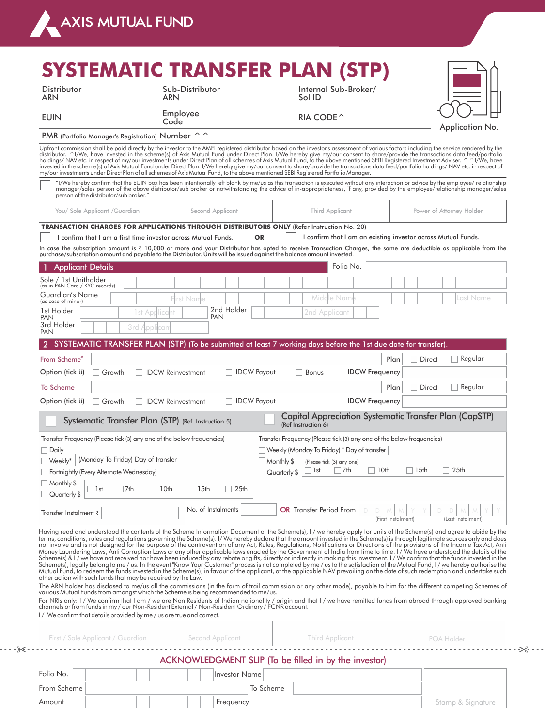

| CKNOWLEDGMENT SLIP (To be filled in by the investor) |  |  |  |
|------------------------------------------------------|--|--|--|
|                                                      |  |  |  |

| Folio No.<br>Investor Name |                   |
|----------------------------|-------------------|
| To Scheme<br>From Scheme   |                   |
| Frequency<br>Amount        | Stamp & Signature |